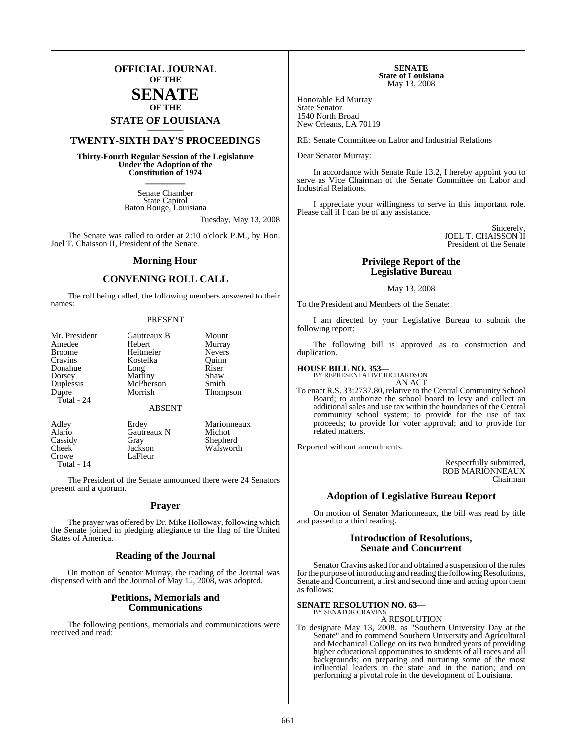## **OFFICIAL JOURNAL OF THE**

## **SENATE OF THE**

# **STATE OF LOUISIANA \_\_\_\_\_\_\_**

## **TWENTY-SIXTH DAY'S PROCEEDINGS \_\_\_\_\_\_\_**

**Thirty-Fourth Regular Session of the Legislature Under the Adoption of the Constitution of 1974 \_\_\_\_\_\_\_**

> Senate Chamber State Capitol Baton Rouge, Louisiana

> > Tuesday, May 13, 2008

The Senate was called to order at 2:10 o'clock P.M., by Hon. Joel T. Chaisson II, President of the Senate.

#### **Morning Hour**

## **CONVENING ROLL CALL**

The roll being called, the following members answered to their names:

#### PRESENT

| Mr. President | Gautreaux B   | Mount           |
|---------------|---------------|-----------------|
| Amedee        | Hebert        | Murray          |
| <b>Broome</b> | Heitmeier     | <b>Nevers</b>   |
| Cravins       | Kostelka      | Ouinn           |
| Donahue       | Long          | Riser           |
| Dorsey        | Martiny       | Shaw            |
| Duplessis     | McPherson     | Smith           |
| Dupre         | Morrish       | <b>Thompson</b> |
| Total - 24    | <b>ABSENT</b> |                 |
| Adley         | Erdey         | Marionneaux     |
| Alario        | Gautreaux N   | Michot          |
| Cassidy       | Gray          | Shepherd        |
| Cheek         | Jackson       | Walsworth       |

Crowe LaFleur Total - 14

The President of the Senate announced there were 24 Senators present and a quorum.

#### **Prayer**

The prayer was offered by Dr. Mike Holloway, following which the Senate joined in pledging allegiance to the flag of the United States of America.

#### **Reading of the Journal**

On motion of Senator Murray, the reading of the Journal was dispensed with and the Journal of May 12, 2008, was adopted.

#### **Petitions, Memorials and Communications**

The following petitions, memorials and communications were received and read:

**SENATE State of Louisiana** May 13, 2008

Honorable Ed Murray State Senator 1540 North Broad New Orleans, LA 70119

RE: Senate Committee on Labor and Industrial Relations

Dear Senator Murray:

In accordance with Senate Rule 13.2, I hereby appoint you to serve as Vice Chairman of the Senate Committee on Labor and Industrial Relations.

I appreciate your willingness to serve in this important role. Please call if I can be of any assistance.

> Sincerely, JOEL T. CHAISSON II President of the Senate

#### **Privilege Report of the Legislative Bureau**

#### May 13, 2008

To the President and Members of the Senate:

I am directed by your Legislative Bureau to submit the following report:

The following bill is approved as to construction and duplication.

# **HOUSE BILL NO. 353—** BY REPRESENTATIVE RICHARDSON

AN ACT

To enact R.S. 33:2737.80, relative to the Central Community School Board; to authorize the school board to levy and collect an additional sales and use tax within the boundaries of the Central community school system; to provide for the use of tax proceeds; to provide for voter approval; and to provide for related matters.

Reported without amendments.

Respectfully submitted, ROB MARIONNEAUX Chairman

#### **Adoption of Legislative Bureau Report**

On motion of Senator Marionneaux, the bill was read by title and passed to a third reading.

#### **Introduction of Resolutions, Senate and Concurrent**

Senator Cravins asked for and obtained a suspension of the rules for the purpose of introducing and reading the following Resolutions, Senate and Concurrent, a first and second time and acting upon them as follows:

#### **SENATE RESOLUTION NO. 63—** BY SENATOR CRAVINS

A RESOLUTION

To designate May 13, 2008, as "Southern University Day at the Senate" and to commend Southern University and Agricultural and Mechanical College on its two hundred years of providing higher educational opportunities to students of all races and all backgrounds; on preparing and nurturing some of the most influential leaders in the state and in the nation; and on performing a pivotal role in the development of Louisiana.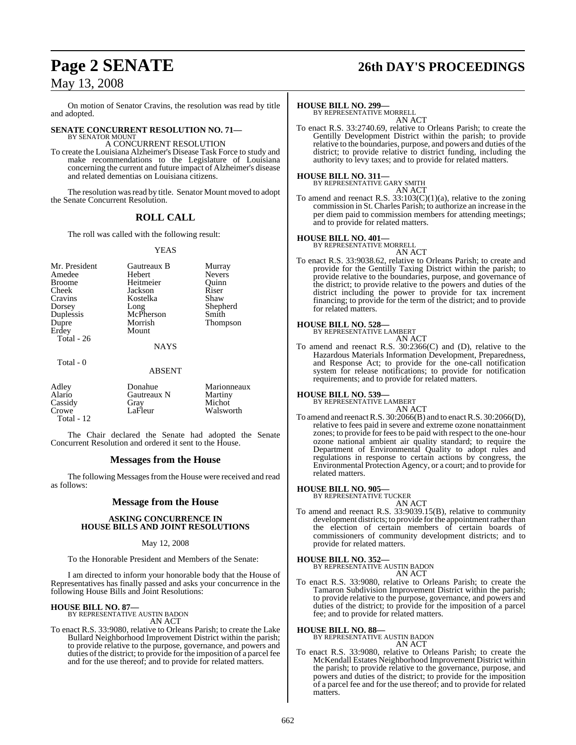On motion of Senator Cravins, the resolution was read by title and adopted.

# **SENATE CONCURRENT RESOLUTION NO. 71—** BY SENATOR MOUNT

A CONCURRENT RESOLUTION

To create the Louisiana Alzheimer's Disease Task Force to study and make recommendations to the Legislature of Louisiana concerning the current and future impact of Alzheimer's disease and related dementias on Louisiana citizens.

The resolution was read by title. Senator Mount moved to adopt the Senate Concurrent Resolution.

## **ROLL CALL**

The roll was called with the following result:

#### YEAS

Mr. President Gautreaux B Murray Amedee Hebert Nevers<br>
Broome Heitmeier Quinn Broome Heitmeier Quinn<br>
Cheek Jackson Riser Cheek Jackson<br>Cravins Kostelka Cravins Kostelka Shaw<br>Dorsey Long Shepherd Dorsey Long Shepherd Duplessis McPherson Smith Dupre Morrish Thompson Total - 26

Mount

#### NAYS

Total - 0

ABSENT

| Adley        | Donahue     | Marionneaux |
|--------------|-------------|-------------|
| Alario       | Gautreaux N | Martiny     |
| Cassidy      | Gray        | Michot      |
| Crowe        | LaFleur     | Walsworth   |
| Total - $12$ |             |             |

The Chair declared the Senate had adopted the Senate Concurrent Resolution and ordered it sent to the House.

## **Messages from the House**

The following Messages from the House were received and read as follows:

## **Message from the House**

#### **ASKING CONCURRENCE IN HOUSE BILLS AND JOINT RESOLUTIONS**

#### May 12, 2008

To the Honorable President and Members of the Senate:

I am directed to inform your honorable body that the House of Representatives has finally passed and asks your concurrence in the following House Bills and Joint Resolutions:

**HOUSE BILL NO. 87—** BY REPRESENTATIVE AUSTIN BADON AN ACT

To enact R.S. 33:9080, relative to Orleans Parish; to create the Lake Bullard Neighborhood Improvement District within the parish; to provide relative to the purpose, governance, and powers and duties of the district; to provide for the imposition of a parcel fee and for the use thereof; and to provide for related matters.

# **Page 2 SENATE 26th DAY'S PROCEEDINGS**

#### **HOUSE BILL NO. 299—**

BY REPRESENTATIVE MORRELL AN ACT

To enact R.S. 33:2740.69, relative to Orleans Parish; to create the Gentilly Development District within the parish; to provide relative to the boundaries, purpose, and powers and duties of the district; to provide relative to district funding, including the authority to levy taxes; and to provide for related matters.

#### **HOUSE BILL NO. 311—** BY REPRESENTATIVE GARY SMITH

AN ACT

To amend and reenact R.S.  $33:103(C)(1)(a)$ , relative to the zoning commission in St. Charles Parish; to authorize an increase in the per diem paid to commission members for attending meetings; and to provide for related matters.

#### **HOUSE BILL NO. 401—**

BY REPRESENTATIVE MORRELL

- AN ACT To enact R.S. 33:9038.62, relative to Orleans Parish; to create and
- provide for the Gentilly Taxing District within the parish; to provide relative to the boundaries, purpose, and governance of the district; to provide relative to the powers and duties of the district including the power to provide for tax increment financing; to provide for the term of the district; and to provide for related matters.

#### **HOUSE BILL NO. 528—**

BY REPRESENTATIVE LAMBERT AN ACT

To amend and reenact R.S. 30:2366(C) and (D), relative to the Hazardous Materials Information Development, Preparedness, and Response Act; to provide for the one-call notification system for release notifications; to provide for notification requirements; and to provide for related matters.

#### **HOUSE BILL NO. 539—**

BY REPRESENTATIVE LAMBERT AN ACT

To amend and reenactR.S. 30:2066(B) and to enactR.S. 30:2066(D), relative to fees paid in severe and extreme ozone nonattainment zones; to provide for feesto be paid with respect to the one-hour ozone national ambient air quality standard; to require the Department of Environmental Quality to adopt rules and regulations in response to certain actions by congress, the Environmental Protection Agency, or a court; and to provide for related matters.

#### **HOUSE BILL NO. 905—** BY REPRESENTATIVE TUCKER

AN ACT To amend and reenact R.S. 33:9039.15(B), relative to community development districts; to provide for the appointment rather than the election of certain members of certain boards of commissioners of community development districts; and to provide for related matters.

# **HOUSE BILL NO. 352—** BY REPRESENTATIVE AUSTIN BADON

AN ACT

To enact R.S. 33:9080, relative to Orleans Parish; to create the Tamaron Subdivision Improvement District within the parish; to provide relative to the purpose, governance, and powers and duties of the district; to provide for the imposition of a parcel fee; and to provide for related matters.

#### **HOUSE BILL NO. 88—**

BY REPRESENTATIVE AUSTIN BADON AN ACT

To enact R.S. 33:9080, relative to Orleans Parish; to create the McKendall Estates Neighborhood Improvement District within the parish; to provide relative to the governance, purpose, and powers and duties of the district; to provide for the imposition of a parcel fee and for the use thereof; and to provide for related matters.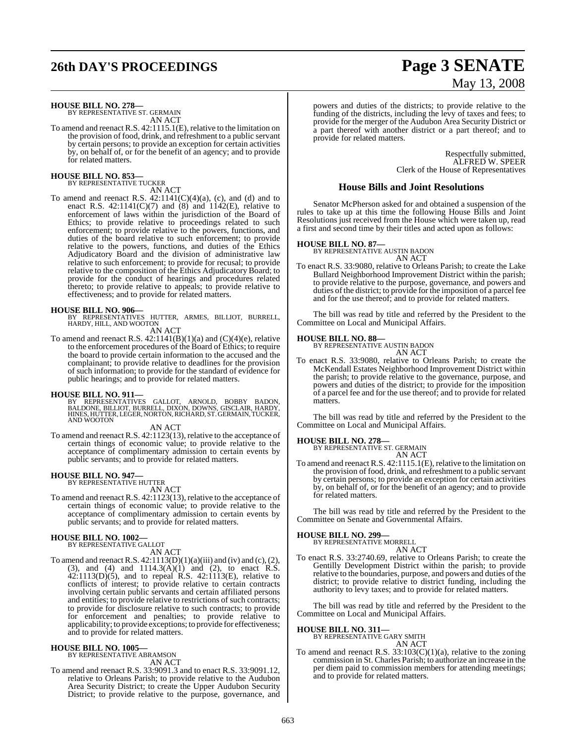# **26th DAY'S PROCEEDINGS Page 3 SENATE**

# **HOUSE BILL NO. 278—** BY REPRESENTATIVE ST. GERMAIN

AN ACT

To amend and reenact R.S. 42:1115.1(E), relative to the limitation on the provision of food, drink, and refreshment to a public servant by certain persons; to provide an exception for certain activities by, on behalf of, or for the benefit of an agency; and to provide for related matters.

#### **HOUSE BILL NO. 853—** BY REPRESENTATIVE TUCKER

AN ACT

To amend and reenact R.S.  $42:1141(C)(4)(a)$ , (c), and (d) and to enact R.S.  $42:1141(C)(7)$  and  $(8)$  and  $1142(E)$ , relative to enforcement of laws within the jurisdiction of the Board of Ethics; to provide relative to proceedings related to such enforcement; to provide relative to the powers, functions, and duties of the board relative to such enforcement; to provide relative to the powers, functions, and duties of the Ethics Adjudicatory Board and the division of administrative law relative to such enforcement; to provide for recusal; to provide relative to the composition of the Ethics AdjudicatoryBoard; to provide for the conduct of hearings and procedures related thereto; to provide relative to appeals; to provide relative to effectiveness; and to provide for related matters.

**HOUSE BILL NO. 906—** BY REPRESENTATIVES HUTTER, ARMES, BILLIOT, BURRELL, HARDY, HILL, AND WOOTON AN ACT

To amend and reenact R.S. 42:1141(B)(1)(a) and (C)(4)(e), relative to the enforcement procedures of the Board of Ethics; to require the board to provide certain information to the accused and the complainant; to provide relative to deadlines for the provision of such information; to provide for the standard of evidence for public hearings; and to provide for related matters.

#### **HOUSE BILL NO. 911—**

BY REPRESENTATIVES GALLOT, ARNOLD, BOBBY BADON,<br>BALDONE, BILLIOT, BURRELL, DIXON, DOWNS, GISCLAIR, HARDY,<br>HINES,HUTTER,LEGER,NORTON,RICHARD,ST.GERMAIN,TUCKER,<br>AND WOOTON

#### AN ACT

To amend and reenact R.S. 42:1123(13), relative to the acceptance of certain things of economic value; to provide relative to the acceptance of complimentary admission to certain events by public servants; and to provide for related matters.

#### **HOUSE BILL NO. 947—**

BY REPRESENTATIVE HUTTER AN ACT

To amend and reenact R.S. 42:1123(13), relative to the acceptance of certain things of economic value; to provide relative to the acceptance of complimentary admission to certain events by public servants; and to provide for related matters.

# **HOUSE BILL NO. 1002—** BY REPRESENTATIVE GALLOT

AN ACT

To amend and reenact R.S.  $42:1113(D)(1)(a)(iii)$  and (iv) and (c), (2), (3), and (4) and  $1114.3(A)(1)$  and (2), to enact R.S.  $42:1113(D)(5)$ , and to repeal R.S.  $42:1113(E)$ , relative to conflicts of interest; to provide relative to certain contracts involving certain public servants and certain affiliated persons and entities; to provide relative to restrictions of such contracts; to provide for disclosure relative to such contracts; to provide for enforcement and penalties; to provide relative to applicability; to provide exceptions; to provide for effectiveness; and to provide for related matters.

#### **HOUSE BILL NO. 1005—**

BY REPRESENTATIVE ABRAMSON AN ACT

To amend and reenact R.S. 33:9091.3 and to enact R.S. 33:9091.12, relative to Orleans Parish; to provide relative to the Audubon Area Security District; to create the Upper Audubon Security District; to provide relative to the purpose, governance, and

# May 13, 2008

powers and duties of the districts; to provide relative to the funding of the districts, including the levy of taxes and fees; to provide for the merger of the Audubon Area Security District or a part thereof with another district or a part thereof; and to provide for related matters.

> Respectfully submitted, ALFRED W. SPEER Clerk of the House of Representatives

#### **House Bills and Joint Resolutions**

Senator McPherson asked for and obtained a suspension of the rules to take up at this time the following House Bills and Joint Resolutions just received from the House which were taken up, read a first and second time by their titles and acted upon as follows:

# **HOUSE BILL NO. 87—** BY REPRESENTATIVE AUSTIN BADON

AN ACT

To enact R.S. 33:9080, relative to Orleans Parish; to create the Lake Bullard Neighborhood Improvement District within the parish; to provide relative to the purpose, governance, and powers and duties of the district; to provide for the imposition of a parcel fee and for the use thereof; and to provide for related matters.

The bill was read by title and referred by the President to the Committee on Local and Municipal Affairs.

#### **HOUSE BILL NO. 88—**

BY REPRESENTATIVE AUSTIN BADON AN ACT

To enact R.S. 33:9080, relative to Orleans Parish; to create the McKendall Estates Neighborhood Improvement District within the parish; to provide relative to the governance, purpose, and powers and duties of the district; to provide for the imposition of a parcel fee and for the use thereof; and to provide for related matters.

The bill was read by title and referred by the President to the Committee on Local and Municipal Affairs.

#### **HOUSE BILL NO. 278—**

BY REPRESENTATIVE ST. GERMAIN AN ACT

To amend and reenact R.S. 42:1115.1(E), relative to the limitation on the provision of food, drink, and refreshment to a public servant by certain persons; to provide an exception for certain activities by, on behalf of, or for the benefit of an agency; and to provide for related matters.

The bill was read by title and referred by the President to the Committee on Senate and Governmental Affairs.

#### **HOUSE BILL NO. 299—** BY REPRESENTATIVE MORRELL

AN ACT

To enact R.S. 33:2740.69, relative to Orleans Parish; to create the Gentilly Development District within the parish; to provide relative to the boundaries, purpose, and powers and duties of the district; to provide relative to district funding, including the authority to levy taxes; and to provide for related matters.

The bill was read by title and referred by the President to the Committee on Local and Municipal Affairs.

# **HOUSE BILL NO. 311—** BY REPRESENTATIVE GARY SMITH

AN ACT

To amend and reenact R.S. 33:103(C)(1)(a), relative to the zoning commission in St. Charles Parish; to authorize an increase in the per diem paid to commission members for attending meetings; and to provide for related matters.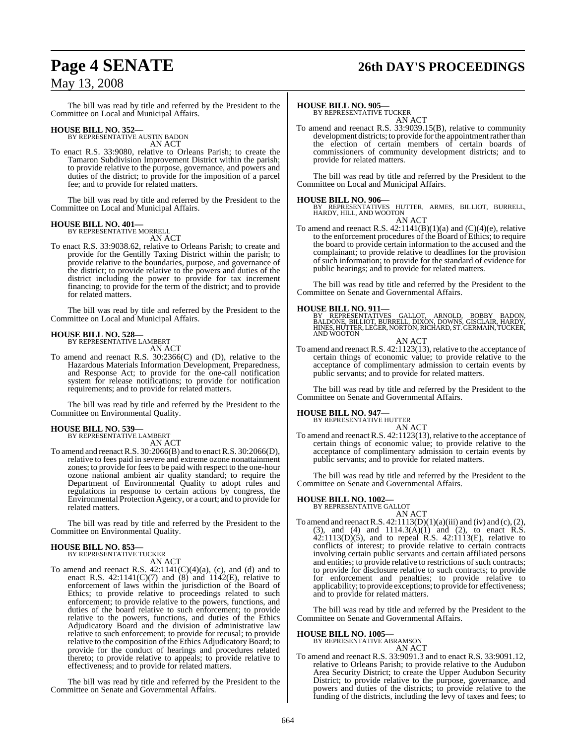# **Page 4 SENATE 26th DAY'S PROCEEDINGS**

## May 13, 2008

The bill was read by title and referred by the President to the Committee on Local and Municipal Affairs.

# **HOUSE BILL NO. 352—** BY REPRESENTATIVE AUSTIN BADON

AN ACT

To enact R.S. 33:9080, relative to Orleans Parish; to create the Tamaron Subdivision Improvement District within the parish; to provide relative to the purpose, governance, and powers and duties of the district; to provide for the imposition of a parcel fee; and to provide for related matters.

The bill was read by title and referred by the President to the Committee on Local and Municipal Affairs.

#### **HOUSE BILL NO. 401—**

BY REPRESENTATIVE MORRELI AN ACT

To enact R.S. 33:9038.62, relative to Orleans Parish; to create and provide for the Gentilly Taxing District within the parish; to provide relative to the boundaries, purpose, and governance of the district; to provide relative to the powers and duties of the district including the power to provide for tax increment financing; to provide for the term of the district; and to provide for related matters.

The bill was read by title and referred by the President to the Committee on Local and Municipal Affairs.

#### **HOUSE BILL NO. 528—** BY REPRESENTATIVE LAMBERT

AN ACT

To amend and reenact R.S. 30:2366(C) and (D), relative to the Hazardous Materials Information Development, Preparedness, and Response Act; to provide for the one-call notification system for release notifications; to provide for notification requirements; and to provide for related matters.

The bill was read by title and referred by the President to the Committee on Environmental Quality.

### **HOUSE BILL NO. 539—**

BY REPRESENTATIVE LAMBERT AN ACT

To amend and reenactR.S. 30:2066(B) and to enactR.S. 30:2066(D), relative to fees paid in severe and extreme ozone nonattainment zones; to provide for feesto be paid with respect to the one-hour ozone national ambient air quality standard; to require the Department of Environmental Quality to adopt rules and regulations in response to certain actions by congress, the Environmental Protection Agency, or a court; and to provide for related matters.

The bill was read by title and referred by the President to the Committee on Environmental Quality.

# **HOUSE BILL NO. 853—** BY REPRESENTATIVE TUCKER

AN ACT

To amend and reenact R.S.  $42:1141(C)(4)(a)$ , (c), and (d) and to enact R.S.  $42:1141(C)(7)$  and  $(8)$  and  $1142(E)$ , relative to enforcement of laws within the jurisdiction of the Board of Ethics; to provide relative to proceedings related to such enforcement; to provide relative to the powers, functions, and duties of the board relative to such enforcement; to provide relative to the powers, functions, and duties of the Ethics Adjudicatory Board and the division of administrative law relative to such enforcement; to provide for recusal; to provide relative to the composition of the Ethics Adjudicatory Board; to provide for the conduct of hearings and procedures related thereto; to provide relative to appeals; to provide relative to effectiveness; and to provide for related matters.

The bill was read by title and referred by the President to the Committee on Senate and Governmental Affairs.

### **HOUSE BILL NO. 905—**

BY REPRESENTATIVE TUCKER AN ACT

To amend and reenact R.S. 33:9039.15(B), relative to community development districts; to provide forthe appointment rather than the election of certain members of certain boards of commissioners of community development districts; and to provide for related matters.

The bill was read by title and referred by the President to the Committee on Local and Municipal Affairs.

#### **HOUSE BILL NO. 906—**

BY REPRESENTATIVES HUTTER, ARMES, BILLIOT, BURRELL, HARDY, HILL, AND WOOTON AN ACT

To amend and reenact R.S.  $42:1141(B)(1)(a)$  and  $(C)(4)(e)$ , relative to the enforcement procedures of the Board of Ethics; to require the board to provide certain information to the accused and the complainant; to provide relative to deadlines for the provision of such information; to provide for the standard of evidence for public hearings; and to provide for related matters.

The bill was read by title and referred by the President to the Committee on Senate and Governmental Affairs.

**HOUSE BILL NO. 911—**<br>BY REPRESENTATIVES GALLOT, ARNOLD, BOBBY BADON,<br>BALDONE, BILLIOT, BURRELL, DIXON, DOWNS, GISCLAIR, HARDY,<br>HINES, HUTTER, LEGER, NORTON, RICHARD, ST. GERMAIN, TUCKER, HINES, HUTTER<br>AND WOOTON

AN ACT To amend and reenact R.S. 42:1123(13), relative to the acceptance of certain things of economic value; to provide relative to the acceptance of complimentary admission to certain events by public servants; and to provide for related matters.

The bill was read by title and referred by the President to the Committee on Senate and Governmental Affairs.

# **HOUSE BILL NO. 947—** BY REPRESENTATIVE HUTTER

AN ACT

To amend and reenact R.S. 42:1123(13), relative to the acceptance of certain things of economic value; to provide relative to the acceptance of complimentary admission to certain events by public servants; and to provide for related matters.

The bill was read by title and referred by the President to the Committee on Senate and Governmental Affairs.

#### **HOUSE BILL NO. 1002—**

BY REPRESENTATIVE GALLOT

AN ACT To amend and reenact R.S.  $42:1113(D)(1)(a)(iii)$  and (iv) and (c), (2), (3), and (4) and  $1114.3(A)(1)$  and (2), to enact R.S.  $42:1113(D)(5)$ , and to repeal R.S.  $42:1113(E)$ , relative to conflicts of interest; to provide relative to certain contracts involving certain public servants and certain affiliated persons and entities; to provide relative to restrictions of such contracts; to provide for disclosure relative to such contracts; to provide for enforcement and penalties; to provide relative to applicability; to provide exceptions; to provide for effectiveness; and to provide for related matters.

The bill was read by title and referred by the President to the Committee on Senate and Governmental Affairs.

#### **HOUSE BILL NO. 1005—**

BY REPRESENTATIVE ABRAMSON AN ACT

To amend and reenact R.S. 33:9091.3 and to enact R.S. 33:9091.12, relative to Orleans Parish; to provide relative to the Audubon Area Security District; to create the Upper Audubon Security District; to provide relative to the purpose, governance, and powers and duties of the districts; to provide relative to the funding of the districts, including the levy of taxes and fees; to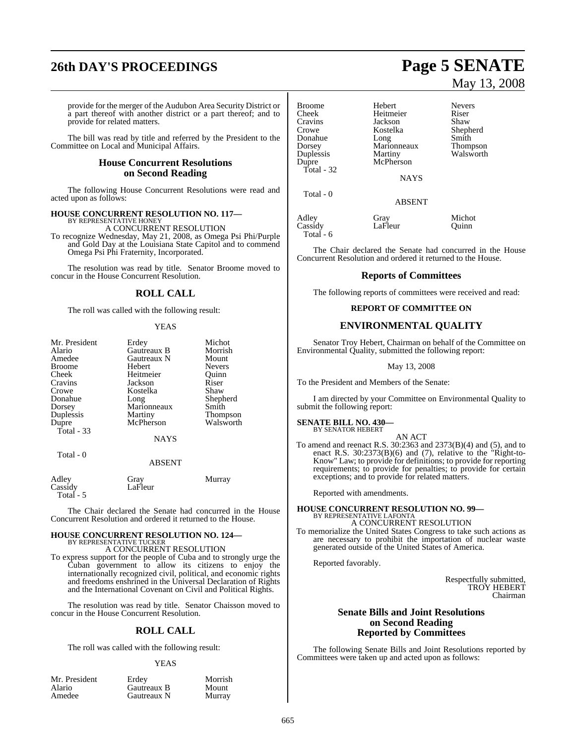# **26th DAY'S PROCEEDINGS Page 5 SENATE**

provide for the merger of the Audubon Area Security District or a part thereof with another district or a part thereof; and to provide for related matters.

The bill was read by title and referred by the President to the Committee on Local and Municipal Affairs.

#### **House Concurrent Resolutions on Second Reading**

The following House Concurrent Resolutions were read and acted upon as follows:

#### **HOUSE CONCURRENT RESOLUTION NO. 117—** BY REPRESENTATIVE HONEY

A CONCURRENT RESOLUTION To recognize Wednesday, May 21, 2008, as Omega Psi Phi/Purple and Gold Day at the Louisiana State Capitol and to commend Omega Psi Phi Fraternity, Incorporated.

The resolution was read by title. Senator Broome moved to concur in the House Concurrent Resolution.

## **ROLL CALL**

The roll was called with the following result:

#### YEAS

| Mr. President | Erdey       | Michot    |
|---------------|-------------|-----------|
| Alario        | Gautreaux B | Morrish   |
| Amedee        | Gautreaux N | Mount     |
| <b>Broome</b> | Hebert      | Nevers    |
| Cheek         | Heitmeier   | Ouinn     |
| Cravins       | Jackson     | Riser     |
| Crowe         | Kostelka    | Shaw      |
| Donahue       | Long        | Shepherd  |
| Dorsey        | Marionneaux | Smith     |
| Duplessis     | Martiny     | Thompson  |
| Dupre         | McPherson   | Walsworth |
| Total - 33    |             |           |
|               | <b>NAYS</b> |           |
| Total - 0     |             |           |

#### ABSENT

| Adley     | Gray    | Murray |
|-----------|---------|--------|
| Cassidy   | LaFleur |        |
| Total - 5 |         |        |

The Chair declared the Senate had concurred in the House Concurrent Resolution and ordered it returned to the House.

# **HOUSE CONCURRENT RESOLUTION NO. 124—** BY REPRESENTATIVE TUCKER

A CONCURRENT RESOLUTION

To express support for the people of Cuba and to strongly urge the Cuban government to allow its citizens to enjoy the internationally recognized civil, political, and economic rights and freedoms enshrined in the Universal Declaration of Rights and the International Covenant on Civil and Political Rights.

The resolution was read by title. Senator Chaisson moved to concur in the House Concurrent Resolution.

### **ROLL CALL**

The roll was called with the following result:

#### YEAS

| Mr. President |
|---------------|
| Alario        |
| Amedee        |

Erdey Morrish<br>Gautreaux B Mount Gautreaux B Mount<br>
Gautreaux N Murray **Gautreaux N** 

# May 13, 2008

| <b>Broome</b><br>Cheek<br>Cravins<br>Crowe<br>Donahue<br>Dorsey<br>Duplessis<br>Dupre<br>Total - 32 | Hebert<br>Heitmeier<br>Jackson<br>Kostelka<br>Long<br>Marionneaux<br>Martiny<br>McPherson<br><b>NAYS</b> | <b>Nevers</b><br>Riser<br>Shaw<br>Shepherd<br>Smith<br>Thompson<br>Walsworth |
|-----------------------------------------------------------------------------------------------------|----------------------------------------------------------------------------------------------------------|------------------------------------------------------------------------------|
| Total - 0                                                                                           | <b>ABSENT</b>                                                                                            |                                                                              |
| Adley<br>Cassidy<br>Total - 6                                                                       | Gray<br>LaFleur                                                                                          | Michot<br>Ouinn                                                              |

The Chair declared the Senate had concurred in the House Concurrent Resolution and ordered it returned to the House.

#### **Reports of Committees**

The following reports of committees were received and read:

#### **REPORT OF COMMITTEE ON**

#### **ENVIRONMENTAL QUALITY**

Senator Troy Hebert, Chairman on behalf of the Committee on Environmental Quality, submitted the following report:

#### May 13, 2008

To the President and Members of the Senate:

I am directed by your Committee on Environmental Quality to submit the following report:

# **SENATE BILL NO. 430—** BY SENATOR HEBERT

AN ACT

To amend and reenact R.S. 30:2363 and 2373(B)(4) and (5), and to enact R.S. 30:2373(B)(6) and (7), relative to the "Right-to-Know" Law; to provide for definitions; to provide for reporting requirements; to provide for penalties; to provide for certain exceptions; and to provide for related matters.

Reported with amendments.

**HOUSE CONCURRENT RESOLUTION NO. 99—** BY REPRESENTATIVE LAFONTA A CONCURRENT RESOLUTION

To memorialize the United States Congress to take such actions as are necessary to prohibit the importation of nuclear waste generated outside of the United States of America.

Reported favorably.

Respectfully submitted, TROY HEBERT Chairman

#### **Senate Bills and Joint Resolutions on Second Reading Reported by Committees**

The following Senate Bills and Joint Resolutions reported by Committees were taken up and acted upon as follows: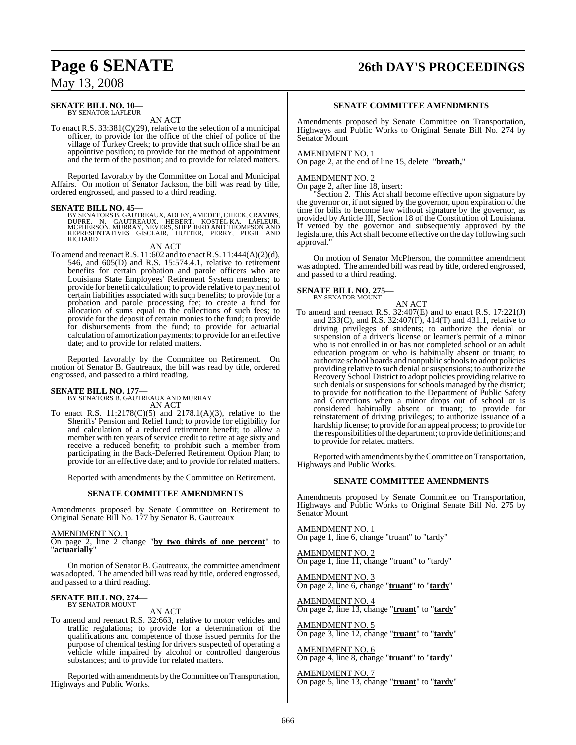# **Page 6 SENATE 26th DAY'S PROCEEDINGS**

## May 13, 2008

#### **SENATE BILL NO. 10—** BY SENATOR LAFLEUR

AN ACT

To enact R.S. 33:381(C)(29), relative to the selection of a municipal officer, to provide for the office of the chief of police of the village of Turkey Creek; to provide that such office shall be an appointive position; to provide for the method of appointment and the term of the position; and to provide for related matters.

Reported favorably by the Committee on Local and Municipal Affairs. On motion of Senator Jackson, the bill was read by title, ordered engrossed, and passed to a third reading.

 $\begin{tabular}{ll} \textbf{SENATE BILL NO. 45—} \\ \textbf{BY SENATOES B. GAUTREAUX, ADLEY, AMEDEE, CHEEK, CRAVINS, DUPRE, N. GAUTREAUX, HEBERT, KOSTEL KA, LAFLEUR, MCPHERSON, MURRAY, NEVERS, SHEPHERD AND THOMPSON AND REPRESENTATIVES GISCLAIR, HUTTER, PERRY, PUGH AND RICHARD \\ \end{tabular}$ 

#### AN ACT

To amend and reenact R.S.  $11:602$  and to enact R.S.  $11:444(A)(2)(d)$ , 546, and 605(D) and R.S. 15:574.4.1, relative to retirement benefits for certain probation and parole officers who are Louisiana State Employees' Retirement System members; to provide for benefit calculation; to provide relative to payment of certain liabilities associated with such benefits; to provide for a probation and parole processing fee; to create a fund for allocation of sums equal to the collections of such fees; to provide for the deposit of certain monies to the fund; to provide for disbursements from the fund; to provide for actuarial calculation of amortization payments; to provide for an effective date; and to provide for related matters.

Reported favorably by the Committee on Retirement. On motion of Senator B. Gautreaux, the bill was read by title, ordered engrossed, and passed to a third reading.

**SENATE BILL NO. 177—** BY SENATORS B. GAUTREAUX AND MURRAY AN ACT

To enact R.S.  $11:2178(C)(5)$  and  $2178.1(A)(3)$ , relative to the Sheriffs' Pension and Relief fund; to provide for eligibility for and calculation of a reduced retirement benefit; to allow a member with ten years of service credit to retire at age sixty and receive a reduced benefit; to prohibit such a member from participating in the Back-Deferred Retirement Option Plan; to provide for an effective date; and to provide for related matters.

Reported with amendments by the Committee on Retirement.

#### **SENATE COMMITTEE AMENDMENTS**

Amendments proposed by Senate Committee on Retirement to Original Senate Bill No. 177 by Senator B. Gautreaux

#### AMENDMENT NO. 1

On page 2, line 2 change "**by two thirds of one percent**" to "**actuarially**"

On motion of Senator B. Gautreaux, the committee amendment was adopted. The amended bill was read by title, ordered engrossed, and passed to a third reading.

#### **SENATE BILL NO. 274—** BY SENATOR MOUNT

AN ACT

To amend and reenact R.S. 32:663, relative to motor vehicles and traffic regulations; to provide for a determination of the qualifications and competence of those issued permits for the purpose of chemical testing for drivers suspected of operating a vehicle while impaired by alcohol or controlled dangerous substances; and to provide for related matters.

Reported with amendments by theCommittee on Transportation, Highways and Public Works.

#### **SENATE COMMITTEE AMENDMENTS**

Amendments proposed by Senate Committee on Transportation, Highways and Public Works to Original Senate Bill No. 274 by Senator Mount

#### AMENDMENT NO. 1

On page 2, at the end of line 15, delete "**breath,**"

#### AMENDMENT NO. 2

On page 2, after line 18, insert:

Section 2. This Act shall become effective upon signature by the governor or, if not signed by the governor, upon expiration of the time for bills to become law without signature by the governor, as provided by Article III, Section 18 of the Constitution of Louisiana. If vetoed by the governor and subsequently approved by the legislature, this Actshall become effective on the day following such approval.

On motion of Senator McPherson, the committee amendment was adopted. The amended bill was read by title, ordered engrossed, and passed to a third reading.

# **SENATE BILL NO. 275—** BY SENATOR MOUNT

AN ACT To amend and reenact R.S. 32:407(E) and to enact R.S. 17:221(J) and 233(C), and R.S. 32:407(F), 414(T) and 431.1, relative to driving privileges of students; to authorize the denial or suspension of a driver's license or learner's permit of a minor who is not enrolled in or has not completed school or an adult education program or who is habitually absent or truant; to authorize school boards and nonpublic schoolsto adopt policies providing relative to such denial or suspensions; to authorize the Recovery School District to adopt policies providing relative to such denials or suspensions for schools managed by the district; to provide for notification to the Department of Public Safety and Corrections when a minor drops out of school or is considered habitually absent or truant; to provide for reinstatement of driving privileges; to authorize issuance of a hardship license; to provide for an appeal process; to provide for the responsibilities of the department; to provide definitions; and to provide for related matters.

Reported with amendments by the Committee on Transportation, Highways and Public Works.

#### **SENATE COMMITTEE AMENDMENTS**

Amendments proposed by Senate Committee on Transportation, Highways and Public Works to Original Senate Bill No. 275 by Senator Mount

AMENDMENT NO. 1

On page 1, line 6, change "truant" to "tardy"

AMENDMENT NO. 2 On page 1, line 11, change "truant" to "tardy"

AMENDMENT NO. 3 On page 2, line 6, change "**truant**" to "**tardy**"

AMENDMENT NO. 4 On page 2, line 13, change "**truant**" to "**tardy**"

AMENDMENT NO. 5 On page 3, line 12, change "**truant**" to "**tardy**"

AMENDMENT NO. 6 On page 4, line 8, change "**truant**" to "**tardy**"

AMENDMENT NO. 7 On page 5, line 13, change "**truant**" to "**tardy**"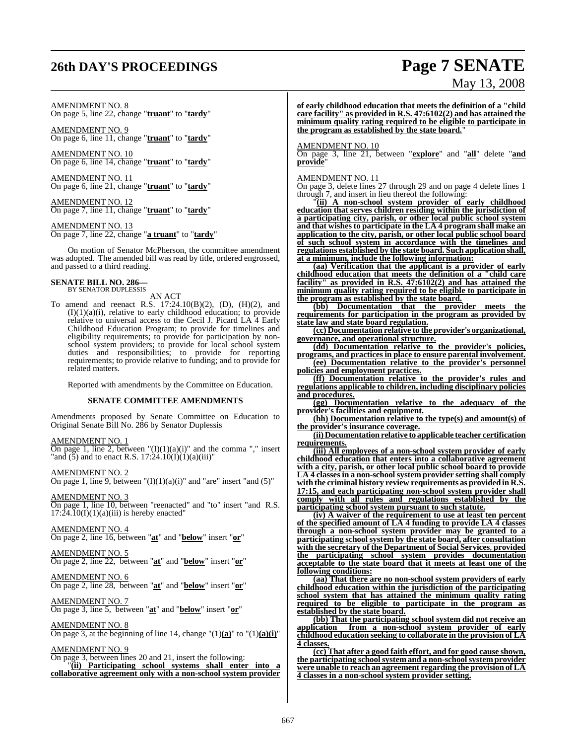# **26th DAY'S PROCEEDINGS Page 7 SENATE**

#### AMENDMENT NO. 8

On page 5, line 22, change "**truant**" to "**tardy**"

AMENDMENT NO. 9 On page 6, line 11, change "**truant**" to "**tardy**"

AMENDMENT NO. 10 On page 6, line 14, change "**truant**" to "**tardy**"

AMENDMENT NO. 11 On page 6, line 21, change "**truant**" to "**tardy**"

AMENDMENT NO. 12 On page 7, line 11, change "**truant**" to "**tardy**"

AMENDMENT NO. 13

On page 7, line 22, change "**a truant**" to "**tardy**"

On motion of Senator McPherson, the committee amendment was adopted. The amended bill was read by title, ordered engrossed, and passed to a third reading.

# **SENATE BILL NO. 286—** BY SENATOR DUPLESSIS

AN ACT

To amend and reenact R.S. 17:24.10(B)(2), (D), (H)(2), and  $(I)(1)(a)(i)$ , relative to early childhood education; to provide relative to universal access to the Cecil J. Picard LA 4 Early Childhood Education Program; to provide for timelines and eligibility requirements; to provide for participation by nonschool system providers; to provide for local school system duties and responsibilities; to provide for reporting requirements; to provide relative to funding; and to provide for related matters.

Reported with amendments by the Committee on Education.

#### **SENATE COMMITTEE AMENDMENTS**

Amendments proposed by Senate Committee on Education to Original Senate Bill No. 286 by Senator Duplessis

AMENDMENT NO. 1

On page 1, line 2, between  $T(I)(1)(a)(i)$  and the comma "," insert "and  $(5)$  and to enact R.S. 17:24.10(I)(1)(a)(iii)"

AMENDMENT NO. 2 On page 1, line 9, between  $\mathrm{T}(I)(1)(a)(i)$ " and "are" insert "and (5)"

AMENDMENT NO. 3

On page 1, line 10, between "reenacted" and "to" insert "and R.S.  $17:24.10(I)(1)(a)(iii)$  is hereby enacted"

## AMENDMENT NO. 4

On page 2, line 16, between "**at**" and "**below**" insert "**or**"

#### AMENDMENT NO. 5

On page 2, line 22, between "**at**" and "**below**" insert "**or**"

#### AMENDMENT NO. 6

On page 2, line 28, between "**at**" and "**below**" insert "**or**"

#### AMENDMENT NO. 7

On page 3, line 5, between "**at**" and "**below**" insert "**or**"

AMENDMENT NO. 8 On page 3, at the beginning of line 14, change " $(1)(a)$ " to " $(1)(a)(i)$ "

AMENDMENT NO. 9 On page 3, between lines 20 and 21, insert the following: "**(ii) Participating school systems shall enter into a collaborative agreement only with a non-school system provider**

# May 13, 2008

**of early childhood education that meets the definition of a "child care facility" as provided in R.S. 47:6102(2) and has attained the minimum quality rating required to be eligible to participate in the program as established by the state board.**"

#### AMENDMENT NO. 10

On page 3, line 21, between "**explore**" and "**all**" delete "**and provide**"

#### AMENDMENT NO. 11

On page 3, delete lines 27 through 29 and on page 4 delete lines 1 through 7, and insert in lieu thereof the following:

"**(ii) A non-school system provider of early childhood education that serves children residing within the jurisdiction of a participating city, parish, or other local public school system and that wishes to participate in the LA 4 program shall make an application to the city, parish, or other local public school board of such school system in accordance with the timelines and regulations established by the state board. Such application shall, at a minimum, include the following information:**

**(aa) Verification that the applicant is a provider of early childhood education that meets the definition of a "child care facility" as provided in R.S. 47:6102(2) and has attained the minimum quality rating required to be eligible to participate in the program as established by the state board.**

**(bb) Documentation that the provider meets the requirements for participation in the program as provided by state law and state board regulation.**

**(cc) Documentation relative to the provider's organizational, governance, and operational structure.**

**(dd) Documentation relative to the provider's policies, programs, and practices in place to ensure parental involvement.**

**(ee) Documentation relative to the provider's personnel policies and employment practices.**

**(ff) Documentation relative to the provider's rules and regulations applicable to children, including disciplinary policies and procedures.**

**(gg) Documentation relative to the adequacy of the provider's facilities and equipment.**

**(hh) Documentation relative to the type(s) and amount(s) of the provider's insurance coverage.**

**(ii) Documentation relative to applicable teacher certification requirements.**

**(iii) All employees of a non-school system provider of early childhood education that enters into a collaborative agreement with a city, parish, or other local public school board to provide LA 4 classes in a non-school system provider setting shall comply with the criminal history review requirements as provided in R.S. 17:15, and each participating non-school system provider shall comply with all rules and regulations established by the participating school system pursuant to such statute.**

**(iv) A waiver of the requirement to use at least ten percent of the specified amount of LA 4 funding to provide LA 4 classes through a non-school system provider may be granted to a participating school system by the state board, after consultation with the secretary of the Department of Social Services**, **provided the participating school system provides documentation acceptable to the state board that it meets at least one of the following conditions:**

**(aa) That there are no non-school system providers of early childhood education within the jurisdiction of the participating school system that has attained the minimum quality rating required to be eligible to participate in the program as established by the state board.**

**(bb) That the participating school system did not receive an application from a non-school system provider of early childhood education seeking to collaborate in the provision of LA 4 classes.**

**(cc) That after a good faith effort, and for good cause shown, the participating schoolsystem and a non-schoolsystem provider were unable to reach an agreement regarding the provision of LA 4 classes in a non-school system provider setting.**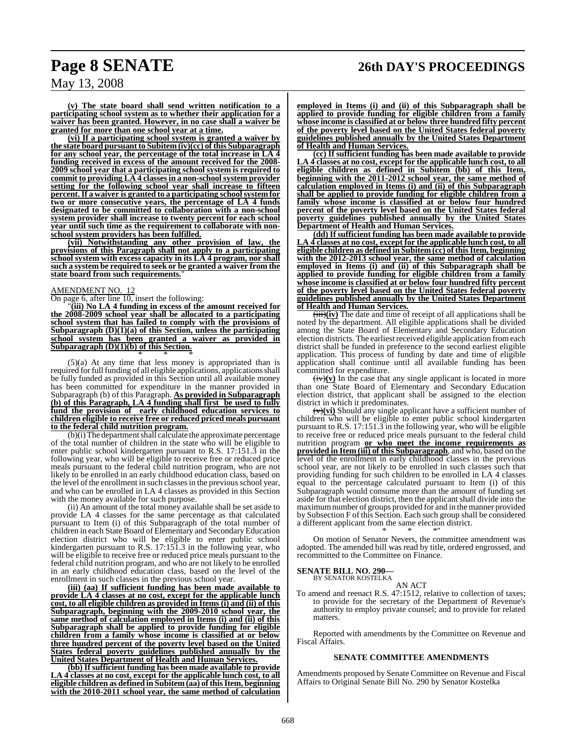**(v) The state board shall send written notification to a participating school system as to whether their application for a waiver has been granted. However, in no case shall a waiver be granted for more than one school year at a time.**

**(vi) If a participating school system is granted a waiver by the state board pursuant to Subitem (iv)(cc) of this Subparagraph for any school year, the percentage of the total increase in LA 4 funding received in excess of the amount received for the 2008- 2009 school year that a participating school system is required to commit to providing LA 4 classesin a non-schoolsystem provider setting for the following school year shall increase to fifteen percent.If a waiver is granted to a participating schoolsystem for two or more consecutive years, the percentage of LA 4 funds designated to be committed to collaboration with a non-school system provider shall increase to twenty percent for each school year until such time as the requirement to collaborate with nonschool system providers has been fulfilled.**

**(vii) Notwithstanding any other provision of law, the provisions of this Paragraph shall not apply to a participating school system with excess capacity in its LA 4 program, nor shall such a system be required to seek or be granted a waiver from the state board from such requirements.**"

#### AMENDMENT NO. 12

On page 6, after line 10, insert the following:

"**(iii) No LA 4 funding in excess of the amount received for the 2008-2009 school year shall be allocated to a participating school system that has failed to comply with the provisions of Subparagraph (D)(1)(a) of this Section, unless the participating school system has been granted a waiver as provided in Subparagraph (D)(1)(b) of this Section.**

\* \* \* (5)(a) At any time that less money is appropriated than is required for full funding of all eligible applications, applications shall be fully funded as provided in this Section until all available money has been committed for expenditure in the manner provided in Subparagraph (b) of this Paragraph. **As provided in Subparagraph (b) of this Paragraph, LA 4 funding shall first be used to fully fund the provision of early childhood education services to children eligible to receive free or reduced priced meals pursuant to the federal child nutrition program.**

(b)(i) The department shall calculate the approximate percentage of the total number of children in the state who will be eligible to enter public school kindergarten pursuant to R.S. 17:151.3 in the following year, who will be eligible to receive free or reduced price meals pursuant to the federal child nutrition program, who are not likely to be enrolled in an early childhood education class, based on the level of the enrollment in such classes in the previous school year, and who can be enrolled in LA 4 classes as provided in this Section with the money available for such purpose.

(ii) An amount of the total money available shall be set aside to provide LA 4 classes for the same percentage as that calculated pursuant to Item (i) of this Subparagraph of the total number of children in each State Board of Elementary and Secondary Education election district who will be eligible to enter public school kindergarten pursuant to R.S. 17:151.3 in the following year, who will be eligible to receive free or reduced price meals pursuant to the federal child nutrition program, and who are not likely to be enrolled in an early childhood education class, based on the level of the enrollment in such classes in the previous school year.

**(iii) (aa) If sufficient funding has been made available to provide LA 4 classes at no cost, except for the applicable lunch cost, to all eligible children as provided in Items (i) and (ii) of this Subparagraph, beginning with the 2009-2010 school year, the same method of calculation employed in Items (i) and (ii) of this Subparagraph shall be applied to provide funding for eligible children from a family whose income is classified at or below three hundred percent of the poverty level based on the United States federal poverty guidelines published annually by the United States Department of Health and Human Services.**

**(bb) If sufficient funding has been made available to provide LA 4 classes at no cost, except for the applicable lunch cost, to all eligible children as defined in Subitem (aa) ofthisItem, beginning with the 2010-2011 school year, the same method of calculation**

**employed in Items (i) and (ii) of this Subparagraph shall be applied to provide funding for eligible children from a family whose income is classified at or below three hundred fifty percent of the poverty level based on the United States federal poverty guidelines published annually by the United States Department of Health and Human Services.**

**(cc) If sufficient funding has been made available to provide LA 4 classes at no cost, except for the applicable lunch cost, to all eligible children as defined in Subitem (bb) of this Item, beginning with the 2011-2012 school year, the same method of calculation employed in Items (i) and (ii) of this Subparagraph shall be applied to provide funding for eligible children from a family whose income is classified at or below four hundred percent of the poverty level based on the United States federal poverty guidelines published annually by the United States Department of Health and Human Services.**

**(dd) If sufficient funding has been made available to provide LA 4 classes at no cost, except for the applicable lunch cost, to all i children** as **defined in Subitem** (cc) of **this Item**, **beginning with the 2012-2013 school year, the same method of calculation employed in Items (i) and (ii) of this Subparagraph shall be applied to provide funding for eligible children from a family whose income is classified at or below four hundred fifty percent of the poverty level based on the United States federal poverty guidelines published annually by the United States Department of Health and Human Services.**

(iii)(iv) The date and time of receipt of all applications shall be noted by the department. All eligible applications shall be divided among the State Board of Elementary and Secondary Education election districts. The earliest received eligible application from each district shall be funded in preference to the second earliest eligible application. This process of funding by date and time of eligible application shall continue until all available funding has been committed for expenditure.

 $(\overline{iv})(\overline{v})$  In the case that any single applicant is located in more than one State Board of Elementary and Secondary Education election district, that applicant shall be assigned to the election district in which it predominates.

(v)**(vi)** Should any single applicant have a sufficient number of children who will be eligible to enter public school kindergarten pursuant to R.S.  $17:151.3$  in the following year, who will be eligible to receive free or reduced price meals pursuant to the federal child nutrition program **or who meet the income requirements as provided in Item (iii) of this Subparagraph**, and who, based on the level of the enrollment in early childhood classes in the previous school year, are not likely to be enrolled in such classes such that providing funding for such children to be enrolled in LA 4 classes equal to the percentage calculated pursuant to Item (i) of this Subparagraph would consume more than the amount of funding set aside for that election district, then the applicant shall divide into the maximumnumber of groups provided for and in the manner provided by Subsection F of this Section. Each such group shall be considered a different applicant from the same election district.

\* \* \*" On motion of Senator Nevers, the committee amendment was adopted. The amended bill was read by title, ordered engrossed, and recommitted to the Committee on Finance.

#### **SENATE BILL NO. 290—** BY SENATOR KOSTELKA

AN ACT

To amend and reenact R.S. 47:1512, relative to collection of taxes; to provide for the secretary of the Department of Revenue's authority to employ private counsel; and to provide for related matters.

Reported with amendments by the Committee on Revenue and Fiscal Affairs.

#### **SENATE COMMITTEE AMENDMENTS**

Amendments proposed by Senate Committee on Revenue and Fiscal Affairs to Original Senate Bill No. 290 by Senator Kostelka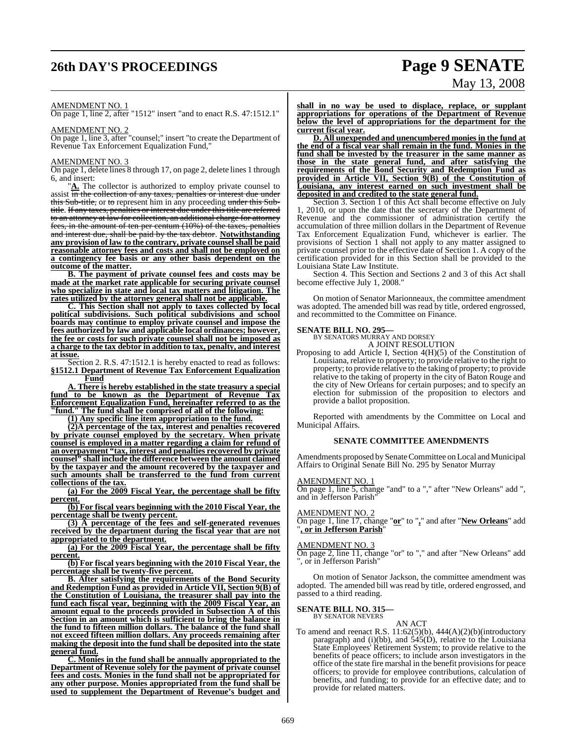# **26th DAY'S PROCEEDINGS Page 9 SENATE**

# May 13, 2008

#### AMENDMENT NO. 1

On page 1, line 2, after "1512" insert "and to enact R.S. 47:1512.1"

#### AMENDMENT NO. 2

On page 1, line 3, after "counsel;" insert "to create the Department of Revenue Tax Enforcement Equalization Fund,"

#### AMENDMENT NO. 3

On page 1, delete lines 8 through 17, on page 2, delete lines 1 through 6, and insert:

"**A.** The collector is authorized to employ private counsel to assist in the collection of any taxes, penalties or interest due under this Sub-title, or to represent him in any proceeding under this Subtitle. If any taxes, penalties or interest due under this title are referred to an attorney at law for collection, an additional charge for attorney fees, in the amount of ten per centum (10%) of the taxes, penalties and interest due, shall be paid by the tax debtor. **Notwithstanding any provision of law to the contrary, private counselshall be paid reasonable attorney fees and costs and shall not be employed on a contingency fee basis or any other basis dependent on the outcome of the matter.**

**B. The payment of private counsel fees and costs may be made at the market rate applicable for securing private counsel who specialize in state and local tax matters and litigation. The rates utilized by the attorney general shall not be applicable.**

**C. This Section shall not apply to taxes collected by local political subdivisions. Such political subdivisions and school boards may continue to employ private counsel and impose the fees authorized by law and applicable local ordinances; however, the fee or costs for such private counsel shall not be imposed as a charge to the tax debtor in addition to tax, penalty, and interest at issue.**

Section 2. R.S. 47:1512.1 is hereby enacted to read as follows: **§1512.1 Department of Revenue Tax Enforcement Equalization Fund**

**A. There is hereby established in the state treasury a special fund to be known as the Department of Revenue Tax Enforcement Equalization Fund, hereinafter referred to as the "fund." The fund shall be comprised of all of the following:**

**(1) Any specific line item appropriation to the fund.**

**(2)A percentage of the tax, interest and penalties recovered by private counsel employed by the secretary. When private counsel is employed in a matter regarding a claim for refund of an overpayment "tax, interest and penalties recovered by private counsel" shall include the difference between the amount claimed by the taxpayer and the amount recovered by the taxpayer and such amounts shall be transferred to the fund from current collections of the tax.**

**(a) For the 2009 Fiscal Year, the percentage shall be fifty percent.**

**(b) For fiscal years beginning with the 2010 Fiscal Year, the percentage shall be twenty percent.**

**(3) A percentage of the fees and self-generated revenues received by the department during the fiscal year that are not appropriated to the department.**

**(a) For the 2009 Fiscal Year, the percentage shall be fifty percent.**

**(b) For fiscal years beginning with the 2010 Fiscal Year, the percentage shall be twenty-five percent.**

**B. After satisfying the requirements of the Bond Security and Redemption Fund as provided in Article VII, Section 9(B) of the Constitution of Louisiana, the treasurer shall pay into the fund each fiscal year, beginning with the 2009 Fiscal Year, an amount equal to the proceeds provided in Subsection A of this Section in an amount which is sufficient to bring the balance in the fund to fifteen million dollars. The balance of the fund shall not exceed fifteen million dollars. Any proceeds remaining after making the deposit into the fund shall be deposited into the state general fund.**

**C. Monies in the fund shall be annually appropriated to the Department of Revenue solely for the payment of private counsel fees and costs. Monies in the fund shall not be appropriated for any other purpose. Monies appropriated from the fund shall be used to supplement the Department of Revenue's budget and**

**shall in no way be used to displace, replace, or supplant appropriations for operations of the Department of Revenue below the level of appropriations for the department for the current fiscal year.**

**D. All unexpended and unencumbered monies in the fund at the end of a fiscal year shall remain in the fund. Monies in the fund shall be invested by the treasurer in the same manner as those in the state general fund, and after satisfying the requirements of the Bond Security and Redemption Fund as provided in Article VII, Section 9(B) of the Constitution of Louisiana, any interest earned on such investment shall be deposited in and credited to the state general fund.**

Section 3. Section 1 of this Act shall become effective on July 1, 2010, or upon the date that the secretary of the Department of Revenue and the commissioner of administration certify the accumulation of three million dollars in the Department of Revenue Tax Enforcement Equalization Fund, whichever is earlier. The provisions of Section 1 shall not apply to any matter assigned to private counsel prior to the effective date of Section 1. A copy of the certification provided for in this Section shall be provided to the Louisiana State Law Institute.

Section 4. This Section and Sections 2 and 3 of this Act shall become effective July 1, 2008."

On motion of Senator Marionneaux, the committee amendment was adopted. The amended bill was read by title, ordered engrossed, and recommitted to the Committee on Finance.

# **SENATE BILL NO. 295—** BY SENATORS MURRAY AND DORSEY

A JOINT RESOLUTION

Proposing to add Article I, Section 4(H)(5) of the Constitution of Louisiana, relative to property; to provide relative to the right to property; to provide relative to the taking of property; to provide relative to the taking of property in the city of Baton Rouge and the city of New Orleans for certain purposes; and to specify an election for submission of the proposition to electors and provide a ballot proposition.

Reported with amendments by the Committee on Local and Municipal Affairs.

#### **SENATE COMMITTEE AMENDMENTS**

Amendments proposed by Senate Committee on Local and Municipal Affairs to Original Senate Bill No. 295 by Senator Murray

#### AMENDMENT NO. 1

On page 1, line 5, change "and" to a "," after "New Orleans" add ", and in Jefferson Parish"

#### AMENDMENT NO. 2

On page 1, line 17, change "**or**" to "**,**" and after "**New Orleans**" add "**, or in Jefferson Parish**"

#### AMENDMENT NO. 3

On page 2, line 11, change "or" to "," and after "New Orleans" add ", or in Jefferson Parish"

On motion of Senator Jackson, the committee amendment was adopted. The amended bill was read by title, ordered engrossed, and passed to a third reading.

# **SENATE BILL NO. 315—** BY SENATOR NEVERS

AN ACT

To amend and reenact R.S. 11:62(5)(b), 444(A)(2)(b)(introductory paragraph) and (i)(bb), and 545(D), relative to the Louisiana State Employees' Retirement System; to provide relative to the benefits of peace officers; to include arson investigators in the office of the state fire marshal in the benefit provisions for peace officers; to provide for employee contributions, calculation of benefits, and funding; to provide for an effective date; and to provide for related matters.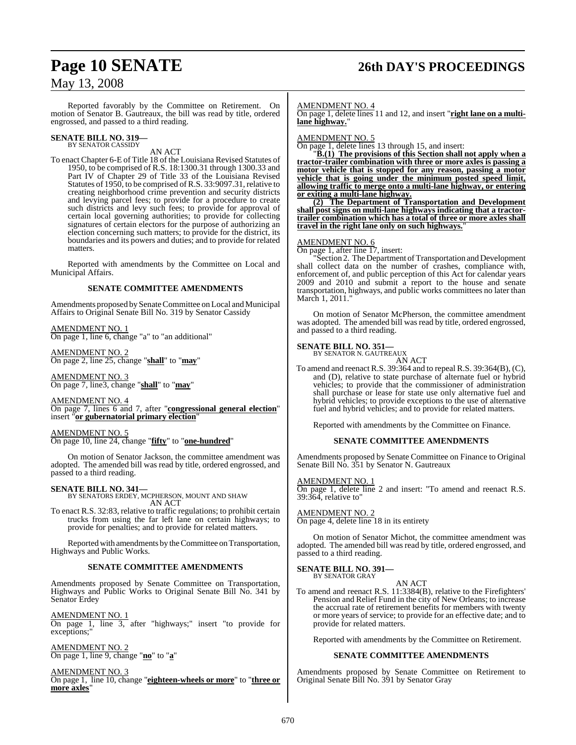# **Page 10 SENATE 26th DAY'S PROCEEDINGS**

## May 13, 2008

Reported favorably by the Committee on Retirement. On motion of Senator B. Gautreaux, the bill was read by title, ordered engrossed, and passed to a third reading.

# **SENATE BILL NO. 319—** BY SENATOR CASSIDY

AN ACT

To enact Chapter 6-E of Title 18 of the Louisiana Revised Statutes of 1950, to be comprised of R.S. 18:1300.31 through 1300.33 and Part IV of Chapter 29 of Title 33 of the Louisiana Revised Statutes of 1950, to be comprised ofR.S. 33:9097.31, relative to creating neighborhood crime prevention and security districts and levying parcel fees; to provide for a procedure to create such districts and levy such fees; to provide for approval of certain local governing authorities; to provide for collecting signatures of certain electors for the purpose of authorizing an election concerning such matters; to provide for the district, its boundaries and its powers and duties; and to provide for related matters.

Reported with amendments by the Committee on Local and Municipal Affairs.

#### **SENATE COMMITTEE AMENDMENTS**

Amendments proposed by Senate Committee on Local and Municipal Affairs to Original Senate Bill No. 319 by Senator Cassidy

AMENDMENT NO. 1

On page 1, line 6, change "a" to "an additional"

AMENDMENT NO. 2 On page 2, line 25, change "**shall**" to "**may**"

AMENDMENT NO. 3 On page 7, line3, change "**shall**" to "**may**"

AMENDMENT NO. 4 On page 7, lines 6 and 7, after "**congressional general election**" insert "**or gubernatorial primary election**"

AMENDMENT NO. 5 On page 10, line 24, change "**fifty**" to "**one-hundred**"

On motion of Senator Jackson, the committee amendment was adopted. The amended bill was read by title, ordered engrossed, and passed to a third reading.

#### **SENATE BILL NO. 341—**

BY SENATORS ERDEY, MCPHERSON, MOUNT AND SHAW AN ACT

To enact R.S. 32:83, relative to traffic regulations; to prohibit certain trucks from using the far left lane on certain highways; to provide for penalties; and to provide for related matters.

Reported with amendments by the Committee on Transportation, Highways and Public Works.

#### **SENATE COMMITTEE AMENDMENTS**

Amendments proposed by Senate Committee on Transportation, Highways and Public Works to Original Senate Bill No. 341 by Senator Erdey

AMENDMENT NO. 1 On page 1, line 3, after "highways;" insert "to provide for exceptions;"

AMENDMENT NO. 2 On page 1, line 9, change "**no**" to "**a**"

AMENDMENT NO. 3 On page 1, line 10, change "**eighteen-wheels or more**" to "**three or more axles**"

AMENDMENT NO. 4

On page 1, delete lines 11 and 12, and insert "**right lane on a multilane highway.**"

#### AMENDMENT NO. 5

On page 1, delete lines 13 through 15, and insert:

"**B.(1) The provisions of this Section shall not apply when a tractor-trailer combination with three or more axles is passing a motor vehicle that is stopped for any reason, passing a motor vehicle that is going under the minimum posted speed limit, allowing traffic to merge onto a multi-lane highway, or entering or exiting a multi-lane highway.**

**(2) The Department of Transportation and Development shall post signs on multi-lane highways indicating that a tractortrailer combination which has a total of three or more axles shall travel in the right lane only on such highways.**"

#### AMENDMENT NO. 6

On page 1, after line 17, insert:

"Section 2. The Department of Transportation and Development shall collect data on the number of crashes, compliance with, enforcement of, and public perception of this Act for calendar years 2009 and 2010 and submit a report to the house and senate transportation, highways, and public works committees no later than March 1, 2011.'

On motion of Senator McPherson, the committee amendment was adopted. The amended bill was read by title, ordered engrossed, and passed to a third reading.

**SENATE BILL NO. 351—**

BY SENATOR N. GAUTREAUX AN ACT

To amend and reenact R.S. 39:364 and to repeal R.S. 39:364(B), (C), and (D), relative to state purchase of alternate fuel or hybrid vehicles; to provide that the commissioner of administration shall purchase or lease for state use only alternative fuel and hybrid vehicles; to provide exceptions to the use of alternative fuel and hybrid vehicles; and to provide for related matters.

Reported with amendments by the Committee on Finance.

#### **SENATE COMMITTEE AMENDMENTS**

Amendments proposed by Senate Committee on Finance to Original Senate Bill No. 351 by Senator N. Gautreaux

#### AMENDMENT NO. 1

On page 1, delete line 2 and insert: "To amend and reenact R.S. 39:364, relative to"

AMENDMENT NO. 2

On page 4, delete line 18 in its entirety

On motion of Senator Michot, the committee amendment was adopted. The amended bill was read by title, ordered engrossed, and passed to a third reading.

# **SENATE BILL NO. 391—** BY SENATOR GRAY

AN ACT

To amend and reenact R.S. 11:3384(B), relative to the Firefighters' Pension and Relief Fund in the city of New Orleans; to increase the accrual rate of retirement benefits for members with twenty or more years of service; to provide for an effective date; and to provide for related matters.

Reported with amendments by the Committee on Retirement.

#### **SENATE COMMITTEE AMENDMENTS**

Amendments proposed by Senate Committee on Retirement to Original Senate Bill No. 391 by Senator Gray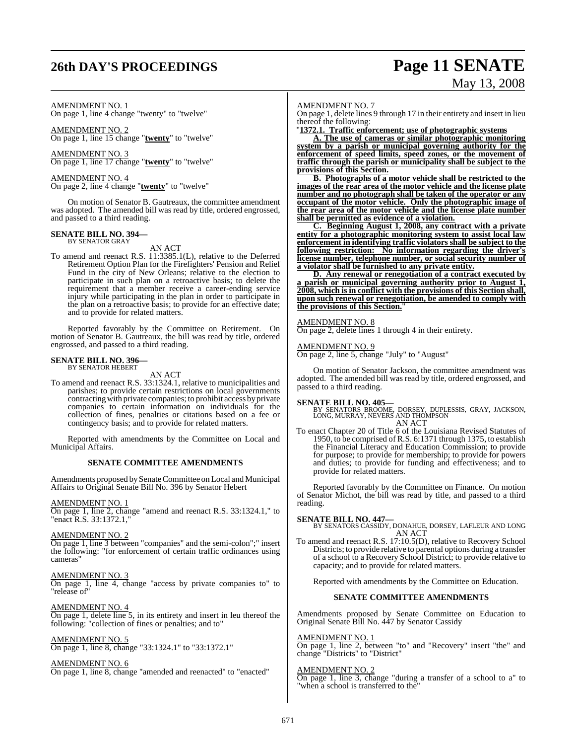# **26th DAY'S PROCEEDINGS Page 11 SENATE**

# May 13, 2008

## AMENDMENT NO. 1

On page 1, line 4 change "twenty" to "twelve"

AMENDMENT NO. 2 On page 1, line 15 change "**twenty**" to "twelve"

AMENDMENT NO. 3 On page 1, line 17 change "**twenty**" to "twelve"

AMENDMENT NO. 4 On page 2, line 4 change "**twenty**" to "twelve"

On motion of Senator B. Gautreaux, the committee amendment was adopted. The amended bill was read by title, ordered engrossed, and passed to a third reading.

# **SENATE BILL NO. 394—** BY SENATOR GRAY

AN ACT

To amend and reenact R.S. 11:3385.1(L), relative to the Deferred Retirement Option Plan for the Firefighters' Pension and Relief Fund in the city of New Orleans; relative to the election to participate in such plan on a retroactive basis; to delete the requirement that a member receive a career-ending service injury while participating in the plan in order to participate in the plan on a retroactive basis; to provide for an effective date; and to provide for related matters.

Reported favorably by the Committee on Retirement. On motion of Senator B. Gautreaux, the bill was read by title, ordered engrossed, and passed to a third reading.

# **SENATE BILL NO. 396—** BY SENATOR HEBERT

AN ACT

To amend and reenact R.S. 33:1324.1, relative to municipalities and parishes; to provide certain restrictions on local governments contracting with private companies; to prohibit access by private companies to certain information on individuals for the collection of fines, penalties or citations based on a fee or contingency basis; and to provide for related matters.

Reported with amendments by the Committee on Local and Municipal Affairs.

#### **SENATE COMMITTEE AMENDMENTS**

Amendments proposed by Senate Committee on Local and Municipal Affairs to Original Senate Bill No. 396 by Senator Hebert

#### AMENDMENT NO. 1

On page 1, line 2, change "amend and reenact R.S. 33:1324.1," to "enact R.S. 33:1372.1,"

#### AMENDMENT NO. 2

On page 1, line 3 between "companies" and the semi-colon";" insert the following: "for enforcement of certain traffic ordinances using cameras"

#### AMENDMENT NO. 3

On page 1, line 4, change "access by private companies to" to "release of"

#### AMENDMENT NO. 4

On page 1, delete line 5, in its entirety and insert in leu thereof the following: "collection of fines or penalties; and to"

#### AMENDMENT NO. 5

On page 1, line 8, change "33:1324.1" to "33:1372.1"

#### AMENDMENT NO. 6

On page 1, line 8, change "amended and reenacted" to "enacted"

#### AMENDMENT NO. 7

On page 1, delete lines 9 through 17 in their entirety and insert in lieu thereof the following:

"**1372.1. Traffic enforcement; use of photographic systems**

**A. The use of cameras or similar photographic monitoring system by a parish or municipal governing authority for the enforcement of speed limits, speed zones, or the movement of traffic through the parish or municipality shall be subject to the provisions of this Section.**

**B. Photographs of a motor vehicle shall be restricted to the images of the rear area of the motor vehicle and the license plate number and no photograph shall be taken of the operator or any occupant of the motor vehicle. Only the photographic image of the rear area of the motor vehicle and the license plate number shall be permitted as evidence of a violation.**

**C. Beginning August 1, 2008, any contract with a private entity for a photographic monitoring system to assist local law enforcement in identifying traffic violators shall be subject to the following restriction: No information regarding the driver's license number, telephone number, or social security number of a violator shall be furnished to any private entity.**

**D. Any renewal or renegotiation of a contract executed by a parish or municipal governing authority prior to August 1, 2008, which is in conflict with the provisions of this Section shall, upon such renewal or renegotiation, be amended to comply with the provisions of this Section.**"

#### AM<u>ENDMENT NO. 8</u>

On page 2, delete lines 1 through 4 in their entirety.

#### AMENDMENT NO. 9

On page 2, line 5, change "July" to "August"

On motion of Senator Jackson, the committee amendment was adopted. The amended bill was read by title, ordered engrossed, and passed to a third reading.

**SENATE BILL NO. 405—** BY SENATORS BROOME, DORSEY, DUPLESSIS, GRAY, JACKSON, LONG, MURRAY, NEVERS AND THOMPSON AN ACT

To enact Chapter 20 of Title 6 of the Louisiana Revised Statutes of 1950, to be comprised of R.S. 6:1371 through 1375, to establish the Financial Literacy and Education Commission; to provide for purpose; to provide for membership; to provide for powers and duties; to provide for funding and effectiveness; and to provide for related matters.

Reported favorably by the Committee on Finance. On motion of Senator Michot, the bill was read by title, and passed to a third reading.

#### **SENATE BILL NO. 447—**

BY SENATORS CASSIDY, DONAHUE, DORSEY, LAFLEUR AND LONG AN ACT

To amend and reenact R.S. 17:10.5(D), relative to Recovery School Districts; to provide relative to parental options during a transfer of a school to a Recovery School District; to provide relative to capacity; and to provide for related matters.

Reported with amendments by the Committee on Education.

#### **SENATE COMMITTEE AMENDMENTS**

Amendments proposed by Senate Committee on Education to Original Senate Bill No. 447 by Senator Cassidy

#### AMENDMENT NO. 1

On page 1, line 2, between "to" and "Recovery" insert "the" and change "Districts" to "District"

#### AMENDMENT NO. 2

On page 1, line 3, change "during a transfer of a school to a" to 'when a school is transferred to the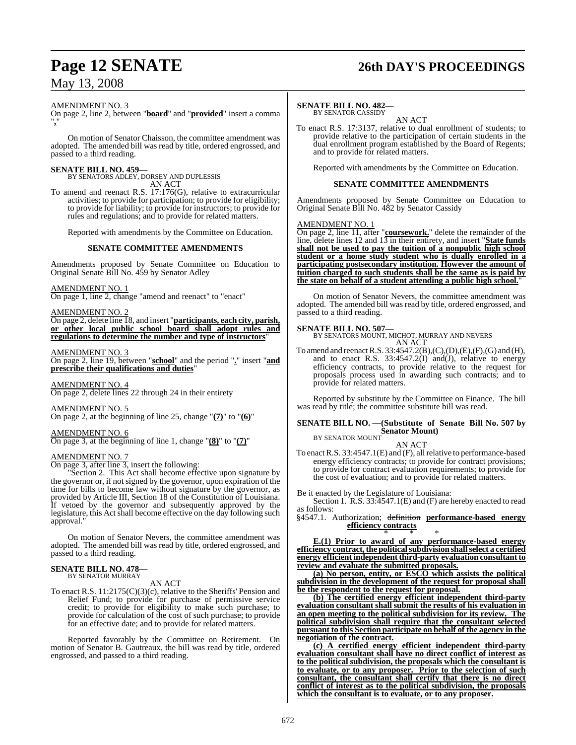# **Page 12 SENATE 26th DAY'S PROCEEDINGS**

#### AMENDMENT NO. 3

On page 2, line 2, between "**board**" and "**provided**" insert a comma "**,**"

On motion of Senator Chaisson, the committee amendment was adopted. The amended bill was read by title, ordered engrossed, and passed to a third reading.

**SENATE BILL NO. 459—** BY SENATORS ADLEY, DORSEY AND DUPLESSIS AN ACT

To amend and reenact R.S. 17:176(G), relative to extracurricular activities; to provide for participation; to provide for eligibility; to provide for liability; to provide for instructors; to provide for rules and regulations; and to provide for related matters.

Reported with amendments by the Committee on Education.

#### **SENATE COMMITTEE AMENDMENTS**

Amendments proposed by Senate Committee on Education to Original Senate Bill No. 459 by Senator Adley

#### AMENDMENT NO. 1

On page 1, line 2, change "amend and reenact" to "enact"

AMENDMENT NO. 2

On page 2, delete line 18, and insert "**participants, each city, parish, or other local public school board shall adopt rules and regulations to determine the number and type of instructors**"

#### AMENDMENT NO. 3

On page 2, line 19, between "**school**" and the period "**.**" insert "**and prescribe their qualifications and duties**"

AMENDMENT NO. 4 On page 2, delete lines 22 through 24 in their entirety

AMENDMENT NO. 5 On page 2, at the beginning of line 25, change "**(7)**" to "**(6)**"

AMENDMENT NO. 6 On page 3, at the beginning of line 1, change "**(8)**" to "**(7)**"

#### AMENDMENT NO. 7

On page 3, after line 3, insert the following:

Section 2. This Act shall become effective upon signature by the governor or, if not signed by the governor, upon expiration of the time for bills to become law without signature by the governor, as provided by Article III, Section 18 of the Constitution of Louisiana. If vetoed by the governor and subsequently approved by the legislature, this Act shall become effective on the day following such approval."

On motion of Senator Nevers, the committee amendment was adopted. The amended bill was read by title, ordered engrossed, and passed to a third reading.

# **SENATE BILL NO. 478—** BY SENATOR MURRAY

AN ACT

To enact R.S. 11:2175(C)(3)(c), relative to the Sheriffs' Pension and Relief Fund; to provide for purchase of permissive service credit; to provide for eligibility to make such purchase; to provide for calculation of the cost of such purchase; to provide for an effective date; and to provide for related matters.

Reported favorably by the Committee on Retirement. On motion of Senator B. Gautreaux, the bill was read by title, ordered engrossed, and passed to a third reading.

#### **SENATE BILL NO. 482—**

BY SENATOR CASSIDY AN ACT

To enact R.S. 17:3137, relative to dual enrollment of students; to provide relative to the participation of certain students in the dual enrollment program established by the Board of Regents; and to provide for related matters.

Reported with amendments by the Committee on Education.

#### **SENATE COMMITTEE AMENDMENTS**

Amendments proposed by Senate Committee on Education to Original Senate Bill No. 482 by Senator Cassidy

## AMENDMENT NO. 1

On page 2, line 11, after "**coursework.**" delete the remainder of the line, delete lines 12 and 13 in their entirety, and insert "**State funds shall not be used to pay the tuition of a nonpublic high school student or a home study student who is dually enrolled in a participating postsecondary institution. However the amount of tuition charged to such students shall be the same as is paid by the state on behalf of a student attending a public high school.**"

On motion of Senator Nevers, the committee amendment was adopted. The amended bill was read by title, ordered engrossed, and passed to a third reading.

**SENATE BILL NO. 507—** BY SENATORS MOUNT, MICHOT, MURRAY AND NEVERS AN ACT

To amend and reenact R.S. 33:4547.2(B),(C),(D),(E),(F),(G) and (H), and to enact R.S.  $33:4547.2(I)$  and(J), relative to energy efficiency contracts, to provide relative to the request for proposals process used in awarding such contracts; and to provide for related matters.

Reported by substitute by the Committee on Finance. The bill was read by title; the committee substitute bill was read.

## **SENATE BILL NO. —(Substitute of Senate Bill No. 507 by Senator Mount)** BY SENATOR MOUNT

AN ACT

To enact R.S. 33:4547.1(E) and (F), all relative to performance-based energy efficiency contracts; to provide for contract provisions; to provide for contract evaluation requirements; to provide for the cost of evaluation; and to provide for related matters.

Be it enacted by the Legislature of Louisiana:

Section 1. R.S. 33:4547.1(E) and (F) are hereby enacted to read as follows:

§4547.1. Authorization; definition **performance-based energy efficiency contracts**

\* \* \* **E.(1) Prior to award of any performance-based energy efficiency contract,the politicalsubdivision shallselect a certified energy efficient independent third-party evaluation consultant to review and evaluate the submitted proposals.**

**(a) No person, entity, or ESCO which assists the political subdivision in the development of the request for proposal shall be the respondent to the request for proposal.**

**(b) The certified energy efficient independent third-party evaluation consultant shall submit the results of his evaluation in an open meeting to the political subdivision for its review. The political subdivision shall require that the consultant selected pursuant to this Section participate on behalf of the agency in the negotiation of the contract.**

**(c) A certified energy efficient independent third-party evaluation consultant shall have no direct conflict of interest as to the political subdivision, the proposals which the consultant is to evaluate, or to any proposer. Prior to the selection of such consultant, the consultant shall certify that there is no direct conflict of interest as to the political subdivision, the proposals which the consultant is to evaluate, or to any proposer.**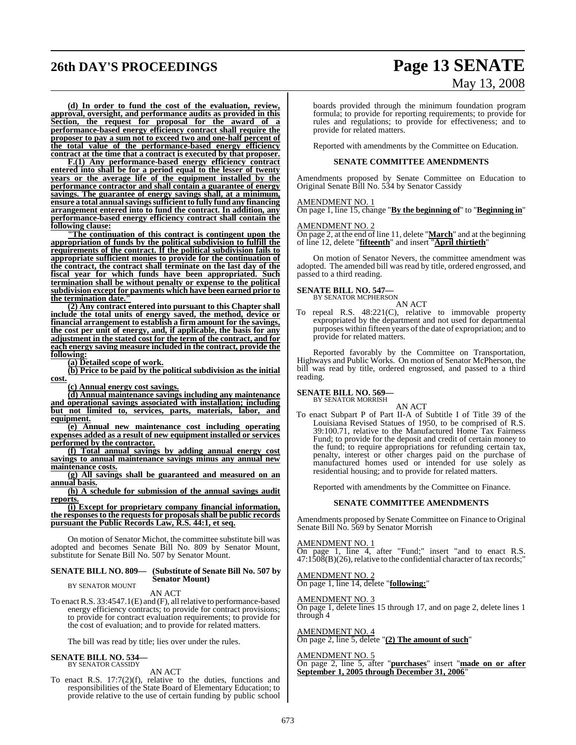# **26th DAY'S PROCEEDINGS Page 13 SENATE**

# May 13, 2008

**(d) In order to fund the cost of the evaluation, review, approval, oversight, and performance audits as provided in this Section, the request for proposal for the award of a performance-based energy efficiency contract shall require the proposer to pay a sum not to exceed two and one-half percent of the total value of the performance-based energy efficiency contract at the time that a contract is executed by that proposer.**

**F.(1) Any performance-based energy efficiency contract entered into shall be for a period equal to the lesser of twenty years or the average life of the equipment installed by the performance contractor and shall contain a guarantee of energy savings. The guarantee of energy savings shall, at a minimum, ensure a total annualsavingssufficient to fully fund any financing arrangement entered into to fund the contract. In addition, any performance-based energy efficiency contract shall contain the following clause:**

**"The continuation of this contract is contingent upon the appropriation of funds by the political subdivision to fulfill the requirements of the contract. If the political subdivision fails to appropriate sufficient monies to provide for the continuation of the contract, the contract shall terminate on the last day of the fiscal year for which funds have been appropriated. Such termination shall be without penalty or expense to the political subdivision except for payments which have been earned prior to the termination date."**

**(2) Any contract entered into pursuant to this Chapter shall include the total units of energy saved, the method, device or financial arrangement to establish a firm amount for the savings, the cost per unit of energy, and, if applicable, the basis for any adjustment in the stated cost for the term of the contract, and for each energy saving measure included in the contract, provide the following:**

**(a) Detailed scope of work.**

**(b) Price to be paid by the political subdivision as the initial cost.**

**(c) Annual energy cost savings.**

**(d) Annual maintenance savings including any maintenance and operational savings associated with installation; including but not limited to, services, parts, materials, labor, and equipment.**

**(e) Annual new maintenance cost including operating expenses added as a result of new equipment installed or services performed by the contractor.**

**(f) Total annual savings by adding annual energy cost savings to annual maintenance savings minus any annual new maintenance costs.**

**(g) All savings shall be guaranteed and measured on an annual basis.**

**(h) A schedule for submission of the annual savings audit reports.**

**(i) Except for proprietary company financial information, the responsesto the requests for proposalsshall be public records pursuant the Public Records Law, R.S. 44:1, et seq.**

On motion of Senator Michot, the committee substitute bill was adopted and becomes Senate Bill No. 809 by Senator Mount, substitute for Senate Bill No. 507 by Senator Mount.

#### **SENATE BILL NO. 809— (Substitute of Senate Bill No. 507 by Senator Mount)** BY SENATOR MOUNT

AN ACT

To enactR.S. 33:4547.1(E) and (F), allrelative to performance-based energy efficiency contracts; to provide for contract provisions; to provide for contract evaluation requirements; to provide for the cost of evaluation; and to provide for related matters.

The bill was read by title; lies over under the rules.

#### **SENATE BILL NO. 534** BY SENATOR CASSIDY

AN ACT

To enact R.S. 17:7(2)(f), relative to the duties, functions and responsibilities of the State Board of Elementary Education; to provide relative to the use of certain funding by public school boards provided through the minimum foundation program formula; to provide for reporting requirements; to provide for rules and regulations; to provide for effectiveness; and to provide for related matters.

Reported with amendments by the Committee on Education.

#### **SENATE COMMITTEE AMENDMENTS**

Amendments proposed by Senate Committee on Education to Original Senate Bill No. 534 by Senator Cassidy

#### AMENDMENT NO. 1

On page 1, line 15, change "**By the beginning of**" to "**Beginning in**"

#### AMENDMENT NO. 2

On page 2, at the end of line 11, delete "**March**" and at the beginning of line 12, delete "**fifteenth**" and insert "**April thirtieth**"

On motion of Senator Nevers, the committee amendment was adopted. The amended bill was read by title, ordered engrossed, and passed to a third reading.

## **SENATE BILL NO. 547—**

BY SENATOR MCPHERSON AN ACT

To repeal R.S. 48:221(C), relative to immovable property expropriated by the department and not used for departmental purposes within fifteen years of the date of expropriation; and to provide for related matters.

Reported favorably by the Committee on Transportation, Highways and Public Works. On motion of Senator McPherson, the bill was read by title, ordered engrossed, and passed to a third reading.

**SENATE BILL NO. 569—** BY SENATOR MORRISH

AN ACT

To enact Subpart P of Part II-A of Subtitle I of Title 39 of the Louisiana Revised Statues of 1950, to be comprised of R.S. 39:100.71, relative to the Manufactured Home Tax Fairness Fund; to provide for the deposit and credit of certain money to the fund; to require appropriations for refunding certain tax, penalty, interest or other charges paid on the purchase of manufactured homes used or intended for use solely as residential housing; and to provide for related matters.

Reported with amendments by the Committee on Finance.

#### **SENATE COMMITTEE AMENDMENTS**

Amendments proposed by Senate Committee on Finance to Original Senate Bill No. 569 by Senator Morrish

#### AMENDMENT NO. 1

On page 1, line 4, after "Fund;" insert "and to enact R.S.  $47:1\bar{5}0\bar{8}$ (B)(26), relative to the confidential character of tax records;"

#### AMENDMENT NO. 2 On page 1, line 14, delete "**following:**"

#### AMENDMENT NO. 3

On page 1, delete lines 15 through 17, and on page 2, delete lines 1 through 4

#### AMENDMENT NO. 4

On page 2, line 5, delete "**(2) The amount of such**"

#### AMENDMENT NO. 5

On page 2, line 5, after "**purchases**" insert "**made on or after September 1, 2005 through December 31, 2006**"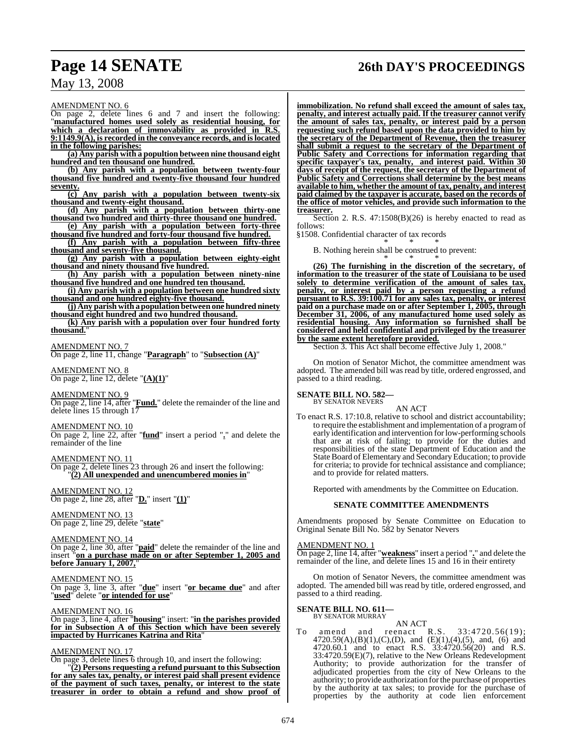# **Page 14 SENATE 26th DAY'S PROCEEDINGS**

AMENDMENT NO. 6

On page 2, delete lines 6 and 7 and insert the following: "**manufactured homes used solely as residential housing, for which a declaration of immovability as provided in R.S. 9:1149.9(A), is recorded in the conveyance records, and islocated in the following parishes:**

**(a) Any parish with a popultion between nine thousand eight hundred and ten thousand one hundred.**

**(b) Any parish with a population between twenty-four thousand five hundred and twenty-five thousand four hundred seventy.**

**(c) Any parish with a population between twenty-six thousand and twenty-eight thousand.**

**(d) Any parish with a population between thirty-one thousand two hundred and thirty-three thousand one hundred.**

**(e) Any parish with a population between forty-three thousand five hundred and forty-four thousand five hundred.**

**(f) Any parish with a population between fifty-three thousand and seventy-five thousand.**

**(g) Any parish with a population between eighty-eight thousand and ninety thousand five hundred.**

**(h) Any parish with a population between ninety-nine thousand five hundred and one hundred ten thousand.**

**(i) Any parish with a population between one hundred sixty thousand and one hundred eighty-five thousand.**

**(j) Any parish with a populationbetween one hundred ninety**

**thousand eight hundred and two hundred thousand. (k) Any parish with a population over four hundred forty thousand.**"

AMENDMENT NO. 7 On page 2, line 11, change "**Paragraph**" to "**Subsection (A)**"

AMENDMENT NO. 8 On page 2, line 12, delete "**(A)(1)**"

AMENDMENT NO. 9

On page 2, line 14, after "**Fund.**" delete the remainder of the line and delete lines 15 through 17

#### AMENDMENT NO. 10

On page 2, line 22, after "**fund**" insert a period "**.**" and delete the remainder of the line

AMENDMENT NO. 11

On page 2, delete lines 23 through 26 and insert the following: "**(2) All unexpended and unencumbered monies in**"

AMENDMENT NO. 12 On page 2, line 28, after "**D.**" insert "**(1)**"

AMENDMENT NO. 13 On page 2, line 29, delete "**state**"

AMENDMENT NO. 14

On page 2, line 30, after "**paid**" delete the remainder of the line and insert "**on a purchase made on or after September 1, 2005 and before January 1, 2007,**"

#### AMENDMENT NO. 15

On page 3, line 3, after "**due**" insert "**or became due**" and after "**used**" delete "**or intended for use**"

AMENDMENT NO. 16

On page 3, line 4, after "**housing**" insert: "**in the parishes provided for in Subsection A of this Section which have been severely impacted by Hurricanes Katrina and Rita**"

#### AMENDMENT NO. 17

On page 3, delete lines 6 through 10, and insert the following: "**(2) Persons requesting a refund pursuant to this Subsection for any sales tax, penalty, or interest paid shall present evidence of the payment of such taxes, penalty, or interest to the state treasurer in order to obtain a refund and show proof of**

**immobilization. No refund shall exceed the amount of sales tax, penalty, and interest actually paid. If the treasurer cannot verify the amount of sales tax, penalty, or interest paid by a person requesting such refund based upon the data provided to him by the secretary of the Department of Revenue, then the treasurer shall submit a request to the secretary of the Department of Public Safety and Corrections for information regarding that specific taxpayer's tax, penalty, and interest paid. Within 30 days of receipt of the request, the secretary of the Department of Public Safety and Corrections shall determine by the best means available to him, whether the amount of tax, penalty, and interest paid claimed by the taxpayer is accurate, based on the records of the office of motor vehicles, and provide such information to the treasurer.**

Section 2. R.S. 47:1508(B)(26) is hereby enacted to read as follows:

§1508. Confidential character of tax records \* \* \*

B. Nothing herein shall be construed to prevent:

\* \* \* **(26) The furnishing in the discretion of the secretary, of information to the treasurer of the state of Louisiana to be used solely to determine verification of the amount of sales tax, penalty, or interest paid by a person requesting a refund pursuant to R.S. 39:100.71 for any sales tax, penalty, or interest paid on a purchase made on or after September 1, 2005, through December 31, 2006, of any manufactured home used solely as residential housing. Any information so furnished shall be considered and held confidential and privileged by the treasurer by the same extent heretofore provided.**

Section 3. This Act shall become effective July 1, 2008."

On motion of Senator Michot, the committee amendment was adopted. The amended bill was read by title, ordered engrossed, and passed to a third reading.

#### **SENATE BILL NO. 582—** BY SENATOR NEVERS

AN ACT To enact R.S. 17:10.8, relative to school and district accountability; to require the establishment and implementation of a programof early identification and intervention forlow-performing schools that are at risk of failing; to provide for the duties and responsibilities of the state Department of Education and the State Board of Elementary and Secondary Education; to provide for criteria; to provide for technical assistance and compliance; and to provide for related matters.

Reported with amendments by the Committee on Education.

#### **SENATE COMMITTEE AMENDMENTS**

Amendments proposed by Senate Committee on Education to Original Senate Bill No. 582 by Senator Nevers

#### AMENDMENT NO. 1

On page 2, line 14, after "**weakness**" insert a period "**.**" and delete the remainder of the line, and delete lines 15 and 16 in their entirety

On motion of Senator Nevers, the committee amendment was adopted. The amended bill was read by title, ordered engrossed, and passed to a third reading.

# **SENATE BILL NO. 611—** BY SENATOR MURRAY

AN ACT<br>reenact R.S. To amend and reenact R.S. 33:4720.56(19); 4720.59(A),(B)(1),(C),(D), and (E)(1),(4),(5), and, (6) and 4720.60.1 and to enact R.S. 33:4720.56(20) and R.S. 33:4720.59(E)(7), relative to the New Orleans Redevelopment Authority; to provide authorization for the transfer of adjudicated properties from the city of New Orleans to the authority; to provide authorization forthe purchase of properties by the authority at tax sales; to provide for the purchase of properties by the authority at code lien enforcement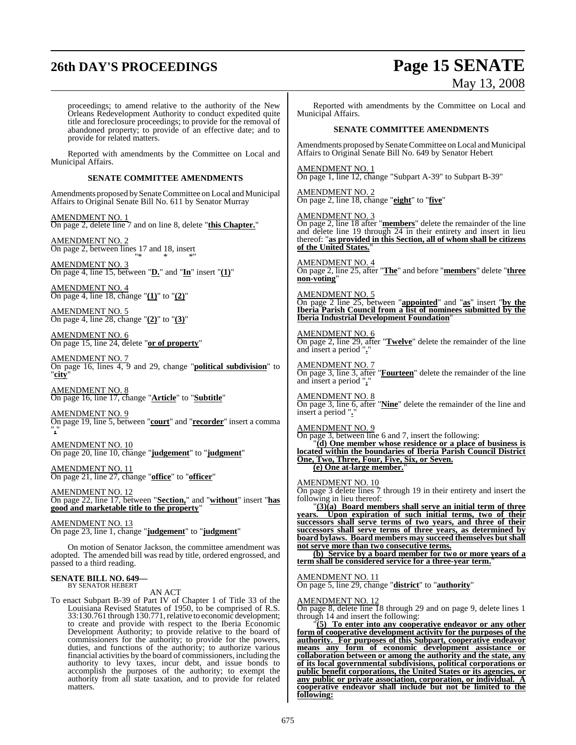# **26th DAY'S PROCEEDINGS Page 15 SENATE**

# May 13, 2008

proceedings; to amend relative to the authority of the New Orleans Redevelopment Authority to conduct expedited quite title and foreclosure proceedings; to provide for the removal of abandoned property; to provide of an effective date; and to provide for related matters.

Reported with amendments by the Committee on Local and Municipal Affairs.

#### **SENATE COMMITTEE AMENDMENTS**

Amendments proposed by Senate Committee on Local and Municipal Affairs to Original Senate Bill No. 611 by Senator Murray

AMENDMENT NO. 1 On page 2, delete line 7 and on line 8, delete "**this Chapter.**"

AMENDMENT NO. 2 On page 2, between lines 17 and 18, insert "\* \* \*"

AMENDMENT NO. 3 On page 4, line 15, between "**D.**" and "**In**" insert "**(1)**"

AMENDMENT NO. 4 On page 4, line 18, change "**(1)**" to "**(2)**"

AMENDMENT NO. 5 On page 4, line 28, change "**(2)**" to "**(3)**"

AMENDMENT NO. 6 On page 15, line 24, delete "**or of property**"

AMENDMENT NO. 7 On page 16, lines 4, 9 and 29, change "**political subdivision**" to "**city**"

AMENDMENT NO. 8 On page 16, line 17, change "**Article**" to "**Subtitle**"

AMENDMENT NO. 9 On page 19, line 5, between "**court**" and "**recorder**" insert a comma "**,**"

AMENDMENT NO. 10 On page 20, line 10, change "**judgement**" to "**judgment**"

AMENDMENT NO. 11 On page 21, line 27, change "**office**" to "**officer**"

AMENDMENT NO. 12 On page 22, line 17, between "**Section,**" and "**without**" insert "**has good and marketable title to the property**"

AMENDMENT NO. 13 On page 23, line 1, change "**judgement**" to "**judgment**"

On motion of Senator Jackson, the committee amendment was adopted. The amended bill was read by title, ordered engrossed, and passed to a third reading.

#### **SENATE BILL NO. 649—** BY SENATOR HEBERT

AN ACT

To enact Subpart B-39 of Part IV of Chapter 1 of Title 33 of the Louisiana Revised Statutes of 1950, to be comprised of R.S. 33:130.761 through 130.771,relative to economic development; to create and provide with respect to the Iberia Economic Development Authority; to provide relative to the board of commissioners for the authority; to provide for the powers, duties, and functions of the authority; to authorize various financial activities by the board of commissioners, including the authority to levy taxes, incur debt, and issue bonds to accomplish the purposes of the authority; to exempt the authority from all state taxation, and to provide for related matters.

Reported with amendments by the Committee on Local and Municipal Affairs.

#### **SENATE COMMITTEE AMENDMENTS**

Amendments proposed by Senate Committee on Local and Municipal Affairs to Original Senate Bill No. 649 by Senator Hebert

AMENDMENT NO. 1 On page 1, line 12, change "Subpart A-39" to Subpart B-39"

AMENDMENT NO. 2 On page 2, line 18, change "**eight**" to "**five**"

AMENDMENT NO. 3 On page 2, line 18 after "**members**" delete the remainder of the line and delete line 19 through 24 in their entirety and insert in lieu thereof: "**as provided in this Section, all of whom shall be citizens of the United States.**"

AMENDMENT NO. 4 On page 2, line 25, after "**The**" and before "**members**" delete "**three non-voting**"

AMENDMENT NO. 5 On page 2 line 25, between "**appointed**" and "**as**" insert "**by the Iberia Parish Council from a list of nominees submitted by the Iberia Industrial Development Foundation**"

AMENDMENT NO. 6 On page 2, line 29, after "**Twelve**" delete the remainder of the line and insert a period "**.**"

AMENDMENT NO. 7 On page 3, line 3, after "**Fourteen**" delete the remainder of the line and insert a period "**.**"

AMENDMENT NO. 8 On page 3, line 6, after "**Nine**" delete the remainder of the line and insert a period ".

AMENDMENT NO. 9 On page 3, between line 6 and 7, insert the following: "**(d) One member whose residence or a place of business is located within the boundaries of Iberia Parish Council District One, Two, Three, Four, Five, Six, or Seven.**

**(e)** One at-large member.

#### AMENDMENT NO. 10

On page 3 delete lines 7 through 19 in their entirety and insert the following in lieu thereof:

"**(3)(a) Board members shall serve an initial term of three years. Upon expiration of such initial terms, two of their successors shall serve terms of two years, and three of their successors shall serve terms of three years, as determined by board bylaws. Board members may succeed themselves but shall not serve more than two consecutive terms.**

**(b) Service by a board member for two or more years of a term shall be considered service for a three-year term.**"

AMENDMENT NO. 11

On page 5, line 29, change "**district**" to "**authority**"

AMENDMENT NO. 12

On page 8, delete line 18 through 29 and on page 9, delete lines 1 through 14 and insert the following:

"**(5) To enter into any cooperative endeavor or any other form of cooperative development activity for the purposes of the authority. For purposes of this Subpart, cooperative endeavor means any form of economic development assistance or collaboration between or among the authority and the state, any of its local governmental subdivisions, political corporations or public benefit corporations, the United States or its agencies, or any public or private association, corporation, or individual. A cooperative endeavor shall include but not be limited to the following:**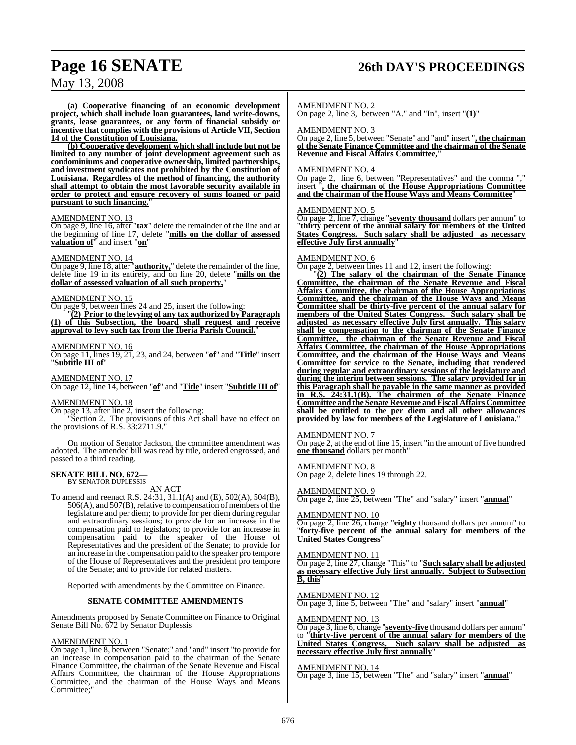# **Page 16 SENATE 26th DAY'S PROCEEDINGS**

## May 13, 2008

**(a) Cooperative financing of an economic development project, which shall include loan guarantees, land write-downs, grants, lease guarantees, or any form of financial subsidy or incentive that complies with the provisions of Article VII, Section 14 of the Constitution of Louisiana.**

**(b) Cooperative development which shall include but not be limited to any number of joint development agreement such as condominiums and cooperative ownership, limited partnerships, and investment syndicates not prohibited by the Constitution of Louisiana. Regardless of the method of financing, the authority shall attempt to obtain the most favorable security available in order to protect and ensure recovery of sums loaned or paid pursuant to such financing.**"

#### AMENDMENT NO. 13

On page 9, line 16, after "**tax**" delete the remainder of the line and at the beginning of line 17, delete "**mills on the dollar of assessed valuation of**" and insert "**on**"

#### AMENDMENT NO. 14

On page 9, line 18, after "**authority**," delete the remainder of the line, delete line 19 in its entirety, and on line 20, delete "**mills on the dollar of assessed valuation of all such property,**"

#### AMENDMENT NO. 15

On page 9, between lines 24 and 25, insert the following:

"**(2) Prior to the levying of any tax authorized by Paragraph (1) of this Subsection, the board shall request and receive approval to levy such tax from the Iberia Parish Council.**"

#### AMENDMENT NO. 16

On page 11, lines 19, 21, 23, and 24, between "**of**" and "**Title**" insert "**Subtitle III of**"

AMENDMENT NO. 17 On page 12, line 14, between "**of**" and "**Title**" insert "**Subtitle III of**"

## AMENDMENT NO. 18

On page 13, after line 2, insert the following:

"Section 2. The provisions of this Act shall have no effect on the provisions of R.S. 33:2711.9."

On motion of Senator Jackson, the committee amendment was adopted. The amended bill was read by title, ordered engrossed, and passed to a third reading.

#### **SENATE BILL NO. 672—** BY SENATOR DUPLESSIS

AN ACT

To amend and reenact R.S. 24:31, 31.1(A) and (E), 502(A), 504(B),  $506(A)$ , and  $507(B)$ , relative to compensation of members of the legislature and per diem; to provide for per diem during regular and extraordinary sessions; to provide for an increase in the compensation paid to legislators; to provide for an increase in compensation paid to the speaker of the House of Representatives and the president of the Senate; to provide for an increase in the compensation paid to the speaker pro tempore of the House of Representatives and the president pro tempore of the Senate; and to provide for related matters.

Reported with amendments by the Committee on Finance.

#### **SENATE COMMITTEE AMENDMENTS**

Amendments proposed by Senate Committee on Finance to Original Senate Bill No. 672 by Senator Duplessis

#### AMENDMENT NO. 1

On page 1, line 8, between "Senate;" and "and" insert "to provide for an increase in compensation paid to the chairman of the Senate Finance Committee, the chairman of the Senate Revenue and Fiscal Affairs Committee, the chairman of the House Appropriations Committee, and the chairman of the House Ways and Means Committee;"

#### AMENDMENT NO. 2

On page 2, line 3, between "A." and "In", insert "**(1)**"

#### AMENDMENT NO. 3

On page 2, line 5, between "Senate" and "and" insert "**, the chairman of the Senate Finance Committee and the chairman of the Senate Revenue and Fiscal Affairs Committee,**"

#### AMENDMENT NO. 4

On page 2, line 6, between "Representatives" and the comma "," insert "**, the chairman of the House Appropriations Committee and the chairman of the House Ways and Means Committee**"

#### AMENDMENT NO. 5

On page 2, line 7, change "**seventy thousand** dollars per annum" to "**thirty percent of the annual salary for members of the United States Congress. Such salary shall be adjusted as necessary effective July first annually**"

#### AMENDMENT NO. 6

On page 2, between lines 11 and 12, insert the following:

"**(2) The salary of the chairman of the Senate Finance Committee, the chairman of the Senate Revenue and Fiscal Affairs Committee, the chairman of the House Appropriations Committee, and the chairman of the House Ways and Means Committee shall be thirty-five percent of the annual salary for members of the United States Congress. Such salary shall be adjusted as necessary effective July first annually. This salary shall be compensation to the chairman of the Senate Finance Committee, the chairman of the Senate Revenue and Fiscal Affairs Committee, the chairman of the House Appropriations Committee, and the chairman of the House Ways and Means Committee for service to the Senate, including that rendered during regular and extraordinary sessions of the legislature and during the interim between sessions. The salary provided for in this Paragraph shall be payable in the same manner as provided in R.S. 24:31.1(B). The chairmen of the Senate Finance Committee and the Senate Revenue and Fiscal Affairs Committee shall be entitled to the per diem and all other allowances provided by law for members of the Legislature of Louisiana.**"

#### AMENDMENT NO. 7

On page 2, at the end of line 15, insert "in the amount of five hundred **one thousand** dollars per month"

#### AMENDMENT NO. 8

On page 2, delete lines 19 through 22.

#### AMENDMENT NO. 9

On page 2, line 25, between "The" and "salary" insert "**annual**"

#### AMENDMENT NO. 10

On page 2, line 26, change "**eighty** thousand dollars per annum" to "**forty-five percent of the annual salary for members of the United States Congress**"

#### AMENDMENT NO. 11

On page 2, line 27, change "This" to "**Such salary shall be adjusted as necessary effective July first annually. Subject to Subsection B, this**"

#### AMENDMENT NO. 12 On page 3, line 5, between "The" and "salary" insert "**annual**"

#### AMENDMENT NO. 13

On page 3, line 6, change "**seventy-five** thousand dollars per annum" to "**thirty-five percent of the annual salary for members of the United States Congress. Such salary shall be adjusted as necessary effective July first annually**"

#### AMENDMENT NO. 14

On page 3, line 15, between "The" and "salary" insert "**annual**"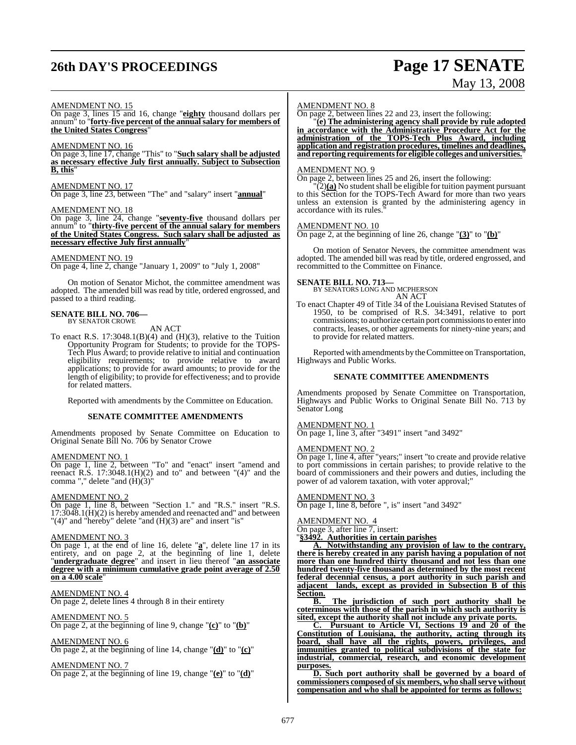# **26th DAY'S PROCEEDINGS Page 17 SENATE**

# May 13, 2008

#### AMENDMENT NO. 15

On page 3, lines 15 and 16, change "**eighty** thousand dollars per annum" to "**forty-five percent of the annual salary for members of the United States Congress**"

#### AMENDMENT NO. 16

On page 3, line 17, change "This" to "**Such salary shall be adjusted as necessary effective July first annually. Subject to Subsection B, this**"

#### AMENDMENT NO. 17

On page 3, line 23, between "The" and "salary" insert "**annual**"

## AMENDMENT NO. 18

On page 3, line 24, change "**seventy-five** thousand dollars per annum" to "**thirty-five percent of the annual salary for members of the United States Congress. Such salary shall be adjusted as necessary effective July first annually**"

#### AMENDMENT NO. 19

On page 4, line 2, change "January 1, 2009" to "July 1, 2008"

On motion of Senator Michot, the committee amendment was adopted. The amended bill was read by title, ordered engrossed, and passed to a third reading.

# **SENATE BILL NO. 706—** BY SENATOR CROWE

AN ACT

To enact R.S.  $17:3048.1(B)(4)$  and  $(H)(3)$ , relative to the Tuition Opportunity Program for Students; to provide for the TOPS-Tech Plus Award; to provide relative to initial and continuation eligibility requirements; to provide relative to award applications; to provide for award amounts; to provide for the length of eligibility; to provide for effectiveness; and to provide for related matters.

Reported with amendments by the Committee on Education.

#### **SENATE COMMITTEE AMENDMENTS**

Amendments proposed by Senate Committee on Education to Original Senate Bill No. 706 by Senator Crowe

#### AMENDMENT NO. 1

On page 1, line 2, between "To" and "enact" insert "amend and reenact R.S. 17:3048.1(H)(2) and to" and between "(4)" and the comma "," delete "and (H)(3)"

#### AMENDMENT NO. 2

On page 1, line 8, between "Section 1." and "R.S." insert "R.S. 17:3048.1(H)(2) is hereby amended and reenacted and" and between "(4)" and "hereby" delete "and (H)(3) are" and insert "is"

#### AMENDMENT NO. 3

On page 1, at the end of line 16, delete "**a**", delete line 17 in its entirety, and on page 2, at the beginning of line 1, delete "**undergraduate degree**" and insert in lieu thereof "**an associate degree with a minimum cumulative grade point average of 2.50 on a 4.00 scale**"

### AMENDMENT NO. 4

On page 2, delete lines 4 through 8 in their entirety

#### AMENDMENT NO. 5

On page 2, at the beginning of line 9, change "**(c)**" to "**(b)**"

#### AMENDMENT NO. 6

On page 2, at the beginning of line 14, change "**(d)**" to "**(c)**"

#### AMENDMENT NO. 7

On page 2, at the beginning of line 19, change "**(e)**" to "**(d)**"

#### AMENDMENT NO. 8

On page 2, between lines 22 and 23, insert the following:

"**(e) The administering agency shall provide by rule adopted in accordance with the Administrative Procedure Act for the administration of the TOPS-Tech Plus Award, including application and registration procedures, timelines and deadlines, andreporting requirementsfor eligible colleges anduniversities.**"

#### AMENDMENT NO. 9

On page 2, between lines 25 and 26, insert the following:

 $\Gamma(2)$ (a) No student shall be eligible for tuition payment pursuant to this Section for the TOPS-Tech Award for more than two years unless an extension is granted by the administering agency in accordance with its rules."

#### AMENDMENT NO. 10

On page 2, at the beginning of line 26, change "**(3)**" to "**(b)**"

On motion of Senator Nevers, the committee amendment was adopted. The amended bill was read by title, ordered engrossed, and recommitted to the Committee on Finance.

**SENATE BILL NO. 713—** BY SENATORS LONG AND MCPHERSON

AN ACT To enact Chapter 49 of Title 34 of the Louisiana Revised Statutes of 1950, to be comprised of R.S. 34:3491, relative to port commissions; to authorize certain port commissionsto enterinto contracts, leases, or other agreements for ninety-nine years; and to provide for related matters.

Reported with amendments by the Committee on Transportation, Highways and Public Works.

#### **SENATE COMMITTEE AMENDMENTS**

Amendments proposed by Senate Committee on Transportation, Highways and Public Works to Original Senate Bill No. 713 by Senator Long

#### AMENDMENT NO. 1

On page 1, line 3, after "3491" insert "and 3492"

#### AMENDMENT NO. 2

On page 1, line 4, after "years;" insert "to create and provide relative to port commissions in certain parishes; to provide relative to the board of commissioners and their powers and duties, including the power of ad valorem taxation, with voter approval;

#### AMENDMENT NO. 3

On page 1, line 8, before ", is" insert "and 3492"

#### AMENDMENT NO. 4

On page 3, after line 7, insert:

"**§3492. Authorities in certain parishes**

**A. Notwithstanding any provision of law to the contrary, there is hereby created in any parish having a population of not more than one hundred thirty thousand and not less than one hundred twenty-five thousand as determined by the most recent federal decennial census, a port authority in such parish and** lands, except as provided in Subsection B of this **Section.**

**B. The jurisdiction of such port authority shall be coterminous with those of the parish in which such authority is sited, except the authority shall not include any private ports.**

**C. Pursuant to Article VI, Sections 19 and 20 of the Constitution of Louisiana, the authority, acting through its board, shall have all the rights, powers, privileges, and immunities granted to political subdivisions of the state for industrial, commercial, research, and economic development purposes.**

**D. Such port authority shall be governed by a board of commissioners composed ofsix members, who shallserve without compensation and who shall be appointed for terms as follows:**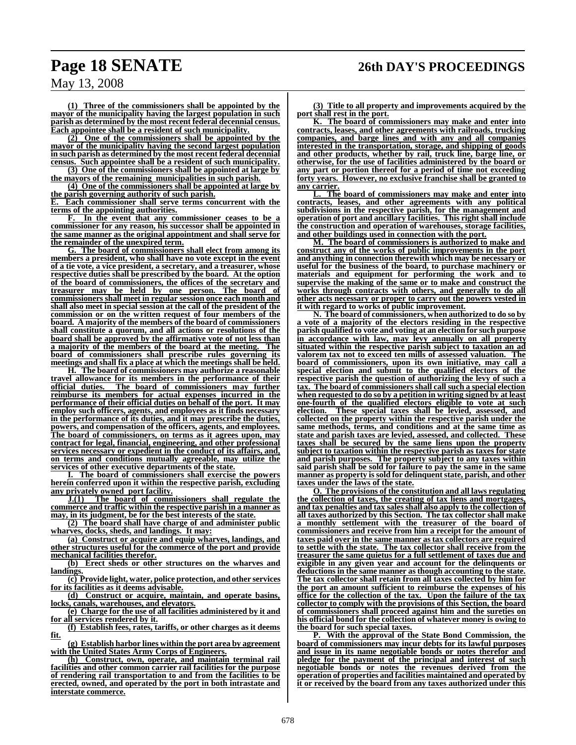**(1) Three of the commissioners shall be appointed by the mayor of the municipality having the largest population in such parish as determined by the most recent federal decennial census. Each appointee shall be a resident of such municipality.**

**(2) One of the commissioners shall be appointed by the mayor of the municipality having the second largest population in such parish as determined by the most recent federal decennial census. Such appointee shall be a resident of such municipality.**

**(3) One of the commissioners shall be appointed at large by the mayors of the remaining municipalities in such parish.**

**(4) One of the commissioners shall be appointed at large by the parish governing authority of such parish.**

**E. Each commissioner shall serve terms concurrent with the terms of the appointing authorities.**

**F. In the event that any commissioner ceases to be a commissioner for any reason, his successor shall be appointed in the same manner as the original appointment and shall serve for the remainder of the unexpired term.**

**G. The board of commissioners shall elect from among its members a president, who shall have no vote except in the event of a tie vote, a vice president, a secretary, and a treasurer, whose respective duties shall be prescribed by the board. At the option of the board of commissioners, the offices of the secretary and treasurer may be held by one person. The board of commissioners shall meet in regular session once each month and shall also meet in special session at the call of the president of the commission or on the written request of four members of the board. A majority of the members of the board of commissioners shall constitute a quorum, and all actions or resolutions of the board shall be approved by the affirmative vote of not less than a majority of the members of the board at the meeting. The board of commissioners shall prescribe rules governing its meetings and shall fix a place at which the meetings shall be held.**

**H. The board of commissioners may authorize a reasonable travel allowance for its members in the performance of their** The board of commissioners may further **reimburse its members for actual expenses incurred in the performance of their official duties on behalf of the port. It may employ such officers, agents, and employees as it finds necessary in the performance of its duties, and it may prescribe the duties, powers, and compensation of the officers, agents, and employees. The board of commissioners, on terms as it agrees upon, may contract for legal, financial, engineering, and other professional services necessary or expedient in the conduct of its affairs, and, on terms and conditions mutually agreeable, may utilize the services of other executive departments of the state.**

**I. The board of commissioners shall exercise the powers herein conferred upon it within the respective parish, excluding any privately owned port facility.**

**J.(1) The board of commissioners shall regulate the commerce and traffic within the respective parish in a manner as may, in its judgment, be for the best interests of the state.**

**(2) The board shall have charge of and administer public wharves, docks, sheds, and landings. It may:**

**(a) Construct or acquire and equip wharves, landings, and other structures useful for the commerce of the port and provide mechanical facilities therefor.**

**(b) Erect sheds or other structures on the wharves and landings.**

**(c) Provide light, water, police protection, and other services for its facilities as it deems advisable.**

**(d) Construct or acquire, maintain, and operate basins, locks, canals, warehouses, and elevators.**

**(e) Charge for the use of all facilities administered by it and for all services rendered by it.**

**(f) Establish fees, rates, tariffs, or other charges as it deems fit.**

**(g) Establish harbor lines within the port area by agreement with the United States Army Corps of Engineers.**

**(h) Construct, own, operate, and maintain terminal rail facilities and other common carrier rail facilities for the purpose of rendering rail transportation to and from the facilities to be erected, owned, and operated by the port in both intrastate and interstate commerce.**

**(3) Title to all property and improvements acquired by the port shall rest in the port.**

**K. The board of commissioners may make and enter into contracts, leases, and other agreements with railroads, trucking companies, and barge lines and with any and all companies interested in the transportation, storage, and shipping of goods and other products, whether by rail, truck line, barge line, or otherwise, for the use of facilities administered by the board or any part or portion thereof for a period of time not exceeding forty years. However, no exclusive franchise shall be granted to any carrier.**

**L. The board of commissioners may make and enter into contracts, leases, and other agreements with any political subdivisions in the respective parish, for the management and operation of port and ancillary facilities. This right shall include the construction and operation of warehouses, storage facilities, and other buildings used in connection with the port.**

**M. The board of commissioners is authorized to make and construct any of the works of public improvements in the port and anything in connection therewith which may be necessary or useful for the business of the board, to purchase machinery or materials and equipment for performing the work and to supervise the making of the same or to make and construct the works through contracts with others, and generally to do all other acts necessary or proper to carry out the powers vested in it with regard to works of public improvement.**

**N. The board of commissioners, when authorized to do so by a vote of a majority of the electors residing in the respective parish qualified to vote and voting at an election for such purpose in accordance with law, may levy annually on all property situated within the respective parish subject to taxation an ad valorem tax not to exceed ten mills of assessed valuation. The board of commissioners, upon its own initiative, may call a special election and submit to the qualified electors of the respective parish the question of authorizing the levy of such a tax. The board of commissioners shall call such a special election when requested to do so by a petition in writing signed by at least one-fourth of the qualified electors eligible to vote at such election. These special taxes shall be levied, assessed, and collected on the property within the respective parish under the same methods, terms, and conditions and at the same time as state and parish taxes are levied, assessed, and collected. These taxes shall be secured by the same liens upon the property subject to taxation within the respective parish as taxes for state and parish purposes. The property subject to any taxes within said parish shall be sold for failure to pay the same in the same manner as property issold for delinquentstate, parish, and other taxes under the laws of the state.**

**O. The provisions of the constitution and all laws regulating the collection of taxes, the creating of tax liens and mortgages, and tax penalties and tax sales shall also apply to the collection of all taxes authorized by this Section. The tax collector shall make a monthly settlement with the treasurer of the board of commissioners and receive from him a receipt for the amount of taxes paid over in the same manner as tax collectors are required to settle with the state. The tax collector shall receive from the treasurer the same quietus for a full settlement of taxes due and exigible in any given year and account for the delinquents or deductions in the same manner as though accounting to the state. The tax collector shall retain from all taxes collected by him for the port an amount sufficient to reimburse the expenses of his office for the collection of the tax. Upon the failure of the tax collector to comply with the provisions of this Section, the board of commissioners shall proceed against him and the sureties on his official bond for the collection of whatever money is owing to the board for such special taxes.**

**With the approval of the State Bond Commission, the board of commissioners may incur debts for its lawful purposes and issue in its name negotiable bonds or notes therefor and pledge for the payment of the principal and interest of such negotiable bonds or notes the revenues derived from the operation of properties and facilities maintained and operated by it or received by the board from any taxes authorized under this**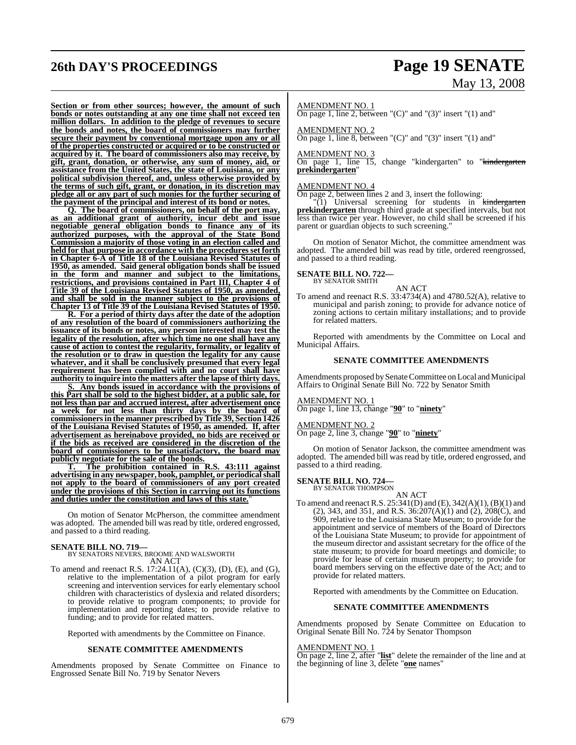# **26th DAY'S PROCEEDINGS Page 19 SENATE** May 13, 2008

**Section or from other sources; however, the amount of such bonds or notes outstanding at any one time shall not exceed ten million dollars. In addition to the pledge of revenues to secure the bonds and notes, the board of commissioners may further secure their payment by conventional mortgage upon any or all of the properties constructed or acquired or to be constructed or acquired by it. The board of commissioners also may receive, by gift, grant, donation, or otherwise, any sum of money, aid, or assistance from the United States, the state of Louisiana, or any political subdivision thereof, and, unless otherwise provided by the terms of such gift, grant, or donation, in its discretion may pledge all or any part of such monies for the further securing of the payment of the principal and interest of its bond or notes.**

**Q. The board of commissioners, on behalf of the port may, as an additional grant of authority, incur debt and issue negotiable general obligation bonds to finance any of its authorized purposes, with the approval of the State Bond Commission a majority of those voting in an election called and held for that purpose in accordance with the procedures set forth in Chapter 6-A of Title 18 of the Louisiana Revised Statutes of 1950, as amended. Said general obligation bonds shall be issued in the form and manner and subject to the limitations, restrictions, and provisions contained in Part III, Chapter 4 of Title 39 of the Louisiana Revised Statutes of 1950, as amended, and shall be sold in the manner subject to the provisions of Chapter 13 of Title 39 of the Louisiana Revised Statutes of 1950.**

**R. For a period of thirty days after the date of the adoption of any resolution of the board of commissioners authorizing the issuance of its bonds or notes, any person interested may test the legality of the resolution, after which time no one shall have any cause of action to contest the regularity, formality, or legality of the resolution or to draw in question the legality for any cause whatever, and it shall be conclusively presumed that every legal requirement has been complied with and no court shall have authority to inquire into the matters after the lapse of thirty days.**

**S. Any bonds issued in accordance with the provisions of this Part shall be sold to the highest bidder, at a public sale, for not less than par and accrued interest, after advertisement once a week for not less than thirty days by the board of commissionersin the manner prescribed by Title 39, Section 1426 of the Louisiana Revised Statutes of 1950, as amended. If, after advertisement as hereinabove provided, no bids are received or if the bids as received are considered in the discretion of the board of commissioners to be unsatisfactory, the board may publicly negotiate for the sale of the bonds.**

**T. The prohibition contained in R.S. 43:111 against advertising in any newspaper, book, pamphlet, or periodicalshall not apply to the board of commissioners of any port created under the provisions of this Section in carrying out its functions and duties under the constitution and laws of this state.**"

On motion of Senator McPherson, the committee amendment was adopted. The amended bill was read by title, ordered engrossed, and passed to a third reading.

**SENATE BILL NO. 719—** BY SENATORS NEVERS, BROOME AND WALSWORTH AN ACT

To amend and reenact R.S. 17:24.11(A), (C)(3), (D), (E), and (G), relative to the implementation of a pilot program for early screening and intervention services for early elementary school children with characteristics of dyslexia and related disorders; to provide relative to program components; to provide for implementation and reporting dates; to provide relative to funding; and to provide for related matters.

Reported with amendments by the Committee on Finance.

#### **SENATE COMMITTEE AMENDMENTS**

Amendments proposed by Senate Committee on Finance to Engrossed Senate Bill No. 719 by Senator Nevers

#### AMENDMENT NO. 1

On page 1, line 2, between " $(C)$ " and " $(3)$ " insert " $(1)$  and"

#### AMENDMENT NO. 2

On page 1, line 8, between " $(C)$ " and " $(3)$ " insert " $(1)$  and"

#### AMENDMENT NO. 3

On page 1, line 15, change "kindergarten" to "<del>kindergarten</del> **prekindergarten**"

#### AMENDMENT NO. 4

On page 2, between lines 2 and 3, insert the following:

"(1) Universal screening for students in kindergarten **prekindergarten** through third grade at specified intervals, but not less than twice per year. However, no child shall be screened if his parent or guardian objects to such screening."

On motion of Senator Michot, the committee amendment was adopted. The amended bill was read by title, ordered reengrossed, and passed to a third reading.

#### **SENATE BILL NO. 722—** BY SENATOR SMITH

AN ACT

To amend and reenact R.S. 33:4734(A) and 4780.52(A), relative to municipal and parish zoning; to provide for advance notice of zoning actions to certain military installations; and to provide for related matters.

Reported with amendments by the Committee on Local and Municipal Affairs.

#### **SENATE COMMITTEE AMENDMENTS**

Amendments proposed by Senate Committee on Local and Municipal Affairs to Original Senate Bill No. 722 by Senator Smith

#### AMENDMENT NO. 1

On page 1, line 13, change "**90**" to "**ninety**"

#### AMENDMENT NO. 2

On page 2, line 3, change "**90**" to "**ninety**"

On motion of Senator Jackson, the committee amendment was adopted. The amended bill was read by title, ordered engrossed, and passed to a third reading.

# **SENATE BILL NO. 724—** BY SENATOR THOMPSON

AN ACT

To amend and reenact R.S. 25:341(D) and (E), 342(A)(1), (B)(1) and (2), 343, and 351, and R.S.  $36:207(A)(1)$  and  $(2)$ ,  $208(C)$ , and 909, relative to the Louisiana State Museum; to provide for the appointment and service of members of the Board of Directors of the Louisiana State Museum; to provide for appointment of the museum director and assistant secretary for the office of the state museum; to provide for board meetings and domicile; to provide for lease of certain museum property; to provide for board members serving on the effective date of the Act; and to provide for related matters.

Reported with amendments by the Committee on Education.

#### **SENATE COMMITTEE AMENDMENTS**

Amendments proposed by Senate Committee on Education to Original Senate Bill No. 724 by Senator Thompson

#### AMENDMENT NO. 1

On page 2, line 2, after "**list**" delete the remainder of the line and at the beginning of line 3, delete "**one** names"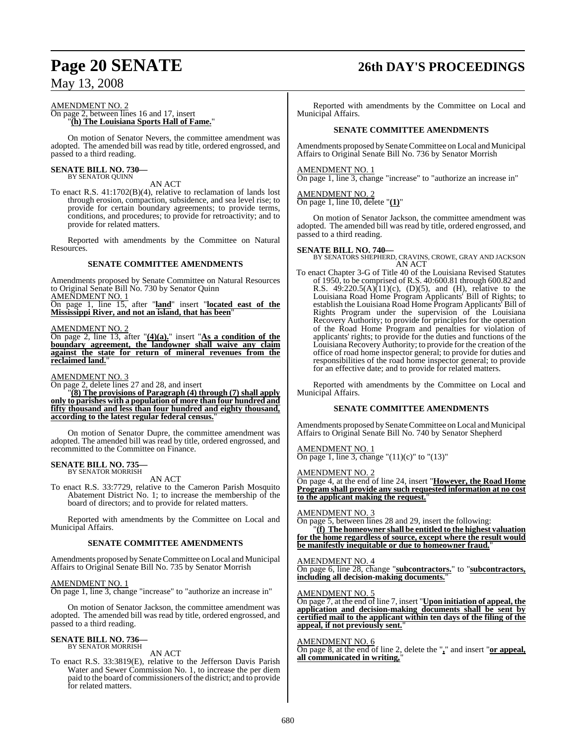#### AMENDMENT NO. 2

#### On page 2, between lines 16 and 17, insert "**(h) The Louisiana Sports Hall of Fame.**"

On motion of Senator Nevers, the committee amendment was adopted. The amended bill was read by title, ordered engrossed, and passed to a third reading.

# **SENATE BILL NO. 730—** BY SENATOR QUINN

AN ACT

To enact R.S. 41:1702(B)(4), relative to reclamation of lands lost through erosion, compaction, subsidence, and sea level rise; to provide for certain boundary agreements; to provide terms, conditions, and procedures; to provide for retroactivity; and to provide for related matters.

Reported with amendments by the Committee on Natural Resources.

#### **SENATE COMMITTEE AMENDMENTS**

Amendments proposed by Senate Committee on Natural Resources to Original Senate Bill No. 730 by Senator Quinn <u>AMEŇDMENT NO. 1</u>

On page 1, line 15, after "**land**" insert "**located east of the Mississippi River, and not an island, that has been**"

AMENDMENT NO. 2

On page 2, line 13, after "**(4)(a).**" insert "**As a condition of the boundary agreement, the landowner shall waive any claim against the state for return of mineral revenues from the reclaimed land.**"

AMENDMENT NO. 3

On page 2, delete lines 27 and 28, and insert

"**(8) The provisions of Paragraph (4) through (7) shall apply only to parishes with a population of more than four hundred and fifty thousand and less than four hundred and eighty thousand, according to the latest regular federal census.**"

On motion of Senator Dupre, the committee amendment was adopted. The amended bill was read by title, ordered engrossed, and recommitted to the Committee on Finance.

#### **SENATE BILL NO. 735—** BY SENATOR MORRISH

AN ACT

To enact R.S. 33:7729, relative to the Cameron Parish Mosquito Abatement District No. 1; to increase the membership of the board of directors; and to provide for related matters.

Reported with amendments by the Committee on Local and Municipal Affairs.

#### **SENATE COMMITTEE AMENDMENTS**

Amendments proposed by Senate Committee on Local and Municipal Affairs to Original Senate Bill No. 735 by Senator Morrish

#### AMENDMENT NO. 1

On page 1, line 3, change "increase" to "authorize an increase in"

On motion of Senator Jackson, the committee amendment was adopted. The amended bill was read by title, ordered engrossed, and passed to a third reading.

#### **SENATE BILL NO. 736—** BY SENATOR MORRISH

AN ACT

To enact R.S. 33:3819(E), relative to the Jefferson Davis Parish Water and Sewer Commission No. 1, to increase the per diem paid to the board of commissioners of the district; and to provide for related matters.

# **Page 20 SENATE 26th DAY'S PROCEEDINGS**

Reported with amendments by the Committee on Local and Municipal Affairs.

#### **SENATE COMMITTEE AMENDMENTS**

Amendments proposed by Senate Committee on Local and Municipal Affairs to Original Senate Bill No. 736 by Senator Morrish

#### AMENDMENT NO. 1

On page 1, line 3, change "increase" to "authorize an increase in"

#### AMENDMENT NO. 2

On page 1, line 10, delete "**(1)**"

On motion of Senator Jackson, the committee amendment was adopted. The amended bill was read by title, ordered engrossed, and passed to a third reading.

### **SENATE BILL NO. 740—**

BY SENATORS SHEPHERD, CRAVINS, CROWE, GRAY AND JACKSON AN ACT

To enact Chapter 3-G of Title 40 of the Louisiana Revised Statutes of 1950, to be comprised of R.S. 40:600.81 through 600.82 and R.S.  $49:220.5(A)(11)(c)$ , (D)(5), and (H), relative to the Louisiana Road Home Program Applicants' Bill of Rights; to establish the Louisiana Road Home Program Applicants' Bill of Rights Program under the supervision of the Louisiana Recovery Authority; to provide for principles for the operation of the Road Home Program and penalties for violation of applicants' rights; to provide for the duties and functions of the Louisiana Recovery Authority; to provide for the creation of the office of road home inspector general; to provide for duties and responsibilities of the road home inspector general; to provide for an effective date; and to provide for related matters.

Reported with amendments by the Committee on Local and Municipal Affairs.

#### **SENATE COMMITTEE AMENDMENTS**

Amendments proposed by Senate Committee on Local and Municipal Affairs to Original Senate Bill No. 740 by Senator Shepherd

AMENDMENT NO. 1 On page 1, line 3, change " $(11)(c)$ " to " $(13)$ "

#### AMENDMENT NO. 2

On page 4, at the end of line 24, insert "**However, the Road Home Program shall provide any such requested information at no cost to the applicant making the request.**"

#### AMENDMENT NO. 3

On page 5, between lines 28 and 29, insert the following:

"**(f) The homeowner shall be entitled to the highest valuation for the home regardless of source, except where the result would be manifestly inequitable or due to homeowner fraud.**"

#### AMENDMENT NO. 4

On page 6, line 28, change "**subcontractors.**" to "**subcontractors, including all decision-making documents.**"

#### AMENDMENT NO. 5

On page 7, at the end of line 7, insert "**Upon initiation of appeal, the application and decision-making documents shall be sent by certified mail to the applicant within ten days of the filing of the appeal, if not previously sent.**"

#### AMENDMENT NO. 6

On page 8, at the end of line 2, delete the "**,**" and insert "**or appeal, all communicated in writing,**"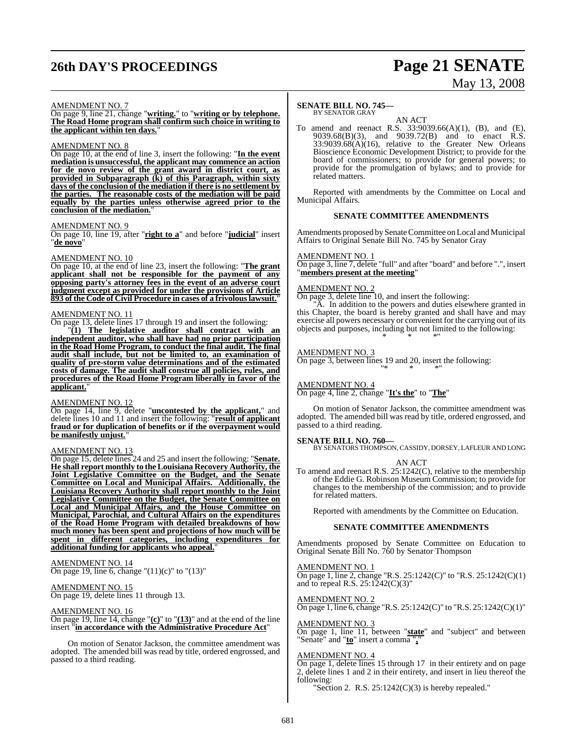# **26th DAY'S PROCEEDINGS Page 21 SENATE**

# May 13, 2008

#### AMENDMENT NO. 7

On page 9, line 21, change "**writing.**" to "**writing or by telephone. The Road Home program shall confirm such choice in writing to the applicant within ten days.**"

#### AMENDMENT NO. 8

On page 10, at the end of line 3, insert the following: "**In the event mediation is unsuccessful, the applicant may commence an action for de novo review of the grant award in district court, as provided in Subparagraph (k) of this Paragraph, within sixty days of the conclusion of the mediation if there is no settlement by the parties. The reasonable costs of the mediation will be paid equally by the parties unless otherwise agreed prior to the conclusion of the mediation.**"

#### AMENDMENT NO. 9

On page 10, line 19, after "**right to a**" and before "**judicial**" insert "**de novo**"

#### AMENDMENT NO. 10

On page 10, at the end of line 23, insert the following: "**The grant applicant shall not be responsible for the payment of any opposing party's attorney fees in the event of an adverse court judgment except as provided for under the provisions of Article 893 of the Code of Civil Procedure in cases of a frivolouslawsuit.**"

#### AMENDMENT NO. 11

On page 13, delete lines 17 through 19 and insert the following:

"**(1) The legislative auditor shall contract with an independent auditor, who shall have had no prior participation in the Road Home Program, to conduct the final audit. The final audit shall include, but not be limited to, an examination of quality of pre-storm value determinations and of the estimated costs of damage. The audit shall construe all policies, rules, and procedures of the Road Home Program liberally in favor of the** applicant.

#### AMENDMENT NO. 12

On page 14, line 9, delete "**uncontested by the applicant,**" and delete lines 10 and 11 and insert the following: "**result of applicant fraud or for duplication of benefits or if the overpayment would be manifestly unjust.**"

#### AMENDMENT NO. 13

On page 15, delete lines 24 and 25 and insert the following: "**Senate. He shall report monthly to the Louisiana Recovery Authority, the Joint Legislative Committee on the Budget, and the Senate Committee on Local and Municipal Affairs. Additionally, the Louisiana Recovery Authority shall report monthly to the Joint Legislative Committee on the Budget, the Senate Committee on Local and Municipal Affairs, and the House Committee on Municipal, Parochial, and Cultural Affairs on the expenditures of the Road Home Program with detailed breakdowns of how much money has been spent and projections of how much will be spent in different categories, including expenditures for additional funding for applicants who appeal.**"

#### AMENDMENT NO. 14 On page 19, line 6, change " $(11)(c)$ " to " $(13)$ "

AMENDMENT NO. 15 On page 19, delete lines 11 through 13.

#### AMENDMENT NO. 16

On page 19, line 14, change "**(c)**" to "**(13)**" and at the end of the line insert "**in accordance with the Administrative Procedure Act**"

On motion of Senator Jackson, the committee amendment was adopted. The amended bill was read by title, ordered engrossed, and passed to a third reading.

#### **SENATE BILL NO. 745—**

BY SENATOR GRAY

AN ACT To amend and reenact R.S. 33:9039.66(A)(1), (B), and (E), 9039.68(B)(3), and 9039.72(B) and to enact R.S.  $33:9039.68(A)(16)$ , relative to the Greater New Orleans Bioscience Economic Development District; to provide for the board of commissioners; to provide for general powers; to provide for the promulgation of bylaws; and to provide for related matters.

Reported with amendments by the Committee on Local and Municipal Affairs.

#### **SENATE COMMITTEE AMENDMENTS**

Amendments proposed by Senate Committee on Local and Municipal Affairs to Original Senate Bill No. 745 by Senator Gray

#### AMENDMENT NO. 1

 $\overline{\text{On page 3, line 7, delete}}$  "full" and after "board" and before ".", insert "**members present at the meeting**"

#### AMENDMENT NO. 2

On page 3, delete line 10, and insert the following:

"A. In addition to the powers and duties elsewhere granted in this Chapter, the board is hereby granted and shall have and may exercise all powers necessary or convenient for the carrying out of its objects and purposes, including but not limited to the following: \* \* \*"

#### AMENDMENT NO. 3

On page 3, between lines 19 and 20, insert the following: "\* \* \*"

#### AMENDMENT NO. 4

On page 4, line 2, change "**It's the**" to "**The**"

On motion of Senator Jackson, the committee amendment was adopted. The amended bill was read by title, ordered engrossed, and passed to a third reading.

**SENATE BILL NO. 760—** BY SENATORS THOMPSON, CASSIDY, DORSEY, LAFLEUR AND LONG

#### AN ACT

To amend and reenact R.S. 25:1242(C), relative to the membership of the Eddie G. Robinson Museum Commission; to provide for changes to the membership of the commission; and to provide for related matters.

Reported with amendments by the Committee on Education.

#### **SENATE COMMITTEE AMENDMENTS**

Amendments proposed by Senate Committee on Education to Original Senate Bill No. 760 by Senator Thompson

#### AMENDMENT NO. 1

On page 1, line 2, change "R.S. 25:1242(C)" to "R.S. 25:1242(C)(1) and to repeal R.S. 25:1242(C)(3)"

#### AMENDMENT NO. 2

On page 1, line 6, change "R.S. 25:1242(C)" to "R.S. 25:1242(C)(1)"

#### AMENDMENT NO. 3

On page 1, line 11, between "**state**" and "subject" and between "Senate" and "**to**" insert a comma "**,**"

#### AMENDMENT NO. 4

On page 1, delete lines 15 through 17 in their entirety and on page 2, delete lines 1 and 2 in their entirety, and insert in lieu thereof the following:

"Section 2. R.S.  $25:1242(C)(3)$  is hereby repealed."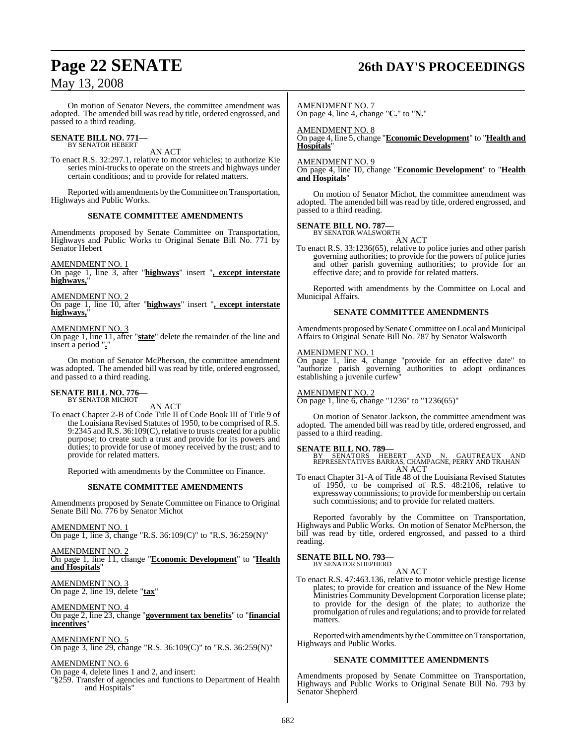# **Page 22 SENATE 26th DAY'S PROCEEDINGS**

## May 13, 2008

On motion of Senator Nevers, the committee amendment was adopted. The amended bill was read by title, ordered engrossed, and passed to a third reading.

# **SENATE BILL NO. 771—** BY SENATOR HEBERT

AN ACT

To enact R.S. 32:297.1, relative to motor vehicles; to authorize Kie series mini-trucks to operate on the streets and highways under certain conditions; and to provide for related matters.

Reported with amendments by the Committee on Transportation, Highways and Public Works.

#### **SENATE COMMITTEE AMENDMENTS**

Amendments proposed by Senate Committee on Transportation, Highways and Public Works to Original Senate Bill No. 771 by Senator Hebert

AMENDMENT NO. 1

On page 1, line 3, after "**highways**" insert "**, except interstate highways,**"

AMENDMENT NO. 2

On page 1, line 10, after "**highways**" insert "**, except interstate highways,**"

#### AMENDMENT NO. 3

On page 1, line 11, after "**state**" delete the remainder of the line and insert a period "**.**"

On motion of Senator McPherson, the committee amendment was adopted. The amended bill was read by title, ordered engrossed, and passed to a third reading.

#### **SENATE BILL NO. 776—** BY SENATOR MICHOT

AN ACT

To enact Chapter 2-B of Code Title II of Code Book III of Title 9 of the Louisiana Revised Statutes of 1950, to be comprised of R.S. 9:2345 and R.S. 36:109(C), relative to trusts created for a public purpose; to create such a trust and provide for its powers and duties; to provide for use of money received by the trust; and to provide for related matters.

Reported with amendments by the Committee on Finance.

#### **SENATE COMMITTEE AMENDMENTS**

Amendments proposed by Senate Committee on Finance to Original Senate Bill No. 776 by Senator Michot

AMENDMENT NO. 1 On page 1, line 3, change "R.S. 36:109(C)" to "R.S. 36:259(N)"

#### AMENDMENT NO. 2 On page 1, line 11, change "**Economic Development**" to "**Health and Hospitals**"

AMENDMENT NO. 3 On page 2, line 19, delete "**tax**"

AMENDMENT NO. 4 On page 2, line 23, change "**government tax benefits**" to "**financial incentives**"

AMENDMENT NO. 5 On page 3, line 29, change "R.S. 36:109(C)" to "R.S. 36:259(N)"

### AMENDMENT NO. 6

On page 4, delete lines 1 and 2, and insert:

"§259. Transfer of agencies and functions to Department of Health and Hospitals"

AMENDMENT NO. 7 On page 4, line 4, change "**C.**" to "**N.**"

AMENDMENT NO. 8 On page 4, line 5, change "**Economic Development**" to "**Health and Hospitals**"

AMENDMENT NO. 9

On page 4, line 10, change "**Economic Development**" to "**Health and Hospitals**"

On motion of Senator Michot, the committee amendment was adopted. The amended bill was read by title, ordered engrossed, and passed to a third reading.

#### **SENATE BILL NO. 787—**

BY SENATOR WALSWORTH AN ACT

To enact R.S. 33:1236(65), relative to police juries and other parish governing authorities; to provide for the powers of police juries and other parish governing authorities; to provide for an effective date; and to provide for related matters.

Reported with amendments by the Committee on Local and Municipal Affairs.

#### **SENATE COMMITTEE AMENDMENTS**

Amendments proposed by Senate Committee on Local and Municipal Affairs to Original Senate Bill No. 787 by Senator Walsworth

#### AMENDMENT NO. 1

On page 1, line 4, change "provide for an effective date" to "authorize parish governing authorities to adopt ordinances establishing a juvenile curfew"

#### AMENDMENT NO. 2

On page 1, line 6, change "1236" to "1236(65)"

On motion of Senator Jackson, the committee amendment was adopted. The amended bill was read by title, ordered engrossed, and passed to a third reading.

**SENATE BILL NO. 789—**<br>BY SENATORS HEBERT AND N. GAUTREAUX AND<br>REPRESENTATIVES BARRAS, CHAMPAGNE, PERRY AND TRAHAN AN ACT

To enact Chapter 31-A of Title 48 of the Louisiana Revised Statutes of 1950, to be comprised of R.S. 48:2106, relative to expressway commissions; to provide for membership on certain such commissions; and to provide for related matters.

Reported favorably by the Committee on Transportation, Highways and Public Works. On motion of Senator McPherson, the bill was read by title, ordered engrossed, and passed to a third reading.

# **SENATE BILL NO. 793—** BY SENATOR SHEPHERD

AN ACT

To enact R.S. 47:463.136, relative to motor vehicle prestige license plates; to provide for creation and issuance of the New Home Ministries Community Development Corporation license plate; to provide for the design of the plate; to authorize the promulgation ofrules and regulations; and to provide forrelated matters.

Reported with amendments by the Committee on Transportation, Highways and Public Works.

#### **SENATE COMMITTEE AMENDMENTS**

Amendments proposed by Senate Committee on Transportation, Highways and Public Works to Original Senate Bill No. 793 by Senator Shepherd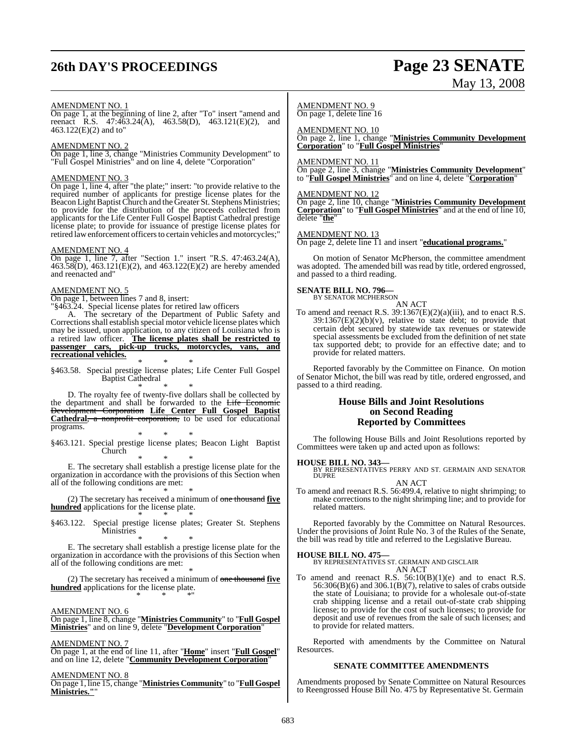# **26th DAY'S PROCEEDINGS Page 23 SENATE**

# May 13, 2008

#### AMENDMENT NO. 1

On page 1, at the beginning of line 2, after "To" insert "amend and reenact R.S. 47:463.24(A), 463.58(D), 463.121(E)(2), and 463.122(E)(2) and to"

#### AMENDMENT NO. 2

On page 1, line 3, change "Ministries Community Development" to "Full Gospel Ministries" and on line 4, delete "Corporation"

#### AMENDMENT NO. 3

On page 1, line 4, after "the plate;" insert: "to provide relative to the required number of applicants for prestige license plates for the Beacon Light Baptist Church and the Greater St. Stephens Ministries; to provide for the distribution of the proceeds collected from applicants for the Life Center Full Gospel Baptist Cathedral prestige license plate; to provide for issuance of prestige license plates for retired law enforcement officers to certain vehicles and motorcycles;"

#### AMENDMENT NO. 4

On page 1, line 7, after "Section 1." insert "R.S. 47:463.24(A), 463.58(D), 463.121(E)(2), and 463.122(E)(2) are hereby amended and reenacted and"

#### AMENDMENT NO. 5

On page 1, between lines 7 and 8, insert:

"§463.24. Special license plates for retired law officers

A. The secretary of the Department of Public Safety and Corrections shall establish special motor vehicle license plates which may be issued, upon application, to any citizen of Louisiana who is a retired law officer. **The license plates shall be restricted to passenger cars, pick-up trucks, motorcycles, vans, and recreational vehicles.**

\* \* \* §463.58. Special prestige license plates; Life Center Full Gospel Baptist Cathedral

\* \* \* D. The royalty fee of twenty-five dollars shall be collected by the department and shall be forwarded to the Life Economic Development Corporation **Life Center Full Gospel Baptist Cathedral**, a nonprofit corporation, to be used for educational programs.

\* \* \* §463.121. Special prestige license plates; Beacon Light Baptist Church

\* \* \* E. The secretary shall establish a prestige license plate for the organization in accordance with the provisions of this Section when all of the following conditions are met:

\* \* \* (2) The secretary has received a minimum of one thousand **five hundred** applications for the license plate. \* \* \*

§463.122. Special prestige license plates; Greater St. Stephens  $M$ inistries

\* \* \* E. The secretary shall establish a prestige license plate for the organization in accordance with the provisions of this Section when all of the following conditions are met:

\* \* \* (2) The secretary has received a minimum of one thousand **five hundred** applications for the license plate. \* \* \*"

#### AMENDMENT NO. 6

On page 1, line 8, change "**Ministries Community**" to "**Full Gospel Ministries**" and on line 9, delete "**Development Corporation**"

#### AMENDMENT NO. 7

On page 1, at the end of line 11, after "**Home**" insert "**Full Gospel**" and on line 12, delete "**Community Development Corporation**"

#### AMENDMENT NO. 8

On page 1, line 15, change "**Ministries Community**" to "**Full Gospel Ministries."**"

#### AMENDMENT NO. 9 On page 1, delete line 16

AMENDMENT NO. 10 On page 2, line 1, change "**Ministries Community Development Corporation**" to "**Full Gospel Ministries**"

#### AMENDMENT NO. 11

On page 2, line 3, change "**Ministries Community Development**" to "**Full Gospel Ministries**" and on line 4, delete "**Corporation**"

#### AMENDMENT NO. 12

On page 2, line 10, change "**Ministries Community Development Corporation**" to "**Full Gospel Ministries**" and at the end of line 10, delete "**the**"

#### AMENDMENT NO. 13

On page 2, delete line 11 and insert "**educational programs.**"

On motion of Senator McPherson, the committee amendment was adopted. The amended bill was read by title, ordered engrossed, and passed to a third reading.

#### **SENATE BILL NO. 796—**

BY SENATOR MCPHERSON AN ACT

To amend and reenact R.S.  $39:1367(E)(2)(a)(iii)$ , and to enact R.S.  $39:1367(E)(2)(b)(v)$ , relative to state debt; to provide that certain debt secured by statewide tax revenues or statewide special assessments be excluded from the definition of net state tax supported debt; to provide for an effective date; and to provide for related matters.

Reported favorably by the Committee on Finance. On motion of Senator Michot, the bill was read by title, ordered engrossed, and passed to a third reading.

#### **House Bills and Joint Resolutions on Second Reading Reported by Committees**

The following House Bills and Joint Resolutions reported by Committees were taken up and acted upon as follows:

**HOUSE BILL NO. 343—** BY REPRESENTATIVES PERRY AND ST. GERMAIN AND SENATOR DUPRE AN ACT

To amend and reenact R.S. 56:499.4, relative to night shrimping; to make corrections to the night shrimping line; and to provide for related matters.

Reported favorably by the Committee on Natural Resources. Under the provisions of Joint Rule No. 3 of the Rules of the Senate, the bill was read by title and referred to the Legislative Bureau.

#### **HOUSE BILL NO. 475—**

BY REPRESENTATIVES ST. GERMAIN AND GISCLAIR AN ACT

To amend and reenact R.S.  $56:10(B)(1)(e)$  and to enact R.S. 56:306(B)(6) and 306.1(B)(7), relative to sales of crabs outside the state of Louisiana; to provide for a wholesale out-of-state crab shipping license and a retail out-of-state crab shipping license; to provide for the cost of such licenses; to provide for deposit and use of revenues from the sale of such licenses; and to provide for related matters.

Reported with amendments by the Committee on Natural Resources.

#### **SENATE COMMITTEE AMENDMENTS**

Amendments proposed by Senate Committee on Natural Resources to Reengrossed House Bill No. 475 by Representative St. Germain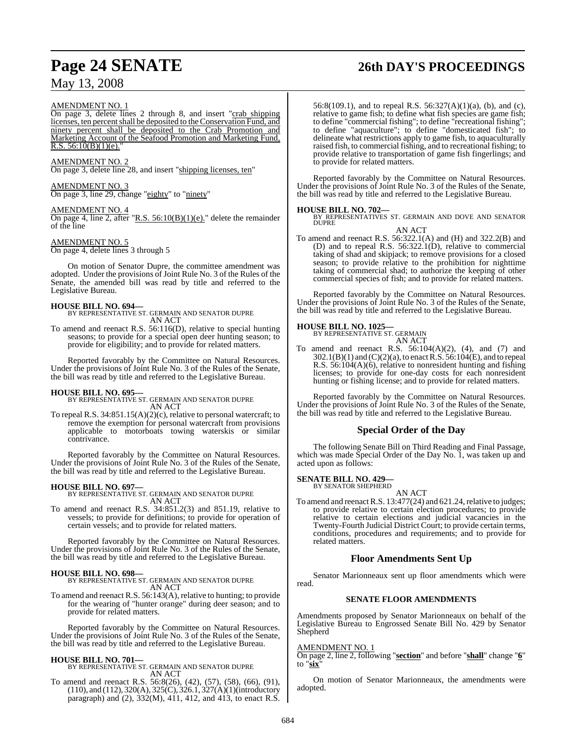# **Page 24 SENATE 26th DAY'S PROCEEDINGS**

#### AMENDMENT NO. 1

On page 3, delete lines 2 through 8, and insert "crab shipping licenses, ten percent shall be deposited to the Conservation Fund, and ninety percent shall be deposited to the Crab Promotion and Marketing Account of the Seafood Promotion and Marketing Fund, R.S.  $56:10(B)(1)(e)$ .

#### AMENDMENT NO. 2

On page 3, delete line 28, and insert "shipping licenses, ten"

## AMENDMENT NO. 3

On page 3, line 29, change "eighty" to "ninety"

#### AMENDMENT NO. 4

On page 4, line 2, after "R.S.  $56:10(B)(1)(e)$ ." delete the remainder of the line

#### AMENDMENT NO. 5

On page 4, delete lines 3 through 5

On motion of Senator Dupre, the committee amendment was adopted. Under the provisions of Joint Rule No. 3 of the Rules of the Senate, the amended bill was read by title and referred to the Legislative Bureau.

**HOUSE BILL NO. 694—** BY REPRESENTATIVE ST. GERMAIN AND SENATOR DUPRE AN ACT

To amend and reenact R.S. 56:116(D), relative to special hunting seasons; to provide for a special open deer hunting season; to provide for eligibility; and to provide for related matters.

Reported favorably by the Committee on Natural Resources. Under the provisions of Joint Rule No. 3 of the Rules of the Senate, the bill was read by title and referred to the Legislative Bureau.

#### **HOUSE BILL NO. 695—**

BY REPRESENTATIVE ST. GERMAIN AND SENATOR DUPRE AN ACT

To repeal R.S. 34:851.15(A)(2)(c), relative to personal watercraft; to remove the exemption for personal watercraft from provisions applicable to motorboats towing waterskis or similar contrivance.

Reported favorably by the Committee on Natural Resources. Under the provisions of Joint Rule No. 3 of the Rules of the Senate, the bill was read by title and referred to the Legislative Bureau.

**HOUSE BILL NO. 697—** BY REPRESENTATIVE ST. GERMAIN AND SENATOR DUPRE AN ACT

To amend and reenact R.S. 34:851.2(3) and 851.19, relative to vessels; to provide for definitions; to provide for operation of certain vessels; and to provide for related matters.

Reported favorably by the Committee on Natural Resources. Under the provisions of Joint Rule No. 3 of the Rules of the Senate, the bill was read by title and referred to the Legislative Bureau.

#### **HOUSE BILL NO. 698—**

BY REPRESENTATIVE ST. GERMAIN AND SENATOR DUPRE AN ACT

To amend and reenact R.S. 56:143(A), relative to hunting; to provide for the wearing of "hunter orange" during deer season; and to provide for related matters.

Reported favorably by the Committee on Natural Resources. Under the provisions of Joint Rule No. 3 of the Rules of the Senate, the bill was read by title and referred to the Legislative Bureau.

**HOUSE BILL NO. 701—** BY REPRESENTATIVE ST. GERMAIN AND SENATOR DUPRE AN ACT

To amend and reenact R.S. 56:8(26), (42), (57), (58), (66), (91), (110), and (112), 320(A), 325(C), 326.1, 327(A)(1)(introductory paragraph) and (2),  $332(M)$ ,  $411$ ,  $412$ , and  $413$ , to enact R.S.

56:8(109.1), and to repeal R.S. 56:327(A)(1)(a), (b), and (c), relative to game fish; to define what fish species are game fish; to define "commercial fishing"; to define "recreational fishing"; to define "aquaculture"; to define "domesticated fish"; to delineate what restrictions apply to game fish, to aquaculturally raised fish, to commercial fishing, and to recreational fishing; to provide relative to transportation of game fish fingerlings; and to provide for related matters.

Reported favorably by the Committee on Natural Resources. Under the provisions of Joint Rule No. 3 of the Rules of the Senate, the bill was read by title and referred to the Legislative Bureau.

#### **HOUSE BILL NO. 702—**

BY REPRESENTATIVES ST. GERMAIN AND DOVE AND SENATOR DUPRE AN ACT

To amend and reenact R.S. 56:322.1(A) and (H) and 322.2(B) and (D) and to repeal R.S. 56:322.1(D), relative to commercial taking of shad and skipjack; to remove provisions for a closed season; to provide relative to the prohibition for nighttime taking of commercial shad; to authorize the keeping of other commercial species of fish; and to provide for related matters.

Reported favorably by the Committee on Natural Resources. Under the provisions of Joint Rule No. 3 of the Rules of the Senate, the bill was read by title and referred to the Legislative Bureau.

## **HOUSE BILL NO. 1025—**

BY REPRESENTATIVE ST. GERMAIN AN ACT

To amend and reenact R.S.  $56:104(A)(2)$ ,  $(4)$ , and  $(7)$  and 302.1(B)(1) and (C)(2)(a), to enactR.S. 56:104(E), and to repeal R.S. 56:104(A)(6), relative to nonresident hunting and fishing licenses; to provide for one-day costs for each nonresident hunting or fishing license; and to provide for related matters.

Reported favorably by the Committee on Natural Resources. Under the provisions of Joint Rule No. 3 of the Rules of the Senate, the bill was read by title and referred to the Legislative Bureau.

### **Special Order of the Day**

The following Senate Bill on Third Reading and Final Passage, which was made Special Order of the Day No. 1, was taken up and acted upon as follows:

#### **SENATE BILL NO. 429—**

BY SENATOR SHEPHERD

AN ACT To amend and reenact R.S.  $13:477(24)$  and  $621.24$ , relative to judges; to provide relative to certain election procedures; to provide relative to certain elections and judicial vacancies in the Twenty-Fourth Judicial District Court; to provide certain terms, conditions, procedures and requirements; and to provide for related matters.

### **Floor Amendments Sent Up**

Senator Marionneaux sent up floor amendments which were read.

#### **SENATE FLOOR AMENDMENTS**

Amendments proposed by Senator Marionneaux on behalf of the Legislative Bureau to Engrossed Senate Bill No. 429 by Senator Shepherd

#### AMENDMENT NO. 1

On page 2, line 2, following "**section**" and before "**shall**" change "**6**" to "**six**"

On motion of Senator Marionneaux, the amendments were adopted.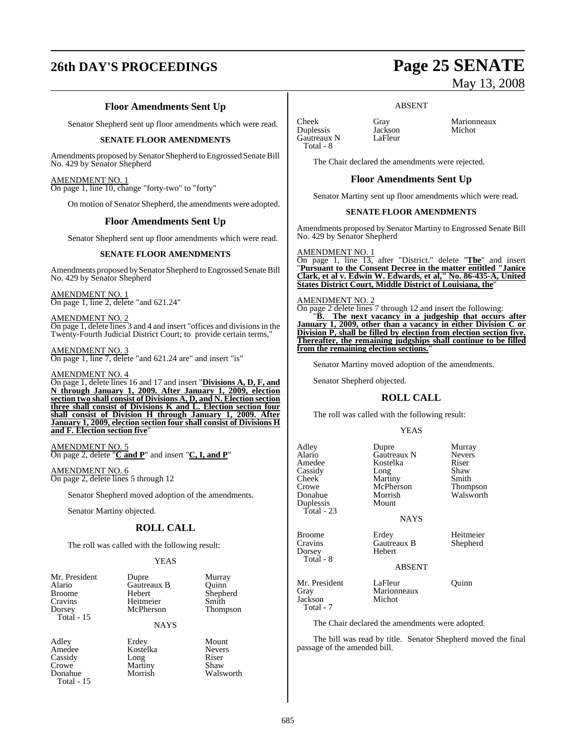# **26th DAY'S PROCEEDINGS Page 25 SENATE**

## **Floor Amendments Sent Up**

Senator Shepherd sent up floor amendments which were read.

#### **SENATE FLOOR AMENDMENTS**

Amendments proposed by Senator Shepherd to Engrossed Senate Bill No. 429 by Senator Shepherd

#### AMENDMENT NO. 1

On page 1, line 10, change "forty-two" to "forty"

On motion of Senator Shepherd, the amendments were adopted.

#### **Floor Amendments Sent Up**

Senator Shepherd sent up floor amendments which were read.

#### **SENATE FLOOR AMENDMENTS**

Amendments proposed bySenator Shepherd to Engrossed Senate Bill No. 429 by Senator Shepherd

AMENDMENT NO. 1 On page 1, line 2, delete "and 621.24"

AMENDMENT NO. 2 On page 1, delete lines 3 and 4 and insert "offices and divisionsin the Twenty-Fourth Judicial District Court; to provide certain terms,"

#### AMENDMENT NO. 3

On page 1, line 7, delete "and 621.24 are" and insert "is"

#### AMENDMENT NO. 4

On page 1, delete lines 16 and 17 and insert "**Divisions A, D, F, and N through January 1, 2009. After January 1, 2009, election section two shall consist of Divisions A, D, and N. Election section three shall consist of Divisions K and L. Election section four shall consist of Division H through January 1, 2009. After January 1, 2009, election section four shall consist of Divisions H and F. Election section five**"

AMENDMENT NO. 5 On page 2, delete "**C and P**" and insert "**C, I, and P**"

AMENDMENT NO. 6 On page 2, delete lines 5 through 12

Senator Shepherd moved adoption of the amendments.

Senator Martiny objected.

### **ROLL CALL**

The roll was called with the following result:

#### YEAS

|             | Murray   |
|-------------|----------|
| Gautreaux B | Ouinn    |
| Hebert      | Shepherd |
| Heitmeier   | Smith    |
| McPherson   | Thompson |
|             |          |
| <b>NAYS</b> |          |
|             | Dupre    |

Adley Erdey Mount Crowe Martiny<br>
Donahue Morrish Total - 15

Amedee Kostelka Nevers Cassidy Long Riser<br>Crowe Martiny Shaw

|  | Thompson |  |
|--|----------|--|
|  |          |  |

Walsworth

| poo |  |  |
|-----|--|--|
|     |  |  |
|     |  |  |
|     |  |  |
|     |  |  |
|     |  |  |
| ınt |  |  |

# May 13, 2008

#### ABSENT

Cheek Gray Marionneaux<br>
Duplessis Jackson Michot **Duplessis** Jackson<br>Gautreaux N LaFleur Gautreaux N Total - 8

The Chair declared the amendments were rejected.

#### **Floor Amendments Sent Up**

Senator Martiny sent up floor amendments which were read.

#### **SENATE FLOOR AMENDMENTS**

Amendments proposed by Senator Martiny to Engrossed Senate Bill No. 429 by Senator Shepherd

#### AMENDMENT NO. 1

On page 1, line 13, after "District." delete "**The**" and insert "**Pursuant to the Consent Decree in the matter entitled "Janice Clark, et al v. Edwin W. Edwards, et al," No. 86-435-A, United States District Court, Middle District of Louisiana, the**"

#### AMENDMENT NO. 2

On page 2 delete lines 7 through 12 and insert the following: "**B. The next vacancy in a judgeship that occurs after January 1, 2009, other than a vacancy in either Division C or Division P, shall be filled by election from election section five. Thereafter, the remaining judgships shall continue to be filled from the remaining election sections.**"

Senator Martiny moved adoption of the amendments.

Senator Shepherd objected.

### **ROLL CALL**

The roll was called with the following result:

#### YEAS

| Adley<br>Alario<br>Amedee<br>Cassidy<br>Cheek<br>Crowe<br>Donahue<br>Duplessis<br>Total - 23 | Dupre<br><b>Gautreaux N</b><br>Kostelka<br>Long<br>Martiny<br>McPherson<br>Morrish<br>Mount | Murray<br><b>Nevers</b><br>Riser<br>Shaw<br>Smith<br>Thompson<br>Walsworth |
|----------------------------------------------------------------------------------------------|---------------------------------------------------------------------------------------------|----------------------------------------------------------------------------|
|                                                                                              | <b>NAYS</b>                                                                                 |                                                                            |
| <b>Broome</b><br>Cravins<br>Dorsey<br>Total - 8                                              | Erdey<br>Gautreaux B<br>Hebert                                                              | Heitmeier<br>Shepherd                                                      |
|                                                                                              | <b>ABSENT</b>                                                                               |                                                                            |

Mr. President LaFleur Quinn<br>Gray Marionneaux Quinn Marionneaux<br>Michot Jackson Total - 7

The Chair declared the amendments were adopted.

The bill was read by title. Senator Shepherd moved the final passage of the amended bill.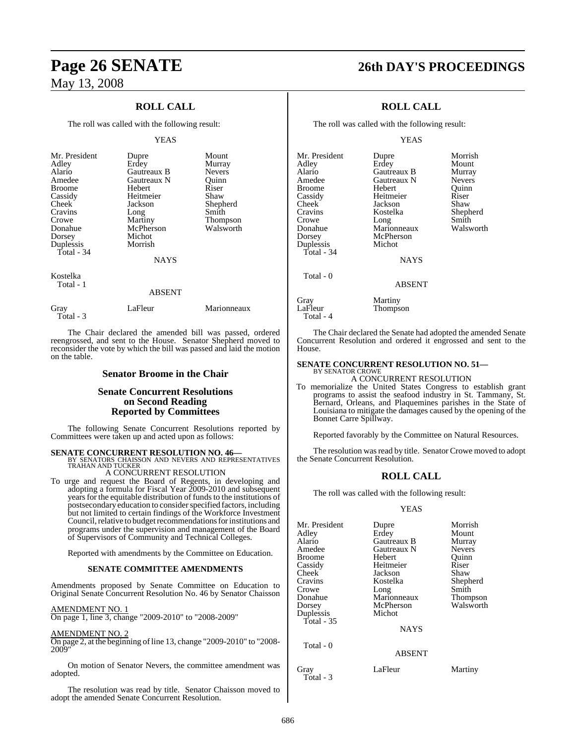## **ROLL CALL**

The roll was called with the following result:

#### YEAS

| Mr. President<br>Adley<br>Alario<br>Amedee<br><b>Broome</b><br>Cassidy<br>Cheek<br>Cravins<br>Crowe<br>Donahue<br>Dorsey<br>Duplessis<br>Total - $34$ | Dupre<br>Erdey<br>Gautreaux B<br>Gautreaux N<br>Hebert<br>Heitmeier<br>Jackson<br>Long<br>Martiny<br>McPherson<br>Michot<br>Morrish<br><b>NAYS</b> | Mount<br>Murray<br><b>Nevers</b><br>Ouinn<br>Riser<br>Shaw<br>Shepherd<br>Smith<br><b>Thompson</b><br>Walsworth |
|-------------------------------------------------------------------------------------------------------------------------------------------------------|----------------------------------------------------------------------------------------------------------------------------------------------------|-----------------------------------------------------------------------------------------------------------------|
| Kostelka<br>Total - 1                                                                                                                                 | ABSENT                                                                                                                                             |                                                                                                                 |

Gray LaFleur Marionneaux Total - 3

The Chair declared the amended bill was passed, ordered reengrossed, and sent to the House. Senator Shepherd moved to reconsider the vote by which the bill was passed and laid the motion on the table.

#### **Senator Broome in the Chair**

### **Senate Concurrent Resolutions on Second Reading Reported by Committees**

The following Senate Concurrent Resolutions reported by Committees were taken up and acted upon as follows:

**SENATE CONCURRENT RESOLUTION NO. 46—** BY SENATORS CHAISSON AND NEVERS AND REPRESENTATIVES TRAHAN AND TUCKER

A CONCURRENT RESOLUTION

To urge and request the Board of Regents, in developing and adopting a formula for Fiscal Year 2009-2010 and subsequent years for the equitable distribution of funds to the institutions of postsecondary education to consider specified factors, including but not limited to certain findings of the Workforce Investment Council, relative to budget recommendations for institutions and programs under the supervision and management of the Board of Supervisors of Community and Technical Colleges.

Reported with amendments by the Committee on Education.

#### **SENATE COMMITTEE AMENDMENTS**

Amendments proposed by Senate Committee on Education to Original Senate Concurrent Resolution No. 46 by Senator Chaisson

#### AMENDMENT NO. 1

On page 1, line 3, change "2009-2010" to "2008-2009"

#### AMENDMENT NO. 2

On page 2, at the beginning of line 13, change "2009-2010" to "2008-2009"

On motion of Senator Nevers, the committee amendment was adopted.

The resolution was read by title. Senator Chaisson moved to adopt the amended Senate Concurrent Resolution.

# **Page 26 SENATE 26th DAY'S PROCEEDINGS**

## **ROLL CALL**

The roll was called with the following result:

YEAS

| Mr. President | Dupre         | Morrish       |
|---------------|---------------|---------------|
| Adlev         | Erdey         | Mount         |
| Alario        | Gautreaux B   | Murray        |
| Amedee        | Gautreaux N   | <b>Nevers</b> |
| Broome        | Hebert        | Quinn         |
| Cassidy       | Heitmeier     | Riser         |
| Cheek         | Jackson       | Shaw          |
| Cravins       | Kostelka      | Shepherd      |
| Crowe         | Long          | Smith         |
| Donahue       | Marionneaux   | Walsworth     |
| Dorsey        | McPherson     |               |
| Duplessis     | Michot        |               |
| Total - 34    |               |               |
|               | <b>NAYS</b>   |               |
| Total - 0     |               |               |
|               | <b>ABSENT</b> |               |
| Gray          | Martiny       |               |
| LaFleur       | Thompson      |               |
| Total - 4     |               |               |

The Chair declared the Senate had adopted the amended Senate Concurrent Resolution and ordered it engrossed and sent to the House.

#### **SENATE CONCURRENT RESOLUTION NO. 51—** BY SENATOR CROWE

A CONCURRENT RESOLUTION

To memorialize the United States Congress to establish grant programs to assist the seafood industry in St. Tammany, St. Bernard, Orleans, and Plaquemines parishes in the State of Louisiana to mitigate the damages caused by the opening of the Bonnet Carre Spillway.

Reported favorably by the Committee on Natural Resources.

The resolution was read by title. Senator Crowe moved to adopt the Senate Concurrent Resolution.

### **ROLL CALL**

The roll was called with the following result:

#### YEAS

| Mr. President     | Dupre         | Morrish       |
|-------------------|---------------|---------------|
| Adlev             | Erdey         | Mount         |
| Alario            | Gautreaux B   | Murray        |
| Amedee            | Gautreaux N   | <b>Nevers</b> |
| Broome            | Hebert        | Ouinn         |
| Cassidy           | Heitmeier     | Riser         |
| Cheek             | Jackson       | Shaw          |
| Cravins           | Kostelka      | Shepherd      |
| Crowe             | Long          | Smith         |
| Donahue           | Marionneaux   | Thompson      |
| Dorsey            | McPherson     | Walsworth     |
| Duplessis         | Michot        |               |
| Total - 35        |               |               |
|                   | <b>NAYS</b>   |               |
| Total - 0         |               |               |
|                   | <b>ABSENT</b> |               |
| Gray<br>Total - 3 | LaFleur       | Martiny       |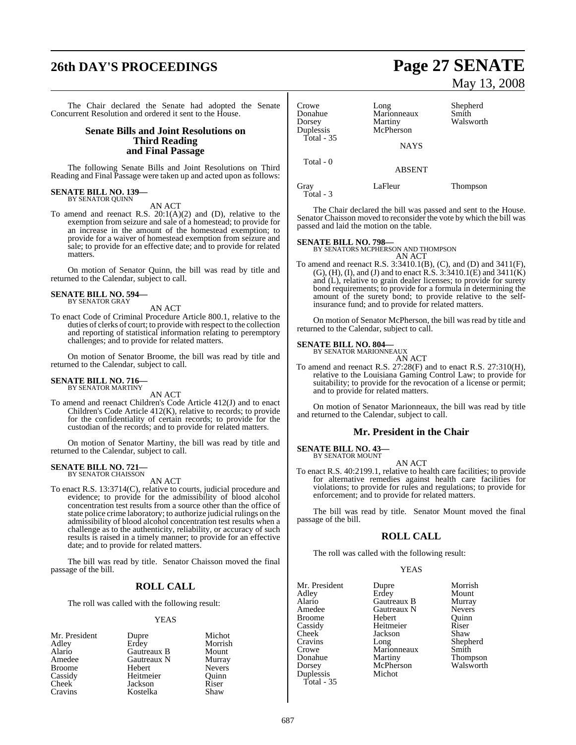# **26th DAY'S PROCEEDINGS Page 27 SENATE**

The Chair declared the Senate had adopted the Senate Concurrent Resolution and ordered it sent to the House.

#### **Senate Bills and Joint Resolutions on Third Reading and Final Passage**

The following Senate Bills and Joint Resolutions on Third Reading and Final Passage were taken up and acted upon as follows:

# **SENATE BILL NO. 139—** BY SENATOR QUINN

AN ACT

To amend and reenact R.S. 20:1(A)(2) and (D), relative to the exemption from seizure and sale of a homestead; to provide for an increase in the amount of the homestead exemption; to provide for a waiver of homestead exemption from seizure and sale; to provide for an effective date; and to provide for related matters.

On motion of Senator Quinn, the bill was read by title and returned to the Calendar, subject to call.

#### **SENATE BILL NO. 594—** BY SENATOR GRAY

AN ACT

To enact Code of Criminal Procedure Article 800.1, relative to the duties of clerks of court; to provide with respect to the collection and reporting of statistical information relating to peremptory challenges; and to provide for related matters.

On motion of Senator Broome, the bill was read by title and returned to the Calendar, subject to call.

# **SENATE BILL NO. 716—** BY SENATOR MARTINY

AN ACT

To amend and reenact Children's Code Article 412(J) and to enact Children's Code Article 412(K), relative to records; to provide for the confidentiality of certain records; to provide for the custodian of the records; and to provide for related matters.

On motion of Senator Martiny, the bill was read by title and returned to the Calendar, subject to call.

#### **SENATE BILL NO. 721—** BY SENATOR CHAISSON

AN ACT

To enact R.S. 13:3714(C), relative to courts, judicial procedure and evidence; to provide for the admissibility of blood alcohol concentration test results from a source other than the office of state police crime laboratory; to authorize judicial rulings on the admissibility of blood alcohol concentration test results when a challenge as to the authenticity, reliability, or accuracy of such results is raised in a timely manner; to provide for an effective date; and to provide for related matters.

The bill was read by title. Senator Chaisson moved the final passage of the bill.

### **ROLL CALL**

The roll was called with the following result:

#### **YEAS**

| Mr. President | Dupre       | Michot        |
|---------------|-------------|---------------|
| Adley         | Erdey       | Morrish       |
| Alario        | Gautreaux B | Mount         |
| Amedee        | Gautreaux N | Murray        |
| <b>Broome</b> | Hebert      | <b>Nevers</b> |
| Cassidy       | Heitmeier   | Ouinn         |
| Cheek         | Jackson     | Riser         |
| Cravins       | Kostelka    | Shaw          |

# May 13, 2008

| Crowe<br>Donahue<br>Dorsey<br>Duplessis<br>Total - 35 | Long<br>Marionneaux<br>Martiny<br>McPherson<br><b>NAYS</b> | Shepherd<br>Smith<br>Walsworth |
|-------------------------------------------------------|------------------------------------------------------------|--------------------------------|
| Total - 0                                             | <b>ABSENT</b>                                              |                                |
| Gray                                                  | LaFleur                                                    | Thompson                       |

Total - 3

The Chair declared the bill was passed and sent to the House. Senator Chaisson moved to reconsider the vote by which the bill was passed and laid the motion on the table.

#### **SENATE BILL NO. 798—**

BY SENATORS MCPHERSON AND THOMPSON AN ACT

To amend and reenact R.S. 3:3410.1(B), (C), and (D) and 3411(F), (G), (H), (I), and (J) and to enact  $R.S. 3:3410.1(E)$  and  $3411(K)$ and (L), relative to grain dealer licenses; to provide for surety bond requirements; to provide for a formula in determining the amount of the surety bond; to provide relative to the selfinsurance fund; and to provide for related matters.

On motion of Senator McPherson, the bill was read by title and returned to the Calendar, subject to call.

#### **SENATE BILL NO. 804—**

BY SENATOR MARIONNEAUX

AN ACT

To amend and reenact R.S. 27:28(F) and to enact R.S. 27:310(H), relative to the Louisiana Gaming Control Law; to provide for suitability; to provide for the revocation of a license or permit; and to provide for related matters.

On motion of Senator Marionneaux, the bill was read by title and returned to the Calendar, subject to call.

#### **Mr. President in the Chair**

**SENATE BILL NO. 43—** BY SENATOR MOUNT

AN ACT

To enact R.S. 40:2199.1, relative to health care facilities; to provide for alternative remedies against health care facilities for violations; to provide for rules and regulations; to provide for enforcement; and to provide for related matters.

The bill was read by title. Senator Mount moved the final passage of the bill.

#### **ROLL CALL**

The roll was called with the following result:

#### YEAS

| Mr. President | Dupre       | Morri |
|---------------|-------------|-------|
| Adley         | Erdey       | Mour  |
| Alario        | Gautreaux B | Murra |
| Amedee        | Gautreaux N | Never |
| <b>Broome</b> | Hebert      | Ouini |
| Cassidy       | Heitmeier   | Riser |
| Cheek         | Jackson     | Shaw  |
| Cravins       | Long        | Shepl |
| Crowe         | Marionneaux | Smith |
| Donahue       | Martiny     | Thom  |
| Dorsey        | McPherson   | Walsy |
| Duplessis     | Michot      |       |
| Total - 35    |             |       |

upre Morrish<br>1981 - Mount Mount<br>Murray autreaux B Murray<br>autreaux N Nevers Quinn<br>Riser eitmeier Riser<br>
ckson Shaw ong Shepherd<br>Iarionneaux Smith Exerci<mark>ny Thompson</mark><br>IcPherson Walsworth Walsworth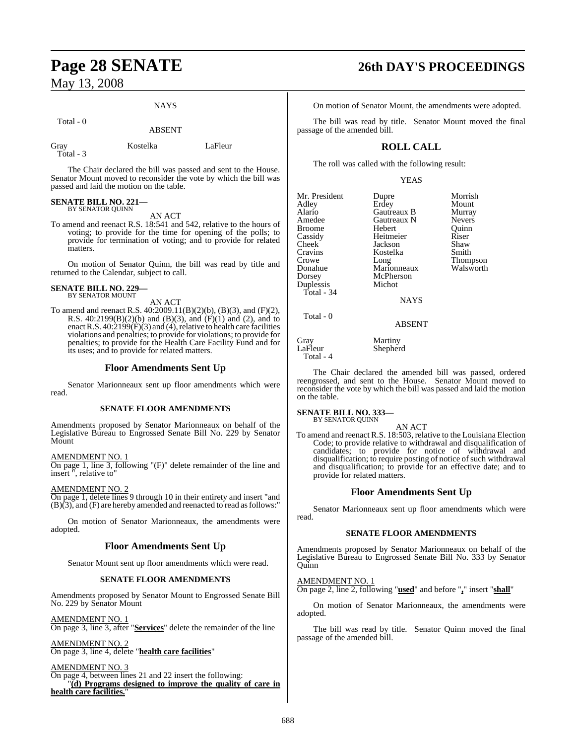#### **NAYS**

Total - 0

ABSENT

| га |  |  |
|----|--|--|
| v. |  |  |

Kostelka LaFleur

The Chair declared the bill was passed and sent to the House. Senator Mount moved to reconsider the vote by which the bill was passed and laid the motion on the table.

# **SENATE BILL NO. 221—** BY SENATOR QUINN

AN ACT

To amend and reenact R.S. 18:541 and 542, relative to the hours of voting; to provide for the time for opening of the polls; to provide for termination of voting; and to provide for related matters.

On motion of Senator Quinn, the bill was read by title and returned to the Calendar, subject to call.

#### **SENATE BILL NO. 229—** BY SENATOR MOUNT

AN ACT

To amend and reenact R.S. 40:2009.11(B)(2)(b), (B)(3), and (F)(2), R.S.  $40:2199(B)(2)(b)$  and  $(B)(3)$ , and  $(F)(1)$  and  $(2)$ , and to enact R.S.  $40:2199(F)(3)$  and (4), relative to health care facilities violations and penalties; to provide for violations; to provide for penalties; to provide for the Health Care Facility Fund and for its uses; and to provide for related matters.

## **Floor Amendments Sent Up**

Senator Marionneaux sent up floor amendments which were read.

#### **SENATE FLOOR AMENDMENTS**

Amendments proposed by Senator Marionneaux on behalf of the Legislative Bureau to Engrossed Senate Bill No. 229 by Senator Mount

#### AMENDMENT NO. 1

On page 1, line 3, following "(F)" delete remainder of the line and insert ", relative to"

#### AMENDMENT NO. 2

On page 1, delete lines 9 through 10 in their entirety and insert "and  $(B)(3)$ , and  $(F)$  are hereby amended and reenacted to read as follows:

On motion of Senator Marionneaux, the amendments were adopted.

### **Floor Amendments Sent Up**

Senator Mount sent up floor amendments which were read.

#### **SENATE FLOOR AMENDMENTS**

Amendments proposed by Senator Mount to Engrossed Senate Bill No. 229 by Senator Mount

AMENDMENT NO. 1

On page 3, line 3, after "**Services**" delete the remainder of the line

AMENDMENT NO. 2 On page 3, line 4, delete "**health care facilities**"

AMENDMENT NO. 3

On page 4, between lines 21 and 22 insert the following: "**(d) Programs designed to improve the quality of care in** health care facilities.

# **Page 28 SENATE 26th DAY'S PROCEEDINGS**

On motion of Senator Mount, the amendments were adopted.

The bill was read by title. Senator Mount moved the final passage of the amended bill.

## **ROLL CALL**

The roll was called with the following result:

#### YEAS

| Mr. President<br>Adley<br>Alario<br>Amedee<br><b>Broome</b><br>Cassidy<br>Cheek<br>Cravins<br>Crowe<br>Donahue<br>Dorsey<br>Duplessis<br>Total - 34 | Dupre<br>Erdey<br>Gautreaux B<br>Gautreaux N<br>Hebert<br>Heitmeier<br>Jackson<br>Kostelka<br>Long<br>Marionneaux<br>McPherson<br>Michot<br><b>NAYS</b> | Morrish<br>Mount<br>Murray<br><b>Nevers</b><br>Ouinn<br>Riser<br>Shaw<br>Smith<br>Thompson<br>Walsworth |
|-----------------------------------------------------------------------------------------------------------------------------------------------------|---------------------------------------------------------------------------------------------------------------------------------------------------------|---------------------------------------------------------------------------------------------------------|
|                                                                                                                                                     |                                                                                                                                                         |                                                                                                         |
| Total - 0                                                                                                                                           | <b>ABSENT</b>                                                                                                                                           |                                                                                                         |

Gray Martiny LaFleur Shepherd Total - 4

The Chair declared the amended bill was passed, ordered reengrossed, and sent to the House. Senator Mount moved to reconsider the vote by which the bill was passed and laid the motion on the table.

#### **SENATE BILL NO. 333—**

BY SENATOR QUINN

AN ACT To amend and reenact R.S. 18:503, relative to the Louisiana Election Code; to provide relative to withdrawal and disqualification of candidates; to provide for notice of withdrawal and disqualification; to require posting of notice of such withdrawal and disqualification; to provide for an effective date; and to provide for related matters.

## **Floor Amendments Sent Up**

Senator Marionneaux sent up floor amendments which were read.

#### **SENATE FLOOR AMENDMENTS**

Amendments proposed by Senator Marionneaux on behalf of the Legislative Bureau to Engrossed Senate Bill No. 333 by Senator Quinn

#### AMENDMENT NO. 1

On page 2, line 2, following "**used**" and before "**,**" insert "**shall**"

On motion of Senator Marionneaux, the amendments were adopted.

The bill was read by title. Senator Quinn moved the final passage of the amended bill.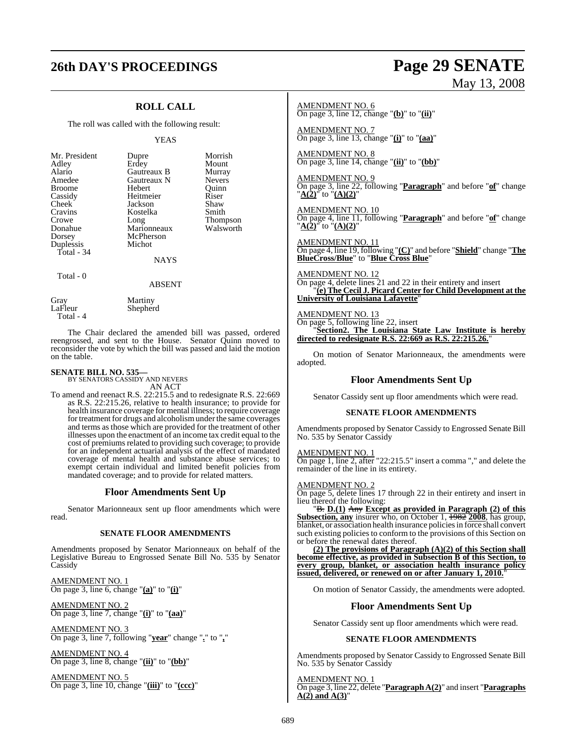# **26th DAY'S PROCEEDINGS Page 29 SENATE**

# May 13, 2008

## **ROLL CALL**

The roll was called with the following result:

#### YEAS

| Mr. President<br>Adley<br>Alario<br>Amedee<br><b>Broome</b><br>Cassidy<br>Cheek<br>Cravins<br>Crowe<br>Donahue<br>Dorsey | Dupre<br>Erdey<br>Gautreaux B<br>Gautreaux N<br>Hebert<br>Heitmeier<br>Jackson<br>Kostelka<br>Long<br>Marionneaux<br>McPherson<br>Michot | Morrish<br>Mount<br>Murray<br><b>Nevers</b><br>Ouinn<br>Riser<br>Shaw<br>Smith<br>Thompson<br>Walsworth |
|--------------------------------------------------------------------------------------------------------------------------|------------------------------------------------------------------------------------------------------------------------------------------|---------------------------------------------------------------------------------------------------------|
| Duplessis<br>Total - $34$                                                                                                | <b>NAYS</b>                                                                                                                              |                                                                                                         |
| Total - 0                                                                                                                |                                                                                                                                          |                                                                                                         |

Shepherd

#### ABSENT

Gray Martiny<br>LaFleur Shenher

Total - 4

The Chair declared the amended bill was passed, ordered reengrossed, and sent to the House. Senator Quinn moved to reconsider the vote by which the bill was passed and laid the motion on the table.

# **SENATE BILL NO. 535—** BY SENATORS CASSIDY AND NEVERS

AN ACT

To amend and reenact R.S. 22:215.5 and to redesignate R.S. 22:669 as R.S. 22:215.26, relative to health insurance; to provide for health insurance coverage for mental illness; to require coverage for treatment for drugs and alcoholism under the same coverages and terms as those which are provided for the treatment of other illnesses upon the enactment of an income tax credit equal to the cost of premiums related to providing such coverage; to provide for an independent actuarial analysis of the effect of mandated coverage of mental health and substance abuse services; to exempt certain individual and limited benefit policies from mandated coverage; and to provide for related matters.

## **Floor Amendments Sent Up**

Senator Marionneaux sent up floor amendments which were read.

#### **SENATE FLOOR AMENDMENTS**

Amendments proposed by Senator Marionneaux on behalf of the Legislative Bureau to Engrossed Senate Bill No. 535 by Senator Cassidy

AMENDMENT NO. 1 On page 3, line 6, change "**(a)**" to "**(i)**"

AMENDMENT NO. 2 On page 3, line 7, change "**(i)**" to "**(aa)**"

AMENDMENT NO. 3 On page 3, line 7, following "**year**" change "**.**" to "**,**"

AMENDMENT NO. 4 On page 3, line 8, change "**(ii)**" to "**(bb)**"

AMENDMENT NO. 5 On page 3, line 10, change "**(iii)**" to "**(ccc)**" AMENDMENT NO. 6 On page 3, line 12, change "**(b)**" to "**(ii)**"

AMENDMENT NO. 7 On page 3, line 13, change "**(i)**" to "**(aa)**"

AMENDMENT NO. 8 On page 3, line 14, change "**(ii)**" to "**(bb)**"

AMENDMENT NO. 9

On page 3, line 22, following "**Paragraph**" and before "**of**" change "**A(2)**" to "**(A)(2)**"

AMENDMENT NO. 10 On page 4, line 11, following "**Paragraph**" and before "**of**" change "**A(2)**" to "**(A)(2)**"

AMENDMENT NO. 11 On page 4, line 19, following "**(C)**" and before "**Shield**" change "**The BlueCross/Blue**" to "**Blue Cross Blue**"

AMENDMENT NO. 12  $\frac{1}{2}$ On page 4, delete lines 21 and 22 in their entirety and insert "**(e) The Cecil J. Picard Center for Child Development at the University of Louisiana Lafayette**"

AMENDMENT NO. 13 On page 5, following line 22, insert "**Section2. The Louisiana State Law Institute is hereby directed to redesignate R.S. 22:669 as R.S. 22:215.26.**"

On motion of Senator Marionneaux, the amendments were adopted.

## **Floor Amendments Sent Up**

Senator Cassidy sent up floor amendments which were read.

#### **SENATE FLOOR AMENDMENTS**

Amendments proposed by Senator Cassidy to Engrossed Senate Bill No. 535 by Senator Cassidy

AMENDMENT NO. 1 On page 1, line 2, after "22:215.5" insert a comma "," and delete the remainder of the line in its entirety.

#### AMENDMENT NO. 2

On page 5, delete lines 17 through 22 in their entirety and insert in lieu thereof the following:

"B. **D.(1)** Any **Except as provided in Paragraph (2) of this Subsection, any** insurer who, on October 1, 1982 **2008**, has group, blanket, or association health insurance policiesin force shall convert such existing policies to conform to the provisions of this Section on or before the renewal dates thereof.

**(2) The provisions of Paragraph (A)(2) of this Section shall become effective, as provided in Subsection B of this Section, to every group, blanket, or association health insurance policy issued, delivered, or renewed on or after January 1, 2010.**"

On motion of Senator Cassidy, the amendments were adopted.

### **Floor Amendments Sent Up**

Senator Cassidy sent up floor amendments which were read.

#### **SENATE FLOOR AMENDMENTS**

Amendments proposed by Senator Cassidy to Engrossed Senate Bill No. 535 by Senator Cassidy

AMENDMENT NO. 1 On page 3, line 22, delete "**Paragraph A(2)**" and insert "**Paragraphs**  $A(2)$  and  $A(3)$ "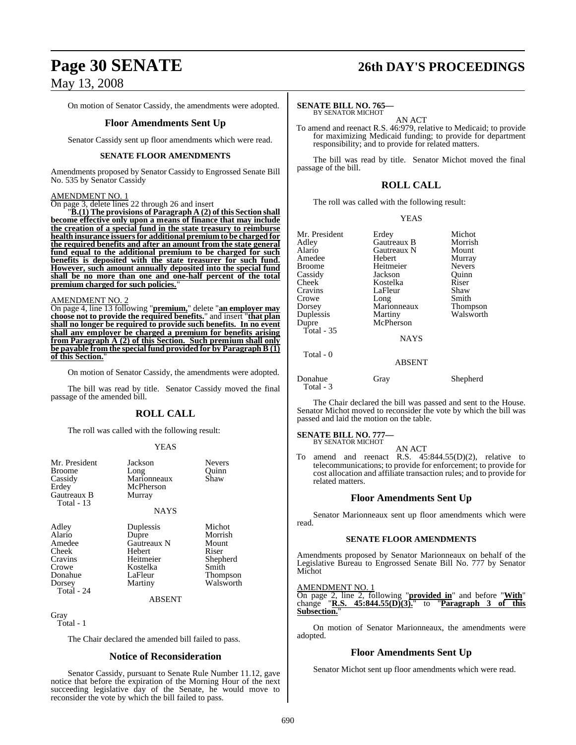On motion of Senator Cassidy, the amendments were adopted.

#### **Floor Amendments Sent Up**

Senator Cassidy sent up floor amendments which were read.

#### **SENATE FLOOR AMENDMENTS**

Amendments proposed by Senator Cassidy to Engrossed Senate Bill No. 535 by Senator Cassidy

#### AMENDMENT NO. 1

On page 3, delete lines 22 through 26 and insert

"**B.(1) The provisions of Paragraph A (2) of this Section shall become effective only upon a means of finance that may include the creation of a special fund in the state treasury to reimburse health insurance issuersfor additional premium to be charged for the required benefits and after an amount from the state general fund equal to the additional premium to be charged for such benefits is deposited with the state treasurer for such fund. However, such amount annually deposited into the special fund shall be no more than one and one-half percent of the total premium charged for such policies.**"

#### AMENDMENT NO. 2

On page 4, line 13 following "**premium,**" delete "**an employer may choose not to provide the required benefits.**" and insert "**that plan shall no longer be required to provide such benefits. In no event shall any employer be charged a premium for benefits arising from Paragraph A (2) of this Section. Such premium shall only be payable from the special fund provided for by Paragraph B (1) of this Section.**"

On motion of Senator Cassidy, the amendments were adopted.

The bill was read by title. Senator Cassidy moved the final passage of the amended bill.

### **ROLL CALL**

The roll was called with the following result:

#### YEAS

| Mr. President<br><b>Broome</b><br>Cassidy<br>Erdey<br>Gautreaux B<br>Total $-13$          | Jackson<br>Long<br>Marionneaux<br>McPherson<br>Murray<br><b>NAYS</b>                                        | Nevers<br>Quinn<br>Shaw                                                           |
|-------------------------------------------------------------------------------------------|-------------------------------------------------------------------------------------------------------------|-----------------------------------------------------------------------------------|
| Adley<br>Alario<br>Amedee<br>Cheek<br>Cravins<br>Crowe<br>Donahue<br>Dorsey<br>Total - 24 | Duplessis<br>Dupre<br>Gautreaux N<br>Hebert<br>Heitmeier<br>Kostelka<br>LaFleur<br>Martiny<br><b>ABSENT</b> | Michot<br>Morrish<br>Mount<br>Riser<br>Shepherd<br>Smith<br>Thompson<br>Walsworth |
| Gray<br>Total - 1                                                                         |                                                                                                             |                                                                                   |

The Chair declared the amended bill failed to pass.

#### **Notice of Reconsideration**

Senator Cassidy, pursuant to Senate Rule Number 11.12, gave notice that before the expiration of the Morning Hour of the next succeeding legislative day of the Senate, he would move to reconsider the vote by which the bill failed to pass.

# **Page 30 SENATE 26th DAY'S PROCEEDINGS**

#### **SENATE BILL NO. 765—**

BY SENATOR MICHOT AN ACT

To amend and reenact R.S. 46:979, relative to Medicaid; to provide for maximizing Medicaid funding; to provide for department responsibility; and to provide for related matters.

The bill was read by title. Senator Michot moved the final passage of the bill.

## **ROLL CALL**

The roll was called with the following result:

#### YEAS

| Mr. President<br>Adley<br>Alario<br>Amedee<br><b>Broome</b><br>Cassidy<br>Cheek<br>Cravins<br>Crowe<br>Dorsey<br>Duplessis<br>Dupre<br>Total - $35$ | Erdey<br>Gautreaux B<br>Gautreaux N<br>Hebert<br>Heitmeier<br>Jackson<br>Kostelka<br>LaFleur<br>Long<br>Marionneaux<br>Martiny<br>McPherson<br><b>NAYS</b> | Michot<br>Morrish<br>Mount<br>Murray<br><b>Nevers</b><br>Ouinn<br>Riser<br>Shaw<br>Smith<br><b>Thompson</b><br>Walsworth |
|-----------------------------------------------------------------------------------------------------------------------------------------------------|------------------------------------------------------------------------------------------------------------------------------------------------------------|--------------------------------------------------------------------------------------------------------------------------|
| Total - 0                                                                                                                                           | <b>ABSENT</b>                                                                                                                                              |                                                                                                                          |

Donahue Gray Shepherd Total - 3

The Chair declared the bill was passed and sent to the House. Senator Michot moved to reconsider the vote by which the bill was passed and laid the motion on the table.

**SENATE BILL NO. 777** BY SENATOR MICHOT

AN ACT

To amend and reenact R.S. 45:844.55(D)(2), relative to telecommunications; to provide for enforcement; to provide for cost allocation and affiliate transaction rules; and to provide for related matters.

#### **Floor Amendments Sent Up**

Senator Marionneaux sent up floor amendments which were read.

#### **SENATE FLOOR AMENDMENTS**

Amendments proposed by Senator Marionneaux on behalf of the Legislative Bureau to Engrossed Senate Bill No. 777 by Senator Michot

#### AMENDMENT NO. 1

On page 2, line 2, following "**provided in**" and before "**With**" change "**R.S. 45:844.55(D)(3).**" to "**Paragraph 3 of this Subsection.**"

On motion of Senator Marionneaux, the amendments were adopted.

#### **Floor Amendments Sent Up**

Senator Michot sent up floor amendments which were read.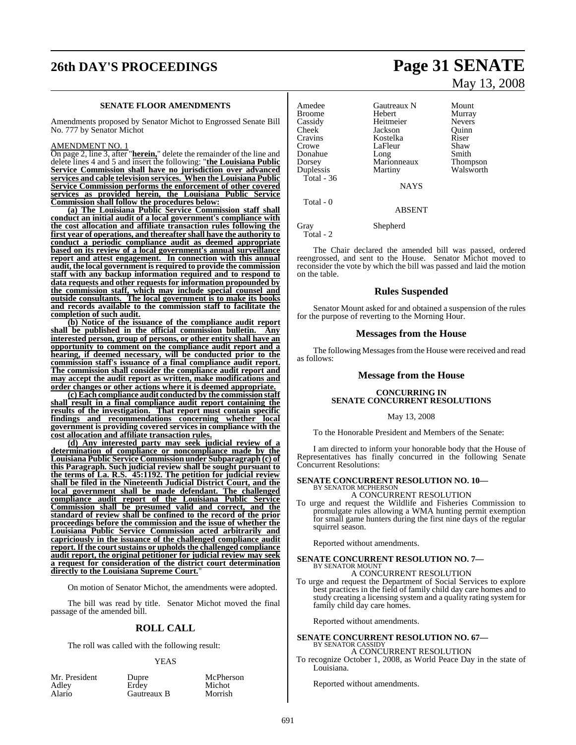# **26th DAY'S PROCEEDINGS Page 31 SENATE**

#### **SENATE FLOOR AMENDMENTS**

Amendments proposed by Senator Michot to Engrossed Senate Bill No. 777 by Senator Michot

#### AMENDMENT NO. 1

On page 2, line 3, after "**herein,**" delete the remainder of the line and delete lines 4 and 5 and insert the following: "**the Louisiana Public Service Commission shall have no jurisdiction over advanced services and cable television services. When the Louisiana Public Service Commission performs the enforcement of other covered services as provided herein, the Louisiana Public Service Commission shall follow the procedures below:**

**(a) The Louisiana Public Service Commission staff shall conduct an initial audit of a local government's compliance with the cost allocation and affiliate transaction rules following the first year of operations, and thereafter shall have the authority to conduct a periodic compliance audit as deemed appropriate based on its review of a local government's annual surveillance report and attest engagement. In connection with this annual audit, the local government is required to provide the commission staff with any backup information required and to respond to data requests and other requests for information propounded by the commission staff, which may include special counsel and outside consultants. The local government is to make its books and records available to the commission staff to facilitate the completion of such audit.**

**(b) Notice of the issuance of the compliance audit report shall be published in the official commission bulletin. Any interested person, group of persons, or other entity shall have an opportunity to comment on the compliance audit report and a hearing, if deemed necessary, will be conducted prior to the commission staff's issuance of a final compliance audit report. The commission shall consider the compliance audit report and may accept the audit report as written, make modifications and order changes or other actions where it is deemed appropriate.**

**(c) Each compliance audit conducted by the commission staff shall result in a final compliance audit report containing the results of the investigation. That report must contain specific findings and recommendations concerning whether local government is providing covered services in compliance with the cost allocation and affiliate transaction rules.**

**(d) Any interested party may seek judicial review of a determination of compliance or noncompliance made by the Louisiana Public Service Commission under Subparagraph (c) of this Paragraph. Such judicial review shall be sought pursuant to the terms of La. R.S. 45:1192. The petition for judicial review shall be filed in the Nineteenth Judicial District Court, and the local government shall be made defendant. The challenged compliance audit report of the Louisiana Public Service Commission shall be presumed valid and correct, and the standard of review shall be confined to the record of the prior proceedings before the commission and the issue of whether the Louisiana Public Service Commission acted arbitrarily and capriciously in the issuance of the challenged compliance audit report.** If the court sustains or upholds the challenged compliance **audit report, the original petitioner for judicial review may seek a request for consideration of the district court determination directly to the Louisiana Supreme Court.**"

On motion of Senator Michot, the amendments were adopted.

The bill was read by title. Senator Michot moved the final passage of the amended bill.

### **ROLL CALL**

The roll was called with the following result:

#### YEAS

Michot<br>Morrish

| Mr. President |  |
|---------------|--|
| Adley         |  |
| Alario        |  |

Dupre McPherson<br>Erdev Michot Gautreaux B

Amedee Gautreaux N Mount Broome Hebert Murray Cassidy Heitmeier Nevers Cheek Jackson Quinn Cravins Kostelka Riser Crowe LaFleur Shaw<br>
Donahue Long Smith Donahue Long Smith Dorsey Marionneaux Thompson Duplessis Martiny Walsworth Total - 36 NAYS Total - 0 ABSENT

Gray Shepherd Total - 2

The Chair declared the amended bill was passed, ordered reengrossed, and sent to the House. Senator Michot moved to reconsider the vote by which the bill was passed and laid the motion on the table.

#### **Rules Suspended**

Senator Mount asked for and obtained a suspension of the rules for the purpose of reverting to the Morning Hour.

#### **Messages from the House**

The following Messages from the House were received and read as follows:

#### **Message from the House**

#### **CONCURRING IN SENATE CONCURRENT RESOLUTIONS**

#### May 13, 2008

To the Honorable President and Members of the Senate:

I am directed to inform your honorable body that the House of Representatives has finally concurred in the following Senate Concurrent Resolutions:

#### **SENATE CONCURRENT RESOLUTION NO. 10—** BY SENATOR MCPHERSON

A CONCURRENT RESOLUTION

To urge and request the Wildlife and Fisheries Commission to promulgate rules allowing a WMA hunting permit exemption for small game hunters during the first nine days of the regular squirrel season.

Reported without amendments.

# **SENATE CONCURRENT RESOLUTION NO. 7—** BY SENATOR MOUNT

A CONCURRENT RESOLUTION

To urge and request the Department of Social Services to explore best practices in the field of family child day care homes and to study creating a licensing system and a quality rating system for family child day care homes.

Reported without amendments.

# **SENATE CONCURRENT RESOLUTION NO. 67—** BY SENATOR CASSIDY

A CONCURRENT RESOLUTION

To recognize October 1, 2008, as World Peace Day in the state of Louisiana.

Reported without amendments.

# May 13, 2008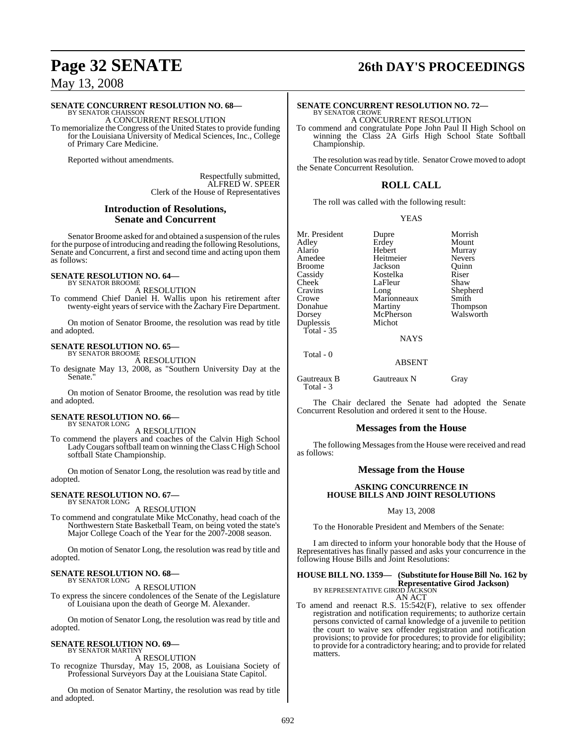#### **SENATE CONCURRENT RESOLUTION NO. 68—**

BY SENATOR CHAISSON A CONCURRENT RESOLUTION To memorialize the Congress of the United States to provide funding for the Louisiana University of Medical Sciences, Inc., College of Primary Care Medicine.

Reported without amendments.

Respectfully submitted, ALFRED W. SPEER Clerk of the House of Representatives

#### **Introduction of Resolutions, Senate and Concurrent**

Senator Broome asked for and obtained a suspension of the rules for the purpose of introducing and reading the following Resolutions, Senate and Concurrent, a first and second time and acting upon them as follows:

#### **SENATE RESOLUTION NO. 64—** BY SENATOR BROOME

A RESOLUTION

To commend Chief Daniel H. Wallis upon his retirement after twenty-eight years of service with the Zachary Fire Department.

On motion of Senator Broome, the resolution was read by title and adopted.

#### **SENATE RESOLUTION NO. 65—** BY SENATOR BROOME

A RESOLUTION To designate May 13, 2008, as "Southern University Day at the Senate."

On motion of Senator Broome, the resolution was read by title and adopted.

#### **SENATE RESOLUTION NO. 66—** BY SENATOR LONG

A RESOLUTION

To commend the players and coaches of the Calvin High School Lady Cougars softball team on winning the Class C High School softball State Championship.

On motion of Senator Long, the resolution was read by title and adopted.

#### **SENATE RESOLUTION NO. 67—** BY SENATOR LONG

A RESOLUTION

To commend and congratulate Mike McConathy, head coach of the Northwestern State Basketball Team, on being voted the state's Major College Coach of the Year for the 2007-2008 season.

On motion of Senator Long, the resolution was read by title and adopted.

#### **SENATE RESOLUTION NO. 68—** BY SENATOR LONG

A RESOLUTION

To express the sincere condolences of the Senate of the Legislature of Louisiana upon the death of George M. Alexander.

On motion of Senator Long, the resolution was read by title and adopted.

# **SENATE RESOLUTION NO. 69—** BY SENATOR MARTINY

A RESOLUTION

To recognize Thursday, May 15, 2008, as Louisiana Society of Professional Surveyors Day at the Louisiana State Capitol.

On motion of Senator Martiny, the resolution was read by title and adopted.

# **Page 32 SENATE 26th DAY'S PROCEEDINGS**

#### **SENATE CONCURRENT RESOLUTION NO. 72—** BY SENATOR CROWE

A CONCURRENT RESOLUTION

To commend and congratulate Pope John Paul II High School on winning the Class 2A Girls High School State Softball Championship.

The resolution was read by title. Senator Crowe moved to adopt the Senate Concurrent Resolution.

## **ROLL CALL**

The roll was called with the following result:

#### YEAS

Mr. President Dupre Morrish<br>
Adley Erdey Mount Adley Erdey<br>Alario Hebert Alario Hebert Murray **Broome** Cassidy Kostelka Riser Cheek LaFleur<br>Cravins Long Crowe Marionneaux Smith<br>
Donahue Martiny Thom Donahue Martiny Thompson<br>
Dorsey McPherson Walsworth Duplessis Total - 35

Total - 0

Heitmeier Nevers<br>Lackson Ouinn Shepherd

NAYS

McPherson<br>Michot

#### ABSENT

Gautreaux B Gautreaux N Gray Total - 3

The Chair declared the Senate had adopted the Senate Concurrent Resolution and ordered it sent to the House.

### **Messages from the House**

The following Messages from the House were received and read as follows:

### **Message from the House**

#### **ASKING CONCURRENCE IN HOUSE BILLS AND JOINT RESOLUTIONS**

May 13, 2008

To the Honorable President and Members of the Senate:

I am directed to inform your honorable body that the House of Representatives has finally passed and asks your concurrence in the following House Bills and Joint Resolutions:

## **HOUSE BILL NO. 1359— (Substitute for HouseBill No. 162 by Representative Girod Jackson)** BY REPRESENTATIVE GIROD JACKSON

AN ACT To amend and reenact R.S. 15:542(F), relative to sex offender registration and notification requirements; to authorize certain persons convicted of carnal knowledge of a juvenile to petition the court to waive sex offender registration and notification provisions; to provide for procedures; to provide for eligibility; to provide for a contradictory hearing; and to provide for related matters.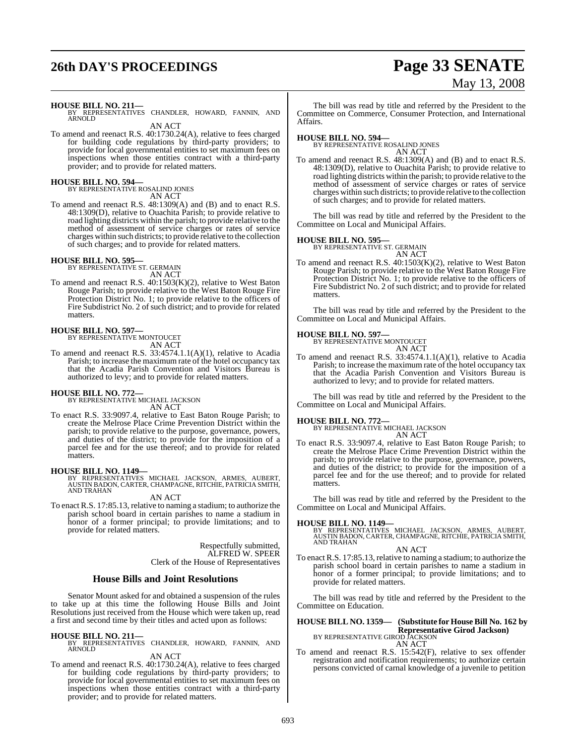# **26th DAY'S PROCEEDINGS Page 33 SENATE**

# May 13, 2008

**HOUSE BILL NO. 211—** BY REPRESENTATIVES CHANDLER, HOWARD, FANNIN, AND ARNOLD

AN ACT

To amend and reenact R.S. 40:1730.24(A), relative to fees charged for building code regulations by third-party providers; to provide for local governmental entities to set maximum fees on inspections when those entities contract with a third-party provider; and to provide for related matters.

# **HOUSE BILL NO. 594—** BY REPRESENTATIVE ROSALIND JONES

AN ACT

To amend and reenact R.S. 48:1309(A) and (B) and to enact R.S. 48:1309(D), relative to Ouachita Parish; to provide relative to road lighting districts within the parish; to provide relative to the method of assessment of service charges or rates of service charges within such districts; to provide relative to the collection of such charges; and to provide for related matters.

#### **HOUSE BILL NO. 595—**

BY REPRESENTATIVE ST. GERMAIN AN ACT

To amend and reenact R.S. 40:1503(K)(2), relative to West Baton Rouge Parish; to provide relative to the West Baton Rouge Fire Protection District No. 1; to provide relative to the officers of Fire Subdistrict No. 2 of such district; and to provide for related matters.

#### **HOUSE BILL NO. 597—**

BY REPRESENTATIVE MONTOUCET AN ACT

To amend and reenact R.S. 33:4574.1.1(A)(1), relative to Acadia Parish; to increase the maximum rate of the hotel occupancy tax that the Acadia Parish Convention and Visitors Bureau is authorized to levy; and to provide for related matters.

**HOUSE BILL NO. 772—** BY REPRESENTATIVE MICHAEL JACKSON AN ACT

To enact R.S. 33:9097.4, relative to East Baton Rouge Parish; to create the Melrose Place Crime Prevention District within the parish; to provide relative to the purpose, governance, powers, and duties of the district; to provide for the imposition of a parcel fee and for the use thereof; and to provide for related matters.

**HOUSE BILL NO. 1149—** BY REPRESENTATIVES MICHAEL JACKSON, ARMES, AUBERT, AUSTIN BADON, CARTER, CHAMPAGNE, RITCHIE, PATRICIA SMITH, AND TRAHAN

AN ACT

To enact R.S. 17:85.13, relative to naming a stadium; to authorize the parish school board in certain parishes to name a stadium in honor of a former principal; to provide limitations; and to provide for related matters.

> Respectfully submitted, ALFRED W. SPEER Clerk of the House of Representatives

## **House Bills and Joint Resolutions**

Senator Mount asked for and obtained a suspension of the rules to take up at this time the following House Bills and Joint Resolutions just received from the House which were taken up, read a first and second time by their titles and acted upon as follows:

**HOUSE BILL NO. 211—** BY REPRESENTATIVES CHANDLER, HOWARD, FANNIN, AND ARNOLD

#### AN ACT

To amend and reenact R.S. 40:1730.24(A), relative to fees charged for building code regulations by third-party providers; to provide for local governmental entities to set maximum fees on inspections when those entities contract with a third-party provider; and to provide for related matters.

The bill was read by title and referred by the President to the Committee on Commerce, Consumer Protection, and International Affairs.

**HOUSE BILL NO. 594—** BY REPRESENTATIVE ROSALIND JONES AN ACT

To amend and reenact R.S. 48:1309(A) and (B) and to enact R.S. 48:1309(D), relative to Ouachita Parish; to provide relative to road lighting districts within the parish; to provide relative to the method of assessment of service charges or rates of service charges within such districts; to provide relative to the collection of such charges; and to provide for related matters.

The bill was read by title and referred by the President to the Committee on Local and Municipal Affairs.

#### **HOUSE BILL NO. 595—**

BY REPRESENTATIVE ST. GERMAIN AN ACT

To amend and reenact R.S. 40:1503(K)(2), relative to West Baton Rouge Parish; to provide relative to the West Baton Rouge Fire Protection District No. 1; to provide relative to the officers of Fire Subdistrict No. 2 of such district; and to provide for related matters.

The bill was read by title and referred by the President to the Committee on Local and Municipal Affairs.

#### **HOUSE BILL NO. 597—**

BY REPRESENTATIVE MONTOUCET AN ACT

To amend and reenact R.S. 33:4574.1.1(A)(1), relative to Acadia Parish; to increase the maximum rate of the hotel occupancy tax that the Acadia Parish Convention and Visitors Bureau is authorized to levy; and to provide for related matters.

The bill was read by title and referred by the President to the Committee on Local and Municipal Affairs.

**HOUSE BILL NO. 772—** BY REPRESENTATIVE MICHAEL JACKSON AN ACT

To enact R.S. 33:9097.4, relative to East Baton Rouge Parish; to create the Melrose Place Crime Prevention District within the parish; to provide relative to the purpose, governance, powers, and duties of the district; to provide for the imposition of a parcel fee and for the use thereof; and to provide for related matters.

The bill was read by title and referred by the President to the Committee on Local and Municipal Affairs.

**HOUSE BILL NO. 1149—** BY REPRESENTATIVES MICHAEL JACKSON, ARMES, AUBERT, AUSTIN BADON, CARTER, CHAMPAGNE, RITCHIE, PATRICIA SMITH, AND TRAHAN

## AN ACT

To enact R.S. 17:85.13, relative to naming a stadium; to authorize the parish school board in certain parishes to name a stadium in honor of a former principal; to provide limitations; and to provide for related matters.

The bill was read by title and referred by the President to the Committee on Education.

# **HOUSE BILL NO. 1359— (Substitute for House Bill No. 162 by Representative Girod Jackson**)<br>BY REPRESENTATIVE GIROD JACKSON<br>AN ACT

To amend and reenact R.S. 15:542(F), relative to sex offender registration and notification requirements; to authorize certain persons convicted of carnal knowledge of a juvenile to petition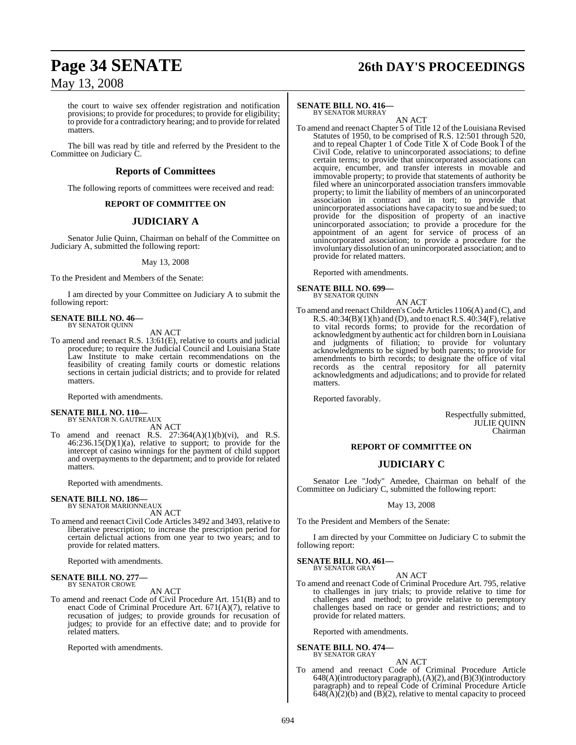# **Page 34 SENATE 26th DAY'S PROCEEDINGS**

## May 13, 2008

the court to waive sex offender registration and notification provisions; to provide for procedures; to provide for eligibility; to provide for a contradictory hearing; and to provide for related matters.

The bill was read by title and referred by the President to the Committee on Judiciary C.

#### **Reports of Committees**

The following reports of committees were received and read:

#### **REPORT OF COMMITTEE ON**

### **JUDICIARY A**

Senator Julie Quinn, Chairman on behalf of the Committee on Judiciary A, submitted the following report:

May 13, 2008

To the President and Members of the Senate:

I am directed by your Committee on Judiciary A to submit the following report:

# **SENATE BILL NO. 46—**<br>BY SENATOR QUINN

AN ACT

To amend and reenact R.S. 13:61(E), relative to courts and judicial procedure; to require the Judicial Council and Louisiana State Law Institute to make certain recommendations on the feasibility of creating family courts or domestic relations sections in certain judicial districts; and to provide for related matters.

Reported with amendments.

# **SENATE BILL NO. 110—** BY SENATOR N. GAUTREAUX AN ACT

To amend and reenact R.S.  $27:364(A)(1)(b)(vi)$ , and R.S. 46:236.15(D)(1)(a), relative to support; to provide for the intercept of casino winnings for the payment of child support and overpayments to the department; and to provide for related matters.

Reported with amendments.

#### **SENATE BILL NO. 186—** BY SENATOR MARIONNEAUX

AN ACT

To amend and reenact Civil Code Articles 3492 and 3493, relative to liberative prescription; to increase the prescription period for certain delictual actions from one year to two years; and to provide for related matters.

Reported with amendments.

#### **SENATE BILL NO. 277—** BY SENATOR CROWE

AN ACT

To amend and reenact Code of Civil Procedure Art. 151(B) and to enact Code of Criminal Procedure Art. 671(A)(7), relative to recusation of judges; to provide grounds for recusation of judges; to provide for an effective date; and to provide for related matters.

Reported with amendments.

#### **SENATE BILL NO. 416—** BY SENATOR MURRAY

AN ACT

To amend and reenact Chapter 5 of Title 12 of the Louisiana Revised Statutes of 1950, to be comprised of R.S. 12:501 through 520, and to repeal Chapter 1 of Code Title X of Code Book I of the Civil Code, relative to unincorporated associations; to define certain terms; to provide that unincorporated associations can acquire, encumber, and transfer interests in movable and immovable property; to provide that statements of authority be filed where an unincorporated association transfers immovable property; to limit the liability of members of an unincorporated association in contract and in tort; to provide that unincorporated associations have capacity to sue and be sued; to provide for the disposition of property of an inactive unincorporated association; to provide a procedure for the appointment of an agent for service of process of an unincorporated association; to provide a procedure for the involuntary dissolution of an unincorporated association; and to provide for related matters.

Reported with amendments.

#### **SENATE BILL NO. 699—**

BY SENATOR QUINN

AN ACT To amend and reenact Children's Code Articles 1106(A) and (C), and R.S.  $40:34(B)(1)(h)$  and (D), and to enact R.S.  $40:34(F)$ , relative to vital records forms; to provide for the recordation of acknowledgment by authentic act for children born in Louisiana and judgments of filiation; to provide for voluntary acknowledgments to be signed by both parents; to provide for amendments to birth records; to designate the office of vital records as the central repository for all paternity acknowledgments and adjudications; and to provide for related matters.

Reported favorably.

Respectfully submitted, JULIE QUINN Chairman

#### **REPORT OF COMMITTEE ON**

### **JUDICIARY C**

Senator Lee "Jody" Amedee, Chairman on behalf of the Committee on Judiciary C, submitted the following report:

#### May 13, 2008

To the President and Members of the Senate:

I am directed by your Committee on Judiciary C to submit the following report:

#### **SENATE BILL NO. 461—**

BY SENATOR GRAY

AN ACT To amend and reenact Code of Criminal Procedure Art. 795, relative to challenges in jury trials; to provide relative to time for challenges and method; to provide relative to peremptory challenges based on race or gender and restrictions; and to provide for related matters.

Reported with amendments.

#### **SENATE BILL NO. 474—** BY SENATOR GRAY

AN ACT

To amend and reenact Code of Criminal Procedure Article 648(A)(introductory paragraph), (A)(2), and (B)(3)(introductory paragraph) and to repeal Code of Criminal Procedure Article  $648(A)(2)(b)$  and  $(B)(2)$ , relative to mental capacity to proceed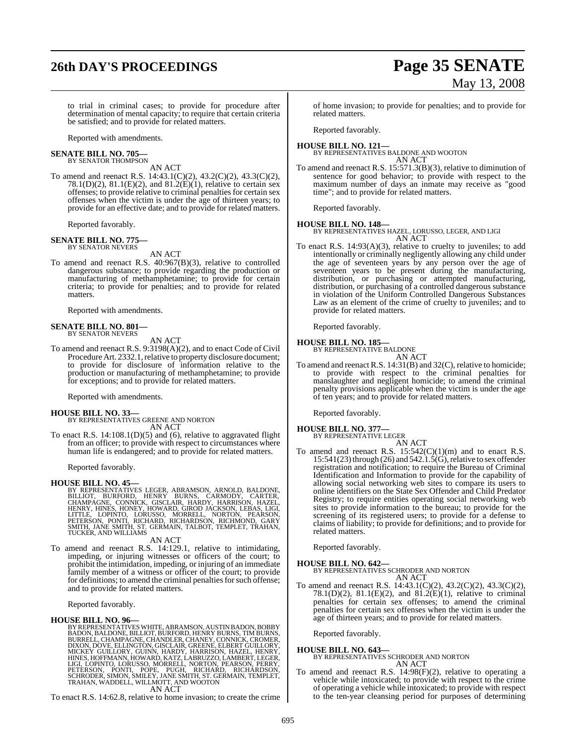# **26th DAY'S PROCEEDINGS Page 35 SENATE**

# May 13, 2008

to trial in criminal cases; to provide for procedure after determination of mental capacity; to require that certain criteria be satisfied; and to provide for related matters.

Reported with amendments.

#### **SENATE BILL NO. 705—** BY SENATOR THOMPSON

AN ACT

To amend and reenact R.S. 14:43.1(C)(2), 43.2(C)(2), 43.3(C)(2), 78.1(D)(2), 81.1(E)(2), and 81.2(E)(1), relative to certain sex offenses; to provide relative to criminal penalties for certain sex offenses when the victim is under the age of thirteen years; to provide for an effective date; and to provide for related matters.

Reported favorably.

#### **SENATE BILL NO. 775—** BY SENATOR NEVERS

AN ACT

To amend and reenact R.S. 40:967(B)(3), relative to controlled dangerous substance; to provide regarding the production or manufacturing of methamphetamine; to provide for certain criteria; to provide for penalties; and to provide for related matters.

Reported with amendments.

#### **SENATE BILL NO. 801—** BY SENATOR NEVERS

AN ACT

To amend and reenact R.S. 9:3198(A)(2), and to enact Code of Civil Procedure Art. 2332.1, relative to property disclosure document; to provide for disclosure of information relative to the production or manufacturing of methamphetamine; to provide for exceptions; and to provide for related matters.

Reported with amendments.

**HOUSE BILL NO. 33—** BY REPRESENTATIVES GREENE AND NORTON AN ACT

To enact R.S. 14:108.1(D)(5) and (6), relative to aggravated flight from an officer; to provide with respect to circumstances where human life is endangered; and to provide for related matters.

Reported favorably.

**HOUSE BILL NO. 45—**<br>BY REPRESENTATIVES LEGER, ABRAMSON, ARNOLD, BALDONE, BILLIOT, BURFORD, HENRY BURNS, CARMODY, CARTER,<br>CHAMPAGNE, CONNICK, GISCLAIR, HARDY, HARRISON, HAZEL,<br>HENRY, HINES, HONEY, HOWARD, GIROD JACKSON, LE

#### AN ACT

To amend and reenact R.S. 14:129.1, relative to intimidating, impeding, or injuring witnesses or officers of the court; to prohibit the intimidation, impeding, or injuring of an immediate family member of a witness or officer of the court; to provide for definitions; to amend the criminal penalties for such offense; and to provide for related matters.

Reported favorably.

#### **HOUSE BILL NO. 96—**

BY REPRESENTATIVESWHITE, ABRAMSON, AUSTIN BADON, BOBBY BADON, BALDONE, BILLIOT, BURFORD, HENRY BURNS, TIM BURNS, BURRELL, CHAMPAGNE, CHANDLER, CHANEY, CONNICK, CROMER,<br>DIXON, DOVE, ELLINGTON, GISCLAIR, GREENE, ELBERT GUILLORY,<br>MICKEY GUILLORY, GUINN, HARDY, HARRISON, HAZEL, HENRY,<br>HINES, HOFFMANN, HOWARD, KATZ, LABRUZZO, LAMBERT, LEG AN ACT

To enact R.S. 14:62.8, relative to home invasion; to create the crime

of home invasion; to provide for penalties; and to provide for related matters.

Reported favorably.

#### **HOUSE BILL NO. 121—** BY REPRESENTATIVES BALDONE AND WOOTON AN ACT

To amend and reenact R.S. 15:571.3(B)(3), relative to diminution of sentence for good behavior; to provide with respect to the maximum number of days an inmate may receive as "good time"; and to provide for related matters.

Reported favorably.

#### **HOUSE BILL NO. 148—**

BY REPRESENTATIVES HAZEL, LORUSSO, LEGER, AND LIGI AN ACT

To enact R.S. 14:93(A)(3), relative to cruelty to juveniles; to add intentionally or criminally negligently allowing any child under the age of seventeen years by any person over the age of seventeen years to be present during the manufacturing, distribution, or purchasing or attempted manufacturing, distribution, or purchasing of a controlled dangerous substance in violation of the Uniform Controlled Dangerous Substances Law as an element of the crime of cruelty to juveniles; and to provide for related matters.

Reported favorably.

#### **HOUSE BILL NO. 185—**

BY REPRESENTATIVE BALDONE AN ACT

To amend and reenact R.S. 14:31(B) and 32(C), relative to homicide; to provide with respect to the criminal penalties for manslaughter and negligent homicide; to amend the criminal penalty provisions applicable when the victim is under the age of ten years; and to provide for related matters.

Reported favorably.

#### **HOUSE BILL NO. 377—**

BY REPRESENTATIVE LEGER AN ACT

To amend and reenact R.S.  $15:542(C)(1)(m)$  and to enact R.S.  $15:541(23)$  through (26) and  $542.1.5($ G), relative to sex offender registration and notification; to require the Bureau of Criminal Identification and Information to provide for the capability of allowing social networking web sites to compare its users to online identifiers on the State Sex Offender and Child Predator Registry; to require entities operating social networking web sites to provide information to the bureau; to provide for the screening of its registered users; to provide for a defense to claims of liability; to provide for definitions; and to provide for related matters.

Reported favorably.

#### **HOUSE BILL NO. 642—**

BY REPRESENTATIVES SCHRODER AND NORTON AN ACT

To amend and reenact R.S. 14:43.1(C)(2), 43.2(C)(2), 43.3(C)(2), 78.1(D)(2), 81.1(E)(2), and 81.2(E)(1), relative to criminal penalties for certain sex offenses; to amend the criminal penalties for certain sex offenses when the victim is under the age of thirteen years; and to provide for related matters.

Reported favorably.

## **HOUSE BILL NO. 643—** BY REPRESENTATIVES SCHRODER AND NORTON AN ACT

To amend and reenact R.S. 14:98(F)(2), relative to operating a vehicle while intoxicated; to provide with respect to the crime of operating a vehicle while intoxicated; to provide with respect to the ten-year cleansing period for purposes of determining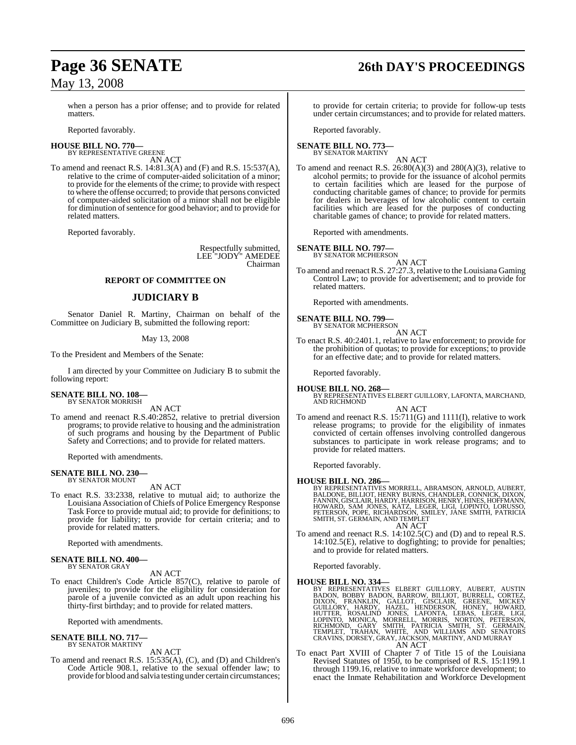# **Page 36 SENATE 26th DAY'S PROCEEDINGS**

when a person has a prior offense; and to provide for related matters.

Reported favorably.

#### **HOUSE BILL NO. 770—** BY REPRESENTATIVE GREENE

AN ACT

To amend and reenact R.S. 14:81.3(A) and (F) and R.S. 15:537(A), relative to the crime of computer-aided solicitation of a minor; to provide for the elements of the crime; to provide with respect to where the offense occurred; to provide that persons convicted of computer-aided solicitation of a minor shall not be eligible for diminution of sentence for good behavior; and to provide for related matters.

Reported favorably.

Respectfully submitted, LEE "JODY" AMEDEE Chairman

#### **REPORT OF COMMITTEE ON**

#### **JUDICIARY B**

Senator Daniel R. Martiny, Chairman on behalf of the Committee on Judiciary B, submitted the following report:

#### May 13, 2008

To the President and Members of the Senate:

I am directed by your Committee on Judiciary B to submit the following report:

#### **SENATE BILL NO. 108—** BY SENATOR MORRISH

AN ACT

To amend and reenact R.S.40:2852, relative to pretrial diversion programs; to provide relative to housing and the administration of such programs and housing by the Department of Public Safety and Corrections; and to provide for related matters.

Reported with amendments.

#### **SENATE BILL NO. 230—** BY SENATOR MOUNT

AN ACT

To enact R.S. 33:2338, relative to mutual aid; to authorize the Louisiana Association of Chiefs of Police Emergency Response Task Force to provide mutual aid; to provide for definitions; to provide for liability; to provide for certain criteria; and to provide for related matters.

Reported with amendments.

#### **SENATE BILL NO. 400—** BY SENATOR GRAY

AN ACT

To enact Children's Code Article 857(C), relative to parole of juveniles; to provide for the eligibility for consideration for parole of a juvenile convicted as an adult upon reaching his thirty-first birthday; and to provide for related matters.

Reported with amendments.

#### **SENATE BILL NO. 717—** BY SENATOR MARTINY

AN ACT

To amend and reenact R.S. 15:535(A), (C), and (D) and Children's Code Article 908.1, relative to the sexual offender law; to provide for blood and salvia testing under certain circumstances; to provide for certain criteria; to provide for follow-up tests under certain circumstances; and to provide for related matters.

Reported favorably.

#### **SENATE BILL NO. 773—** BY SENATOR MARTINY

AN ACT

To amend and reenact R.S.  $26:80(A)(3)$  and  $280(A)(3)$ , relative to alcohol permits; to provide for the issuance of alcohol permits to certain facilities which are leased for the purpose of conducting charitable games of chance; to provide for permits for dealers in beverages of low alcoholic content to certain facilities which are leased for the purposes of conducting charitable games of chance; to provide for related matters.

Reported with amendments.

**SENATE BILL NO. 797** 

BY SENATOR MCPHERSON

AN ACT

To amend and reenact R.S. 27:27.3, relative to the Louisiana Gaming Control Law; to provide for advertisement; and to provide for related matters.

Reported with amendments.

# **SENATE BILL NO. 799—**<br>BY SENATOR MCPHERSON

AN ACT

To enact R.S. 40:2401.1, relative to law enforcement; to provide for the prohibition of quotas; to provide for exceptions; to provide for an effective date; and to provide for related matters.

Reported favorably.

**HOUSE BILL NO. 268—** BY REPRESENTATIVES ELBERT GUILLORY, LAFONTA, MARCHAND, AND RICHMOND

- AN ACT
- To amend and reenact R.S. 15:711(G) and 1111(I), relative to work release programs; to provide for the eligibility of inmates convicted of certain offenses involving controlled dangerous substances to participate in work release programs; and to provide for related matters.

Reported favorably.

**HOUSE BILL NO. 286—**<br>BY REPRESENTATIVES MORRELL, ABRAMSON, ARNOLD, AUBERT,<br>BALDONE, BILLIOT, HENRY BURNS, CHANDLER, CONNICK, DIXON,<br>FANNIN, GISCLAIR, HARDY, HARRISON, HENRY, HINES, HOFFMANN,<br>HOWARD, SAM JONES, KATZ, LEGER

- AN ACT
- To amend and reenact R.S. 14:102.5(C) and (D) and to repeal R.S. 14:102.5(E), relative to dogfighting; to provide for penalties; and to provide for related matters.

Reported favorably.

HOUSE BILL NO. 334—<br>
BY REPRESENTATIVES ELBERT GUILLORY, AUBERT, AUSTIN<br>
BADON, BOBBY BADON, BARROW, BILLIOT, BURRELL, CORTEZ,<br>
DIXON, FRANKLIN, GALLOT, GISCLAIR, GREENE, MICKEY<br>
GUILLORY, HARDY, HAZEL, HENDERSON, HONEY, H

To enact Part XVIII of Chapter 7 of Title 15 of the Louisiana Revised Statutes of 1950, to be comprised of R.S. 15:1199.1 through 1199.16, relative to inmate workforce development; to enact the Inmate Rehabilitation and Workforce Development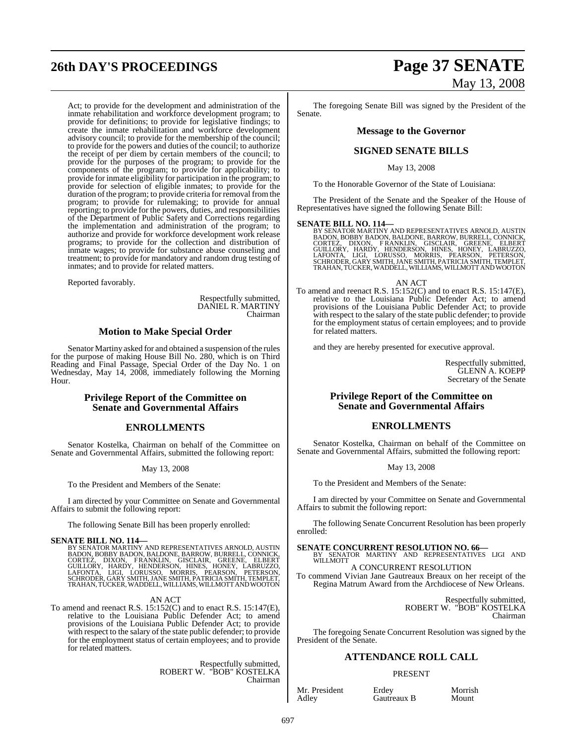# **26th DAY'S PROCEEDINGS Page 37 SENATE**

Act; to provide for the development and administration of the inmate rehabilitation and workforce development program; to provide for definitions; to provide for legislative findings; to create the inmate rehabilitation and workforce development advisory council; to provide for the membership of the council; to provide for the powers and duties of the council; to authorize the receipt of per diem by certain members of the council; to provide for the purposes of the program; to provide for the components of the program; to provide for applicability; to provide for inmate eligibility for participation in the program; to provide for selection of eligible inmates; to provide for the duration of the program; to provide criteria for removal from the program; to provide for rulemaking; to provide for annual reporting; to provide for the powers, duties, and responsibilities of the Department of Public Safety and Corrections regarding the implementation and administration of the program; to authorize and provide for workforce development work release programs; to provide for the collection and distribution of inmate wages; to provide for substance abuse counseling and treatment; to provide for mandatory and random drug testing of inmates; and to provide for related matters.

Reported favorably.

Respectfully submitted, DANIEL R. MARTINY Chairman

#### **Motion to Make Special Order**

Senator Martiny asked for and obtained a suspension of the rules for the purpose of making House Bill No. 280, which is on Third Reading and Final Passage, Special Order of the Day No. 1 on Wednesday, May 14, 2008, immediately following the Morning Hour.

#### **Privilege Report of the Committee on Senate and Governmental Affairs**

#### **ENROLLMENTS**

Senator Kostelka, Chairman on behalf of the Committee on Senate and Governmental Affairs, submitted the following report:

#### May 13, 2008

To the President and Members of the Senate:

I am directed by your Committee on Senate and Governmental Affairs to submit the following report:

The following Senate Bill has been properly enrolled:

**SENATE BILL NO. 114—**<br>BY SENATOR MARTINY AND REPRESENTATIVES ARNOLD, AUSTIN<br>BADON, BOBBY BADON, BALDONE, BARROW, BURRELL, CONNICK,<br>CORTEZ, DIXON, FRANKLIN, GISCLAIR, GREENE, ELBERT<br>GUILLORY, HARDY, HENDERSON, HINES, HONEY

#### AN ACT

To amend and reenact R.S. 15:152(C) and to enact R.S. 15:147(E), relative to the Louisiana Public Defender Act; to amend provisions of the Louisiana Public Defender Act; to provide with respect to the salary of the state public defender; to provide for the employment status of certain employees; and to provide for related matters.

> Respectfully submitted, ROBERT W. "BOB" KOSTELKA Chairman

# May 13, 2008

The foregoing Senate Bill was signed by the President of the Senate.

#### **Message to the Governor**

#### **SIGNED SENATE BILLS**

May 13, 2008

To the Honorable Governor of the State of Louisiana:

The President of the Senate and the Speaker of the House of Representatives have signed the following Senate Bill:

**SENATE BILL NO. 114—**<br>BY SENATOR MARTINY AND REPRESENTATIVES ARNOLD, AUSTIN<br>BADON, BOBBY BADON, BALDONE, BARROW, BURRELL, CONNICK,<br>CORTEZ, DIXON, FRANKLIN, GISCLAIR, GREENE, ELBERT<br>GUILLORY, HARDY, HENDERSON, HINES, HONEY

AN ACT

To amend and reenact R.S. 15:152(C) and to enact R.S. 15:147(E), relative to the Louisiana Public Defender Act; to amend provisions of the Louisiana Public Defender Act; to provide with respect to the salary of the state public defender; to provide for the employment status of certain employees; and to provide for related matters.

and they are hereby presented for executive approval.

Respectfully submitted, GLENN A. KOEPP Secretary of the Senate

#### **Privilege Report of the Committee on Senate and Governmental Affairs**

## **ENROLLMENTS**

Senator Kostelka, Chairman on behalf of the Committee on Senate and Governmental Affairs, submitted the following report:

May 13, 2008

To the President and Members of the Senate:

I am directed by your Committee on Senate and Governmental Affairs to submit the following report:

The following Senate Concurrent Resolution has been properly enrolled:

**SENATE CONCURRENT RESOLUTION NO. 66—BY SENATOR MARTINY AND REPRESENTATIVES LIGI AND WILLMOTT** A CONCURRENT RESOLUTION

To commend Vivian Jane Gautreaux Breaux on her receipt of the Regina Matrum Award from the Archdiocese of New Orleans.

> Respectfully submitted, ROBERT W. "BOB" KOSTELKA Chairman

The foregoing Senate Concurrent Resolution was signed by the President of the Senate.

### **ATTENDANCE ROLL CALL**

#### PRESENT

Mr. President Erdey Morrish<br>Adley Gautreaux B Mount

Gautreaux B